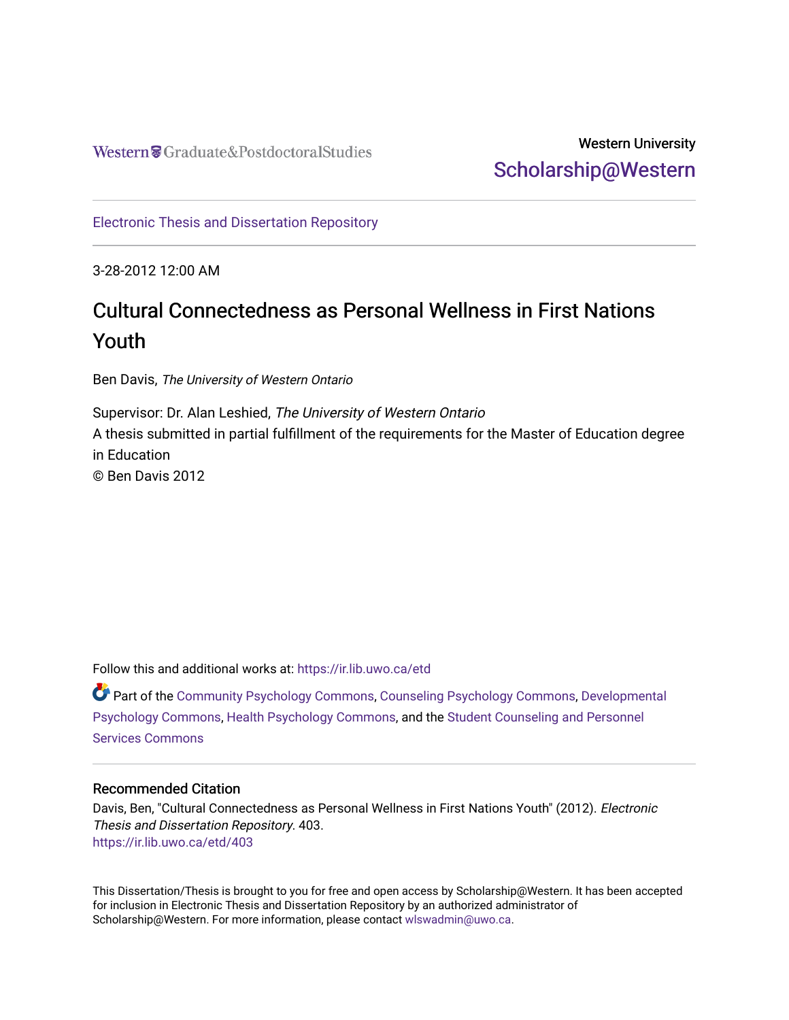## Western University [Scholarship@Western](https://ir.lib.uwo.ca/)

[Electronic Thesis and Dissertation Repository](https://ir.lib.uwo.ca/etd)

3-28-2012 12:00 AM

# Cultural Connectedness as Personal Wellness in First Nations Youth

Ben Davis, The University of Western Ontario

Supervisor: Dr. Alan Leshied, The University of Western Ontario A thesis submitted in partial fulfillment of the requirements for the Master of Education degree in Education © Ben Davis 2012

Follow this and additional works at: [https://ir.lib.uwo.ca/etd](https://ir.lib.uwo.ca/etd?utm_source=ir.lib.uwo.ca%2Fetd%2F403&utm_medium=PDF&utm_campaign=PDFCoverPages) 

Part of the [Community Psychology Commons,](http://network.bepress.com/hgg/discipline/409?utm_source=ir.lib.uwo.ca%2Fetd%2F403&utm_medium=PDF&utm_campaign=PDFCoverPages) [Counseling Psychology Commons,](http://network.bepress.com/hgg/discipline/1044?utm_source=ir.lib.uwo.ca%2Fetd%2F403&utm_medium=PDF&utm_campaign=PDFCoverPages) [Developmental](http://network.bepress.com/hgg/discipline/410?utm_source=ir.lib.uwo.ca%2Fetd%2F403&utm_medium=PDF&utm_campaign=PDFCoverPages)  [Psychology Commons,](http://network.bepress.com/hgg/discipline/410?utm_source=ir.lib.uwo.ca%2Fetd%2F403&utm_medium=PDF&utm_campaign=PDFCoverPages) [Health Psychology Commons](http://network.bepress.com/hgg/discipline/411?utm_source=ir.lib.uwo.ca%2Fetd%2F403&utm_medium=PDF&utm_campaign=PDFCoverPages), and the [Student Counseling and Personnel](http://network.bepress.com/hgg/discipline/802?utm_source=ir.lib.uwo.ca%2Fetd%2F403&utm_medium=PDF&utm_campaign=PDFCoverPages)  [Services Commons](http://network.bepress.com/hgg/discipline/802?utm_source=ir.lib.uwo.ca%2Fetd%2F403&utm_medium=PDF&utm_campaign=PDFCoverPages)

#### Recommended Citation

Davis, Ben, "Cultural Connectedness as Personal Wellness in First Nations Youth" (2012). Electronic Thesis and Dissertation Repository. 403. [https://ir.lib.uwo.ca/etd/403](https://ir.lib.uwo.ca/etd/403?utm_source=ir.lib.uwo.ca%2Fetd%2F403&utm_medium=PDF&utm_campaign=PDFCoverPages) 

This Dissertation/Thesis is brought to you for free and open access by Scholarship@Western. It has been accepted for inclusion in Electronic Thesis and Dissertation Repository by an authorized administrator of Scholarship@Western. For more information, please contact [wlswadmin@uwo.ca.](mailto:wlswadmin@uwo.ca)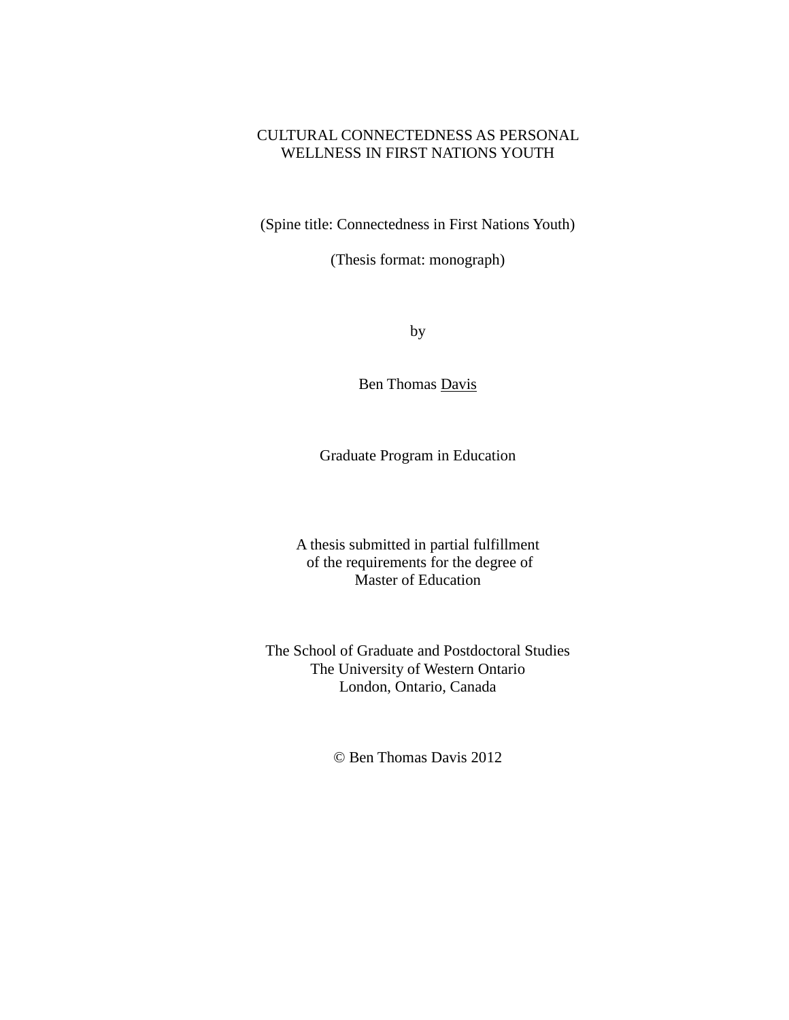### CULTURAL CONNECTEDNESS AS PERSONAL WELLNESS IN FIRST NATIONS YOUTH

(Spine title: Connectedness in First Nations Youth)

(Thesis format: monograph)

by

Ben Thomas Davis

Graduate Program in Education

A thesis submitted in partial fulfillment of the requirements for the degree of Master of Education

The School of Graduate and Postdoctoral Studies The University of Western Ontario London, Ontario, Canada

© Ben Thomas Davis 2012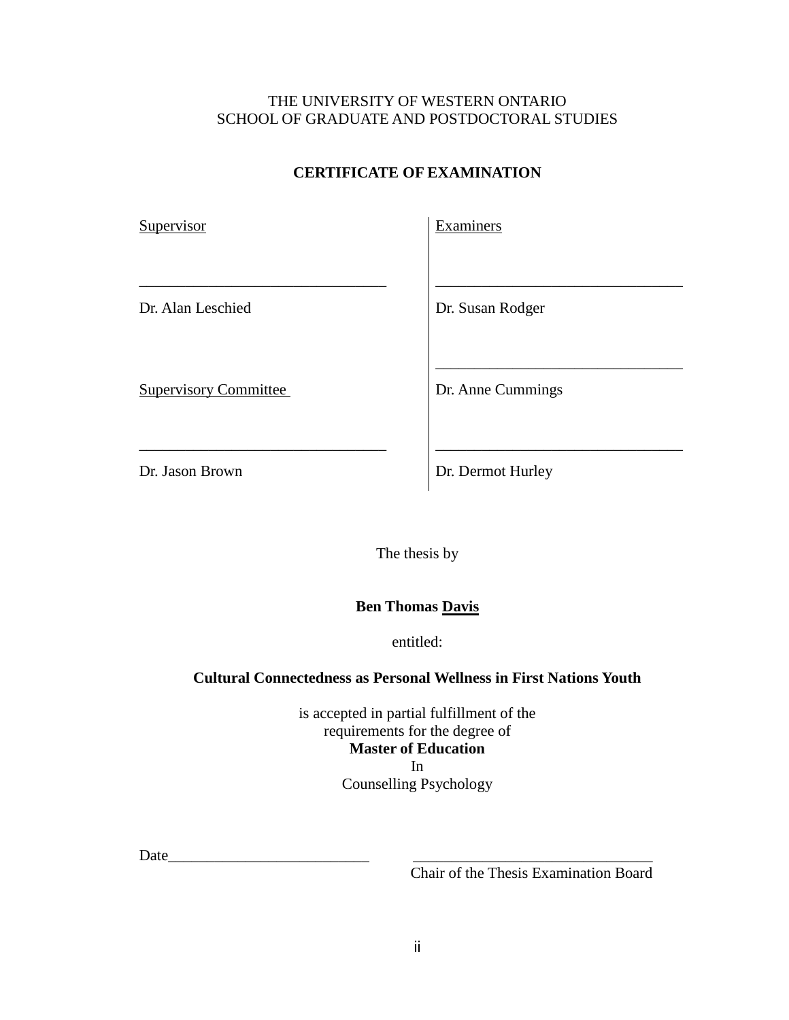## THE UNIVERSITY OF WESTERN ONTARIO SCHOOL OF GRADUATE AND POSTDOCTORAL STUDIES

## **CERTIFICATE OF EXAMINATION**

| Supervisor                   | Examiners         |
|------------------------------|-------------------|
| Dr. Alan Leschied            | Dr. Susan Rodger  |
| <b>Supervisory Committee</b> | Dr. Anne Cummings |

\_\_\_\_\_\_\_\_\_\_\_\_\_\_\_\_\_\_\_\_\_\_\_\_\_\_\_\_\_\_\_\_ \_\_\_\_\_\_\_\_\_\_\_\_\_\_\_\_\_\_\_\_\_\_\_\_\_\_\_\_\_\_\_\_

Dr. Jason Brown **Dr. Dermot Hurley** 

The thesis by

## **Ben Thomas Davis**

entitled:

### **Cultural Connectedness as Personal Wellness in First Nations Youth**

is accepted in partial fulfillment of the requirements for the degree of **Master of Education** In Counselling Psychology

Date\_\_\_\_\_\_\_\_\_\_\_\_\_\_\_\_\_\_\_\_\_\_\_\_\_\_ \_\_\_\_\_\_\_\_\_\_\_\_\_\_\_\_\_\_\_\_\_\_\_\_\_\_\_\_\_\_\_

Chair of the Thesis Examination Board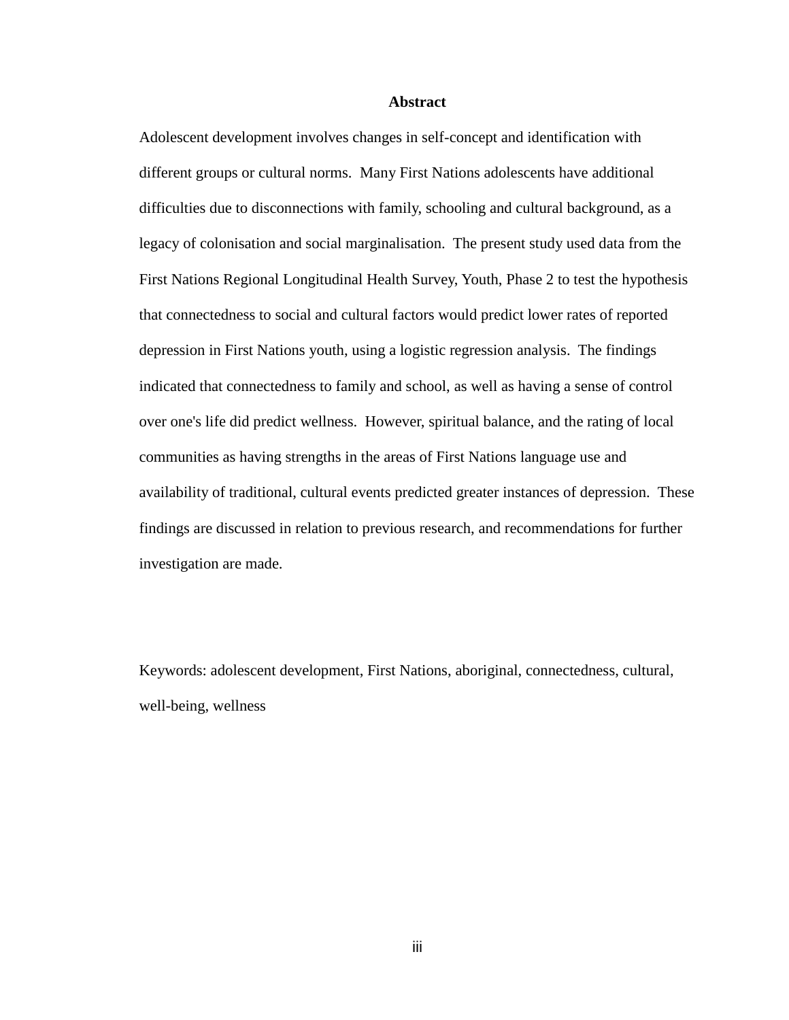#### **Abstract**

Adolescent development involves changes in self-concept and identification with different groups or cultural norms. Many First Nations adolescents have additional difficulties due to disconnections with family, schooling and cultural background, as a legacy of colonisation and social marginalisation. The present study used data from the First Nations Regional Longitudinal Health Survey, Youth, Phase 2 to test the hypothesis that connectedness to social and cultural factors would predict lower rates of reported depression in First Nations youth, using a logistic regression analysis. The findings indicated that connectedness to family and school, as well as having a sense of control over one's life did predict wellness. However, spiritual balance, and the rating of local communities as having strengths in the areas of First Nations language use and availability of traditional, cultural events predicted greater instances of depression. These findings are discussed in relation to previous research, and recommendations for further investigation are made.

Keywords: adolescent development, First Nations, aboriginal, connectedness, cultural, well-being, wellness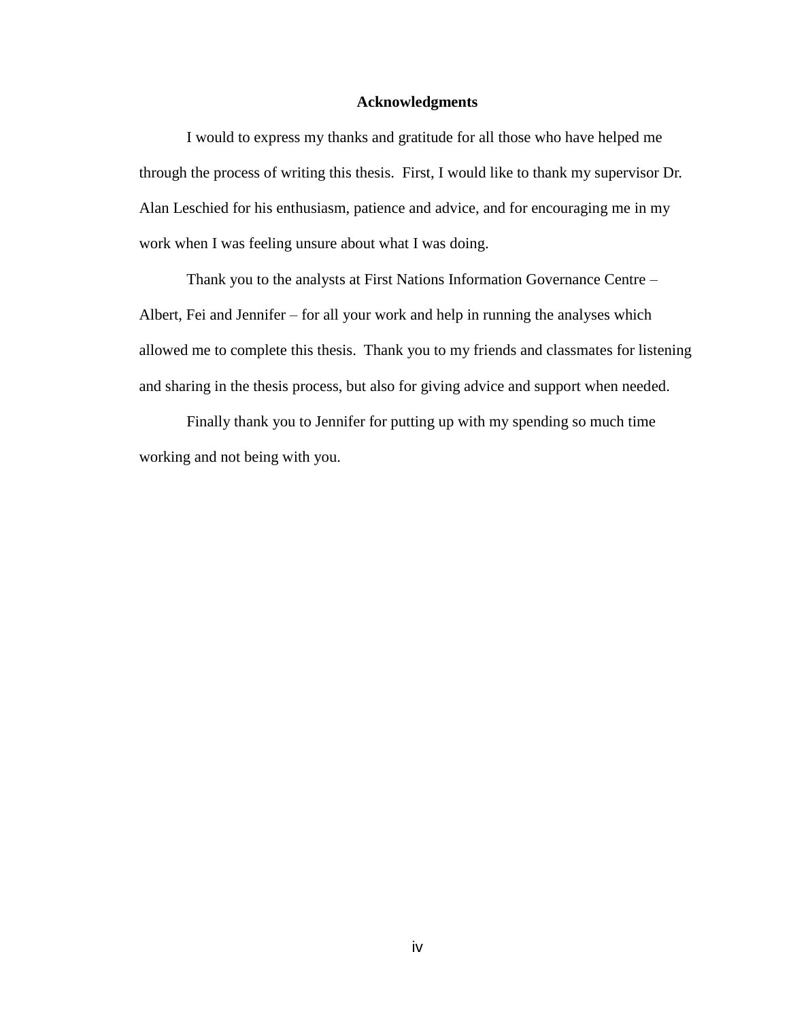#### **Acknowledgments**

I would to express my thanks and gratitude for all those who have helped me through the process of writing this thesis. First, I would like to thank my supervisor Dr. Alan Leschied for his enthusiasm, patience and advice, and for encouraging me in my work when I was feeling unsure about what I was doing.

Thank you to the analysts at First Nations Information Governance Centre – Albert, Fei and Jennifer – for all your work and help in running the analyses which allowed me to complete this thesis. Thank you to my friends and classmates for listening and sharing in the thesis process, but also for giving advice and support when needed.

Finally thank you to Jennifer for putting up with my spending so much time working and not being with you.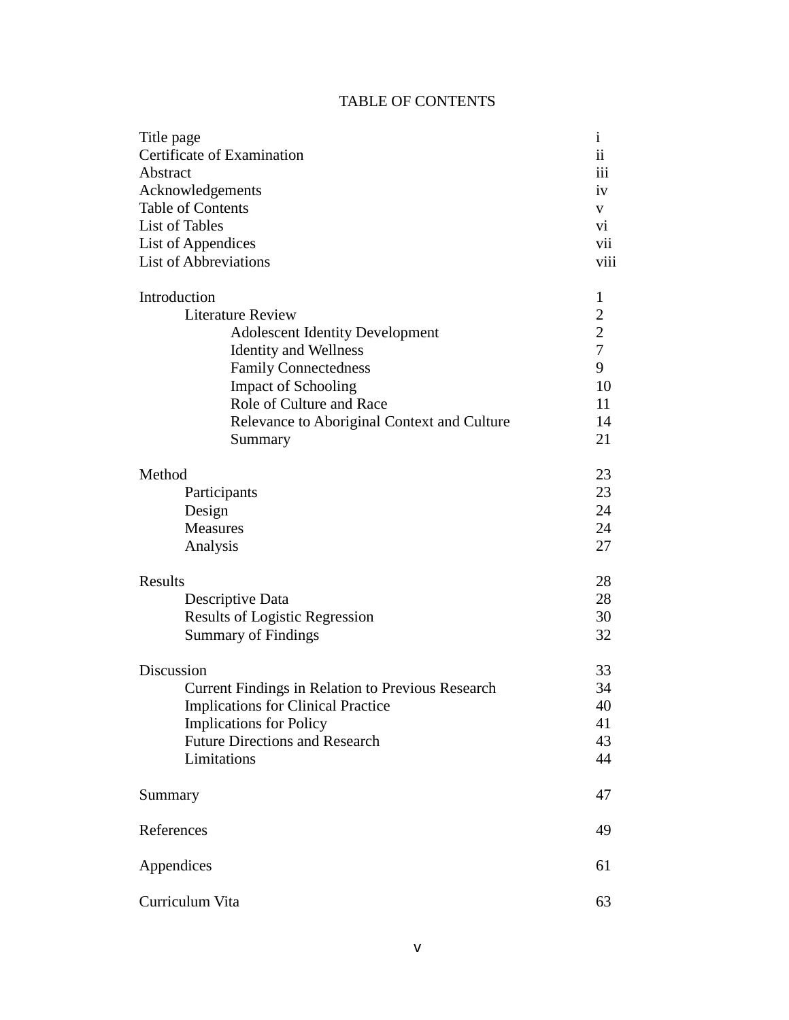## TABLE OF CONTENTS

| Title page                                               | $\mathbf{i}$   |
|----------------------------------------------------------|----------------|
| Certificate of Examination                               |                |
| Abstract                                                 |                |
| Acknowledgements                                         | iv             |
| <b>Table of Contents</b>                                 | V              |
| <b>List of Tables</b>                                    | vi             |
| List of Appendices                                       | vii            |
| <b>List of Abbreviations</b>                             | viii           |
| Introduction                                             | 1              |
| <b>Literature Review</b>                                 | $\overline{2}$ |
| <b>Adolescent Identity Development</b>                   | $\overline{c}$ |
| <b>Identity and Wellness</b>                             | $\overline{7}$ |
| <b>Family Connectedness</b>                              | 9              |
| <b>Impact of Schooling</b>                               | 10             |
| Role of Culture and Race                                 | 11             |
| Relevance to Aboriginal Context and Culture              | 14             |
| Summary                                                  | 21             |
|                                                          |                |
| Method                                                   | 23             |
| Participants                                             | 23             |
| Design                                                   | 24             |
| <b>Measures</b>                                          | 24             |
| Analysis                                                 | 27             |
| Results                                                  | 28             |
| Descriptive Data                                         | 28             |
| <b>Results of Logistic Regression</b>                    | 30             |
| <b>Summary of Findings</b>                               | 32             |
|                                                          |                |
| Discussion                                               | 33             |
| <b>Current Findings in Relation to Previous Research</b> | 34             |
| <b>Implications for Clinical Practice</b>                | 40             |
| <b>Implications for Policy</b>                           | 41             |
| <b>Future Directions and Research</b>                    | 43             |
| Limitations                                              | 44             |
| Summary                                                  | 47             |
|                                                          |                |
| References                                               | 49             |
| Appendices                                               | 61             |
| Curriculum Vita                                          | 63             |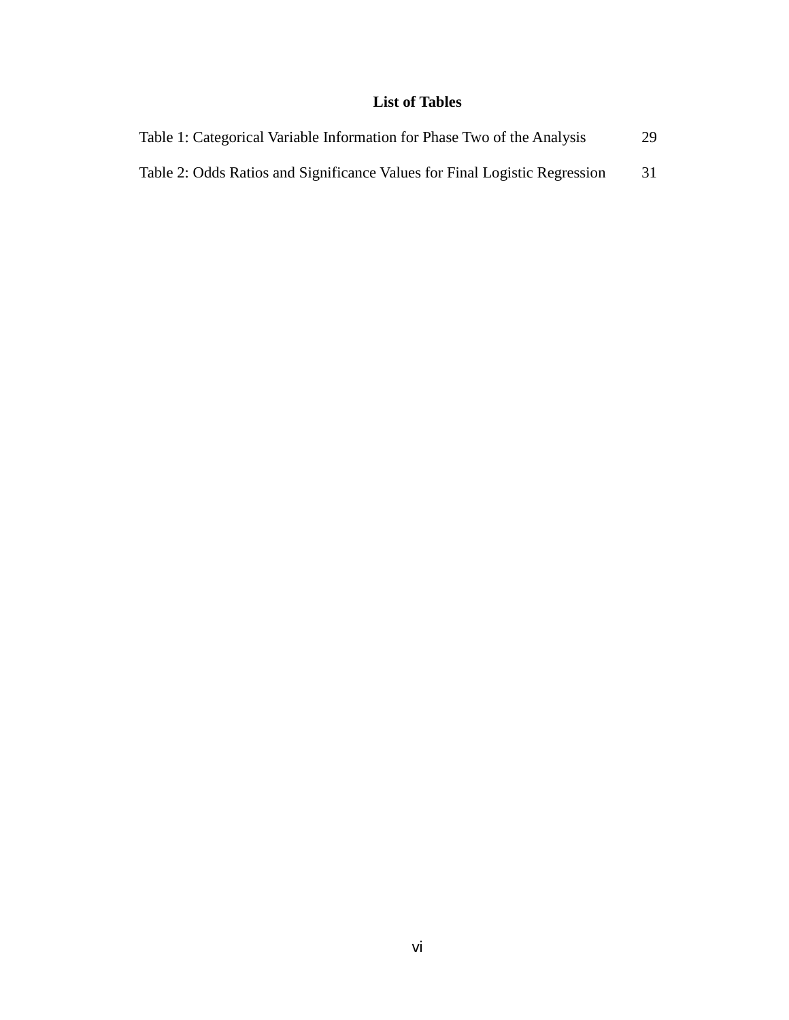## **List of Tables**

| Table 1: Categorical Variable Information for Phase Two of the Analysis    | 29 |
|----------------------------------------------------------------------------|----|
| Table 2: Odds Ratios and Significance Values for Final Logistic Regression | 31 |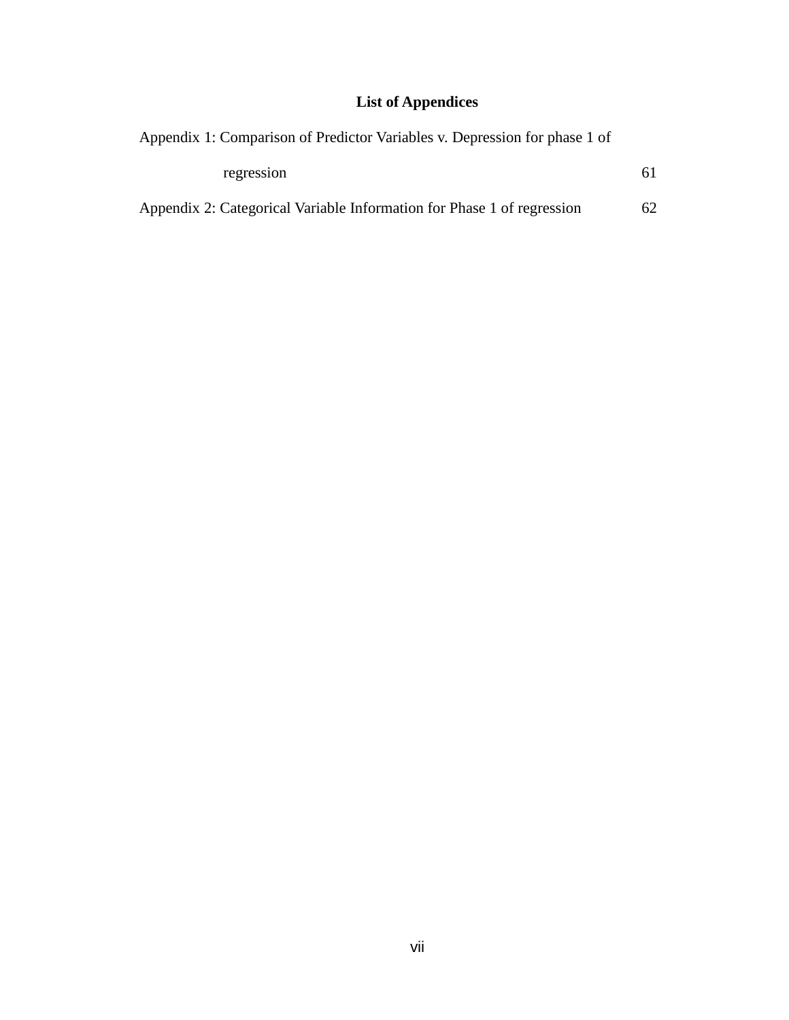## **List of Appendices**

| Appendix 1: Comparison of Predictor Variables v. Depression for phase 1 of |    |
|----------------------------------------------------------------------------|----|
| regression                                                                 | 61 |
| Appendix 2: Categorical Variable Information for Phase 1 of regression     | 62 |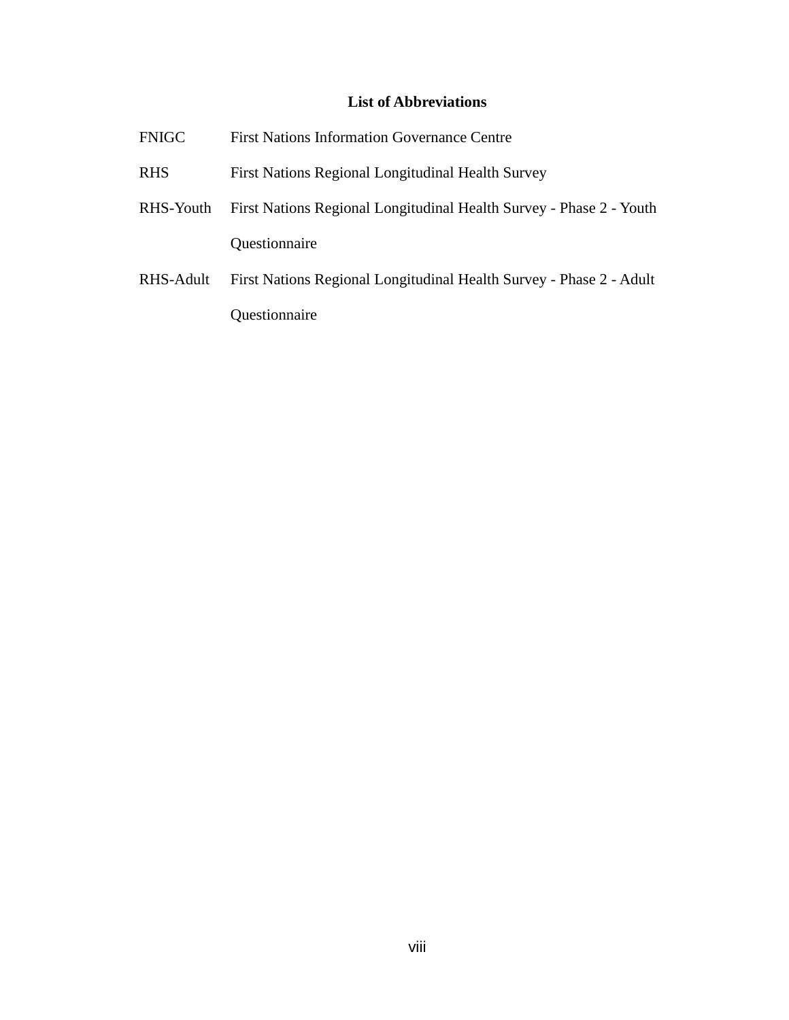## **List of Abbreviations**

| <b>FNIGC</b> | <b>First Nations Information Governance Centre</b>                  |
|--------------|---------------------------------------------------------------------|
| <b>RHS</b>   | First Nations Regional Longitudinal Health Survey                   |
| RHS-Youth    | First Nations Regional Longitudinal Health Survey - Phase 2 - Youth |
|              | Questionnaire                                                       |
| RHS-Adult    | First Nations Regional Longitudinal Health Survey - Phase 2 - Adult |

Questionnaire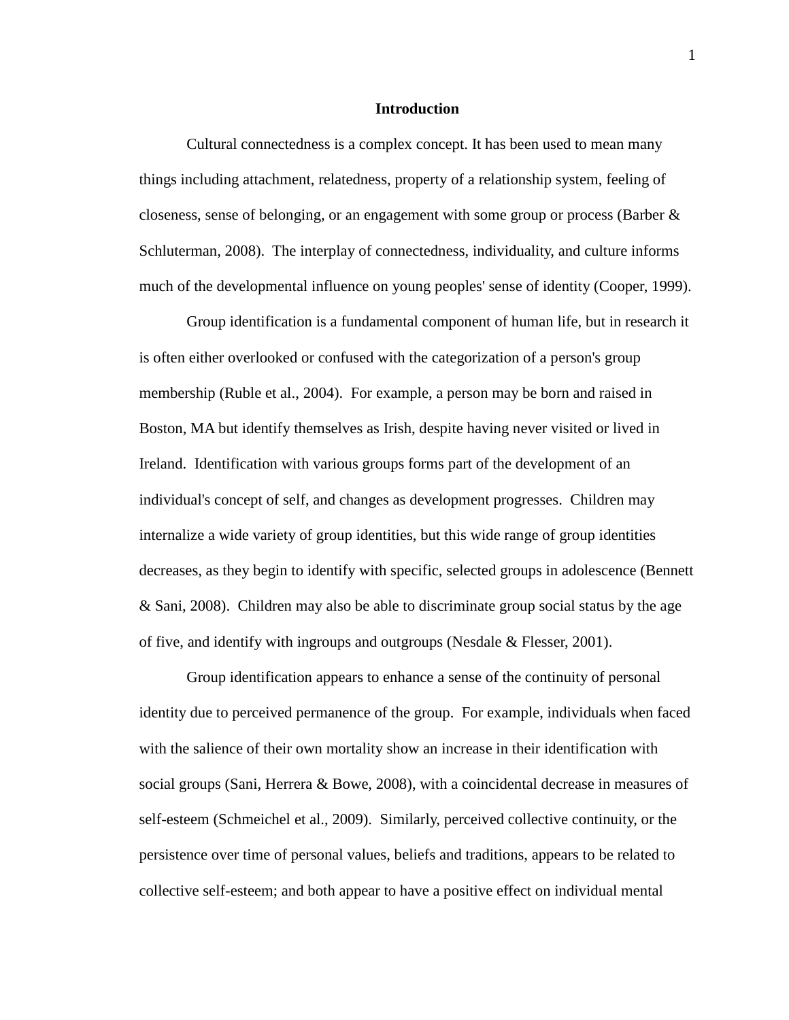#### **Introduction**

Cultural connectedness is a complex concept. It has been used to mean many things including attachment, relatedness, property of a relationship system, feeling of closeness, sense of belonging, or an engagement with some group or process (Barber & Schluterman, 2008). The interplay of connectedness, individuality, and culture informs much of the developmental influence on young peoples' sense of identity (Cooper, 1999).

Group identification is a fundamental component of human life, but in research it is often either overlooked or confused with the categorization of a person's group membership (Ruble et al., 2004). For example, a person may be born and raised in Boston, MA but identify themselves as Irish, despite having never visited or lived in Ireland. Identification with various groups forms part of the development of an individual's concept of self, and changes as development progresses. Children may internalize a wide variety of group identities, but this wide range of group identities decreases, as they begin to identify with specific, selected groups in adolescence (Bennett & Sani, 2008). Children may also be able to discriminate group social status by the age of five, and identify with ingroups and outgroups (Nesdale & Flesser, 2001).

Group identification appears to enhance a sense of the continuity of personal identity due to perceived permanence of the group. For example, individuals when faced with the salience of their own mortality show an increase in their identification with social groups (Sani, Herrera & Bowe, 2008), with a coincidental decrease in measures of self-esteem (Schmeichel et al., 2009). Similarly, perceived collective continuity, or the persistence over time of personal values, beliefs and traditions, appears to be related to collective self-esteem; and both appear to have a positive effect on individual mental

1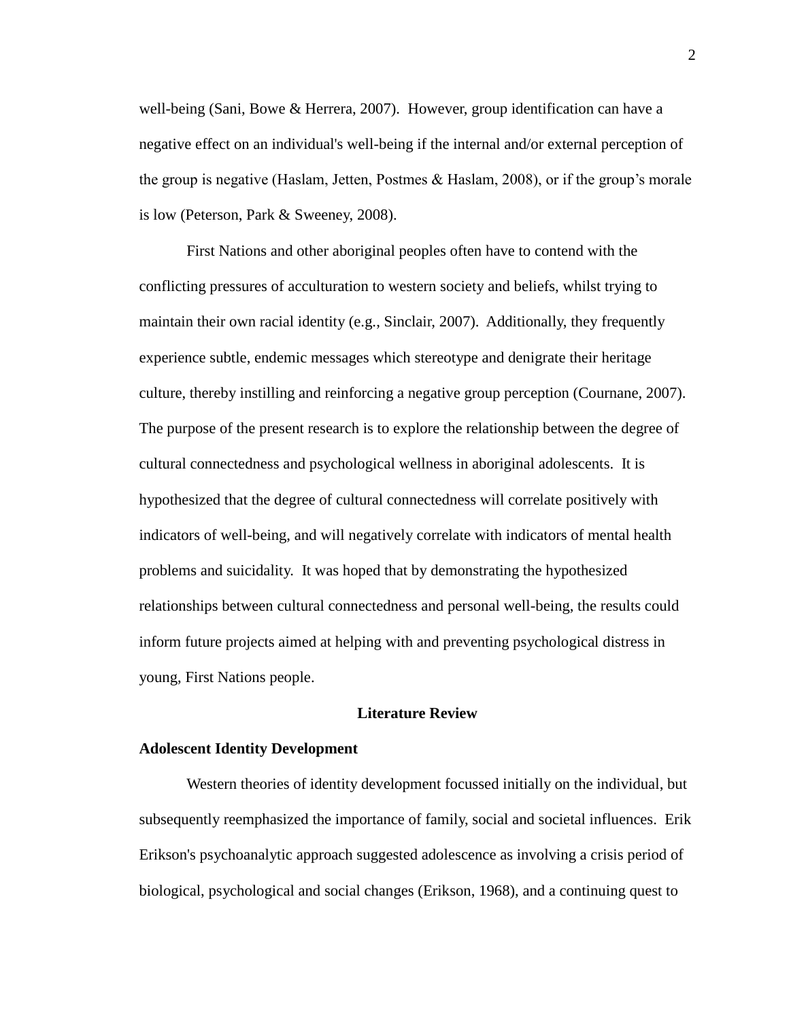well-being (Sani, Bowe & Herrera, 2007). However, group identification can have a negative effect on an individual's well-being if the internal and/or external perception of the group is negative (Haslam, Jetten, Postmes & Haslam, 2008), or if the group's morale is low (Peterson, Park & Sweeney, 2008).

First Nations and other aboriginal peoples often have to contend with the conflicting pressures of acculturation to western society and beliefs, whilst trying to maintain their own racial identity (e.g., Sinclair, 2007). Additionally, they frequently experience subtle, endemic messages which stereotype and denigrate their heritage culture, thereby instilling and reinforcing a negative group perception (Cournane, 2007). The purpose of the present research is to explore the relationship between the degree of cultural connectedness and psychological wellness in aboriginal adolescents. It is hypothesized that the degree of cultural connectedness will correlate positively with indicators of well-being, and will negatively correlate with indicators of mental health problems and suicidality. It was hoped that by demonstrating the hypothesized relationships between cultural connectedness and personal well-being, the results could inform future projects aimed at helping with and preventing psychological distress in young, First Nations people.

#### **Literature Review**

#### **Adolescent Identity Development**

Western theories of identity development focussed initially on the individual, but subsequently reemphasized the importance of family, social and societal influences. Erik Erikson's psychoanalytic approach suggested adolescence as involving a crisis period of biological, psychological and social changes (Erikson, 1968), and a continuing quest to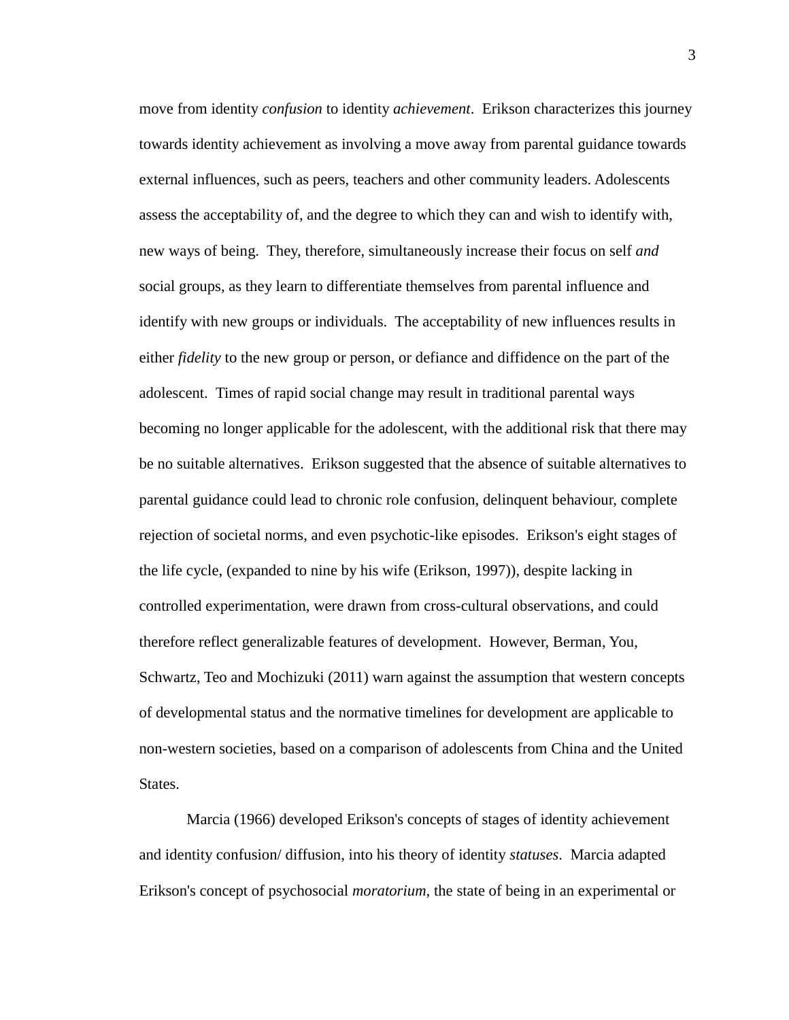move from identity *confusion* to identity *achievement*. Erikson characterizes this journey towards identity achievement as involving a move away from parental guidance towards external influences, such as peers, teachers and other community leaders. Adolescents assess the acceptability of, and the degree to which they can and wish to identify with, new ways of being. They, therefore, simultaneously increase their focus on self *and* social groups, as they learn to differentiate themselves from parental influence and identify with new groups or individuals. The acceptability of new influences results in either *fidelity* to the new group or person, or defiance and diffidence on the part of the adolescent. Times of rapid social change may result in traditional parental ways becoming no longer applicable for the adolescent, with the additional risk that there may be no suitable alternatives. Erikson suggested that the absence of suitable alternatives to parental guidance could lead to chronic role confusion, delinquent behaviour, complete rejection of societal norms, and even psychotic-like episodes. Erikson's eight stages of the life cycle, (expanded to nine by his wife (Erikson, 1997)), despite lacking in controlled experimentation, were drawn from cross-cultural observations, and could therefore reflect generalizable features of development. However, Berman, You, Schwartz, Teo and Mochizuki (2011) warn against the assumption that western concepts of developmental status and the normative timelines for development are applicable to non-western societies, based on a comparison of adolescents from China and the United States.

Marcia (1966) developed Erikson's concepts of stages of identity achievement and identity confusion/ diffusion, into his theory of identity *statuses*. Marcia adapted Erikson's concept of psychosocial *moratorium,* the state of being in an experimental or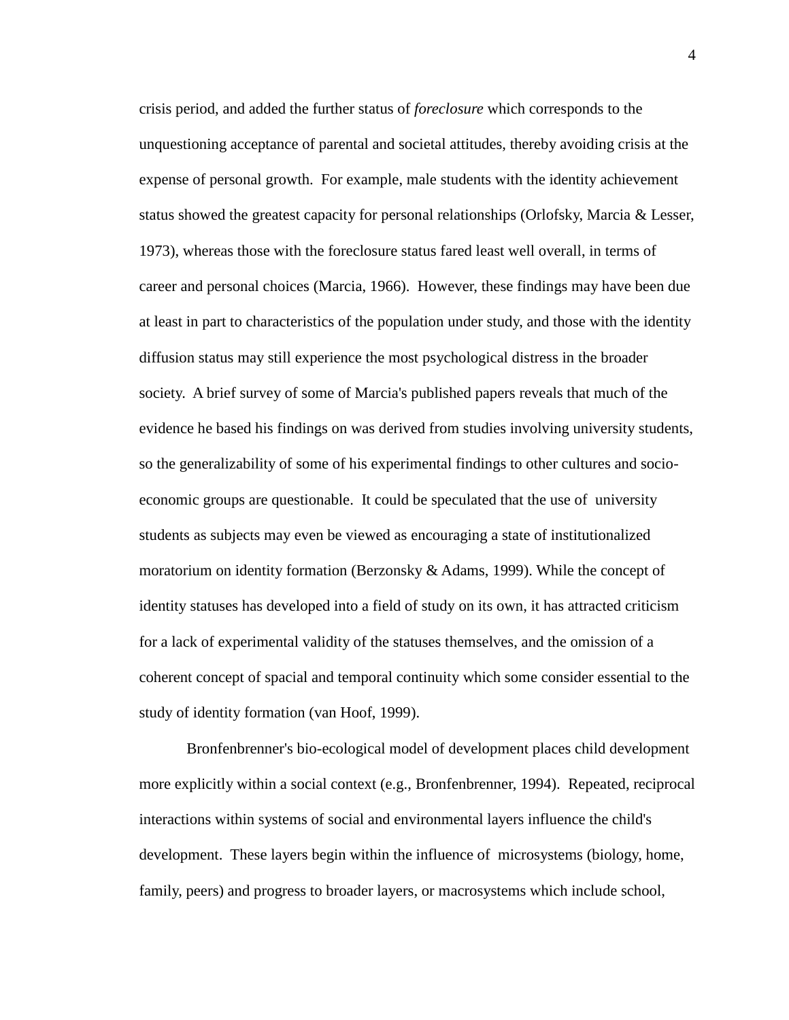crisis period, and added the further status of *foreclosure* which corresponds to the unquestioning acceptance of parental and societal attitudes, thereby avoiding crisis at the expense of personal growth. For example, male students with the identity achievement status showed the greatest capacity for personal relationships (Orlofsky, Marcia & Lesser, 1973), whereas those with the foreclosure status fared least well overall, in terms of career and personal choices (Marcia, 1966). However, these findings may have been due at least in part to characteristics of the population under study, and those with the identity diffusion status may still experience the most psychological distress in the broader society. A brief survey of some of Marcia's published papers reveals that much of the evidence he based his findings on was derived from studies involving university students, so the generalizability of some of his experimental findings to other cultures and socioeconomic groups are questionable. It could be speculated that the use of university students as subjects may even be viewed as encouraging a state of institutionalized moratorium on identity formation (Berzonsky & Adams, 1999). While the concept of identity statuses has developed into a field of study on its own, it has attracted criticism for a lack of experimental validity of the statuses themselves, and the omission of a coherent concept of spacial and temporal continuity which some consider essential to the study of identity formation (van Hoof, 1999).

Bronfenbrenner's bio-ecological model of development places child development more explicitly within a social context (e.g., Bronfenbrenner, 1994). Repeated, reciprocal interactions within systems of social and environmental layers influence the child's development. These layers begin within the influence of microsystems (biology, home, family, peers) and progress to broader layers, or macrosystems which include school,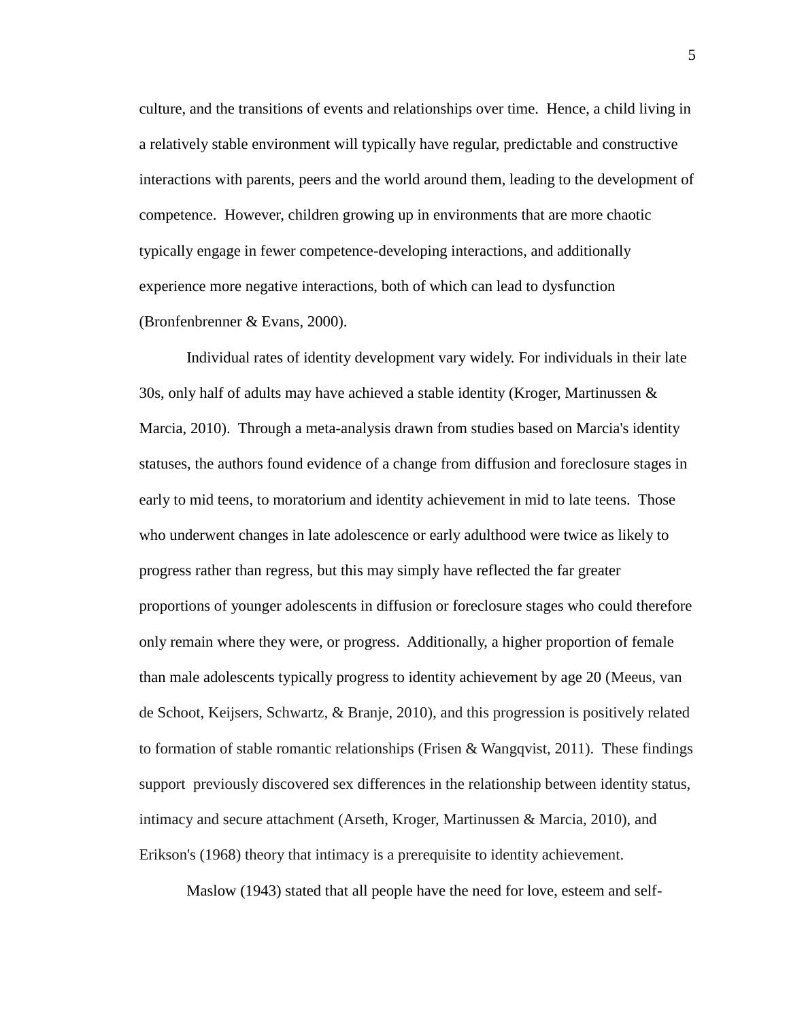culture, and the transitions of events and relationships over time. Hence, a child living in a relatively stable environment will typically have regular, predictable and constructive interactions with parents, peers and the world around them, leading to the development of competence. However, children growing up in environments that are more chaotic typically engage in fewer competence-developing interactions, and additionally experience more negative interactions, both of which can lead to dysfunction (Bronfenbrenner & Evans, 2000).

Individual rates of identity development vary widely. For individuals in their late 30s, only half of adults may have achieved a stable identity (Kroger, Martinussen & Marcia, 2010). Through a meta-analysis drawn from studies based on Marcia's identity statuses, the authors found evidence of a change from diffusion and foreclosure stages in early to mid teens, to moratorium and identity achievement in mid to late teens. Those who underwent changes in late adolescence or early adulthood were twice as likely to progress rather than regress, but this may simply have reflected the far greater proportions of younger adolescents in diffusion or foreclosure stages who could therefore only remain where they were, or progress. Additionally, a higher proportion of female than male adolescents typically progress to identity achievement by age 20 (Meeus, van de Schoot, Keijsers, Schwartz, & Branje, 2010), and this progression is positively related to formation of stable romantic relationships (Frisen & Wangqvist, 2011). These findings support previously discovered sex differences in the relationship between identity status, intimacy and secure attachment (Arseth, Kroger, Martinussen & Marcia, 2010), and Erikson's (1968) theory that intimacy is a prerequisite to identity achievement.

Maslow (1943) stated that all people have the need for love, esteem and self-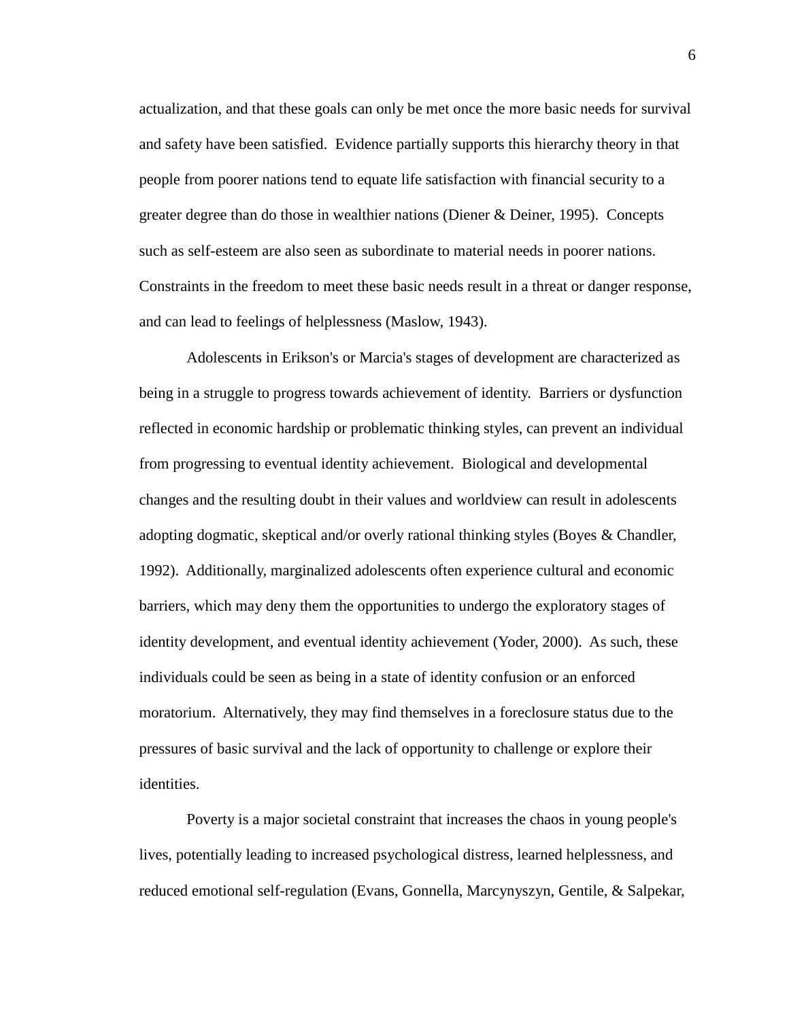actualization, and that these goals can only be met once the more basic needs for survival and safety have been satisfied. Evidence partially supports this hierarchy theory in that people from poorer nations tend to equate life satisfaction with financial security to a greater degree than do those in wealthier nations (Diener & Deiner, 1995). Concepts such as self-esteem are also seen as subordinate to material needs in poorer nations. Constraints in the freedom to meet these basic needs result in a threat or danger response, and can lead to feelings of helplessness (Maslow, 1943).

Adolescents in Erikson's or Marcia's stages of development are characterized as being in a struggle to progress towards achievement of identity. Barriers or dysfunction reflected in economic hardship or problematic thinking styles, can prevent an individual from progressing to eventual identity achievement. Biological and developmental changes and the resulting doubt in their values and worldview can result in adolescents adopting dogmatic, skeptical and/or overly rational thinking styles (Boyes & Chandler, 1992). Additionally, marginalized adolescents often experience cultural and economic barriers, which may deny them the opportunities to undergo the exploratory stages of identity development, and eventual identity achievement (Yoder, 2000). As such, these individuals could be seen as being in a state of identity confusion or an enforced moratorium. Alternatively, they may find themselves in a foreclosure status due to the pressures of basic survival and the lack of opportunity to challenge or explore their identities.

Poverty is a major societal constraint that increases the chaos in young people's lives, potentially leading to increased psychological distress, learned helplessness, and reduced emotional self-regulation (Evans, Gonnella, Marcynyszyn, Gentile, & Salpekar,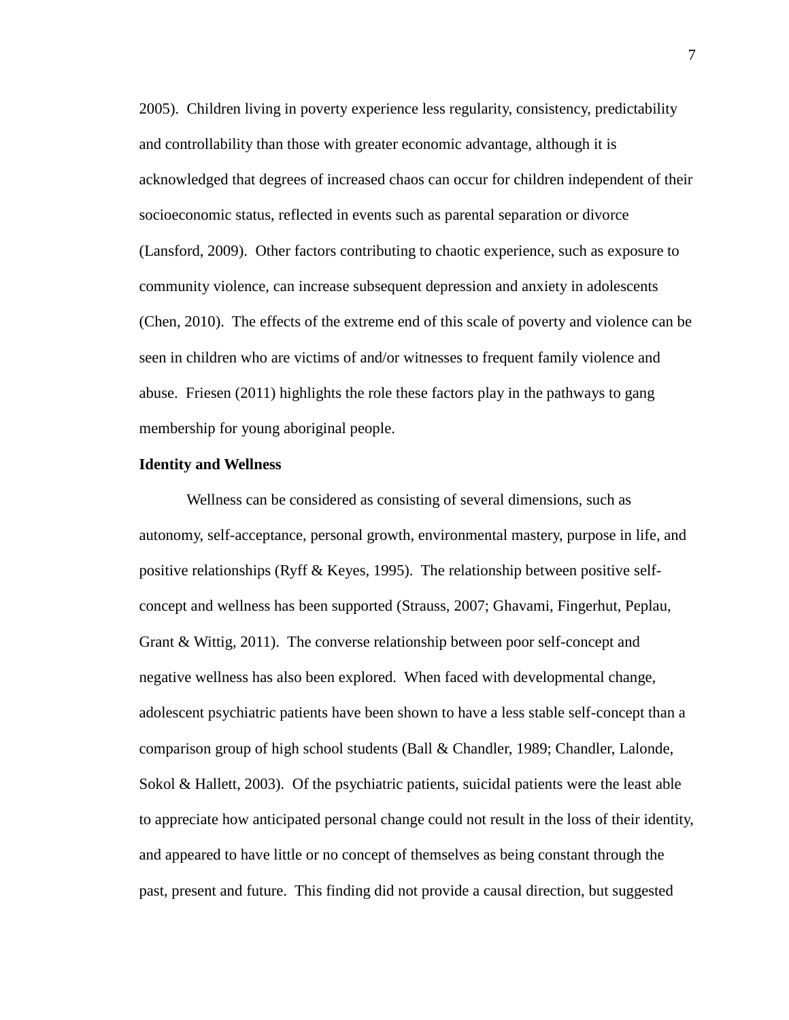2005). Children living in poverty experience less regularity, consistency, predictability and controllability than those with greater economic advantage, although it is acknowledged that degrees of increased chaos can occur for children independent of their socioeconomic status, reflected in events such as parental separation or divorce (Lansford, 2009). Other factors contributing to chaotic experience, such as exposure to community violence, can increase subsequent depression and anxiety in adolescents (Chen, 2010). The effects of the extreme end of this scale of poverty and violence can be seen in children who are victims of and/or witnesses to frequent family violence and abuse. Friesen (2011) highlights the role these factors play in the pathways to gang membership for young aboriginal people.

#### **Identity and Wellness**

Wellness can be considered as consisting of several dimensions, such as autonomy, self-acceptance, personal growth, environmental mastery, purpose in life, and positive relationships (Ryff & Keyes, 1995). The relationship between positive selfconcept and wellness has been supported (Strauss, 2007; Ghavami, Fingerhut, Peplau, Grant & Wittig, 2011). The converse relationship between poor self-concept and negative wellness has also been explored. When faced with developmental change, adolescent psychiatric patients have been shown to have a less stable self-concept than a comparison group of high school students (Ball & Chandler, 1989; Chandler, Lalonde, Sokol & Hallett, 2003). Of the psychiatric patients, suicidal patients were the least able to appreciate how anticipated personal change could not result in the loss of their identity, and appeared to have little or no concept of themselves as being constant through the past, present and future. This finding did not provide a causal direction, but suggested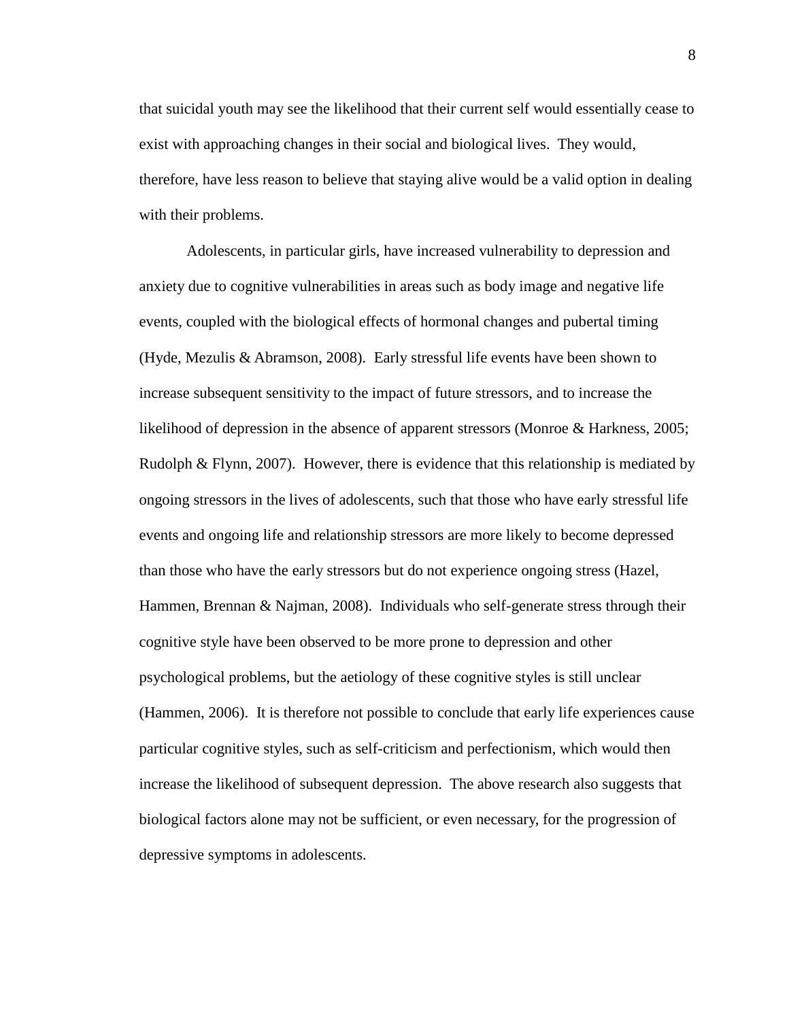that suicidal youth may see the likelihood that their current self would essentially cease to exist with approaching changes in their social and biological lives. They would, therefore, have less reason to believe that staying alive would be a valid option in dealing with their problems.

Adolescents, in particular girls, have increased vulnerability to depression and anxiety due to cognitive vulnerabilities in areas such as body image and negative life events, coupled with the biological effects of hormonal changes and pubertal timing (Hyde, Mezulis & Abramson, 2008). Early stressful life events have been shown to increase subsequent sensitivity to the impact of future stressors, and to increase the likelihood of depression in the absence of apparent stressors (Monroe & Harkness, 2005; Rudolph & Flynn, 2007). However, there is evidence that this relationship is mediated by ongoing stressors in the lives of adolescents, such that those who have early stressful life events and ongoing life and relationship stressors are more likely to become depressed than those who have the early stressors but do not experience ongoing stress (Hazel, Hammen, Brennan & Najman, 2008). Individuals who self-generate stress through their cognitive style have been observed to be more prone to depression and other psychological problems, but the aetiology of these cognitive styles is still unclear (Hammen, 2006). It is therefore not possible to conclude that early life experiences cause particular cognitive styles, such as self-criticism and perfectionism, which would then increase the likelihood of subsequent depression. The above research also suggests that biological factors alone may not be sufficient, or even necessary, for the progression of depressive symptoms in adolescents.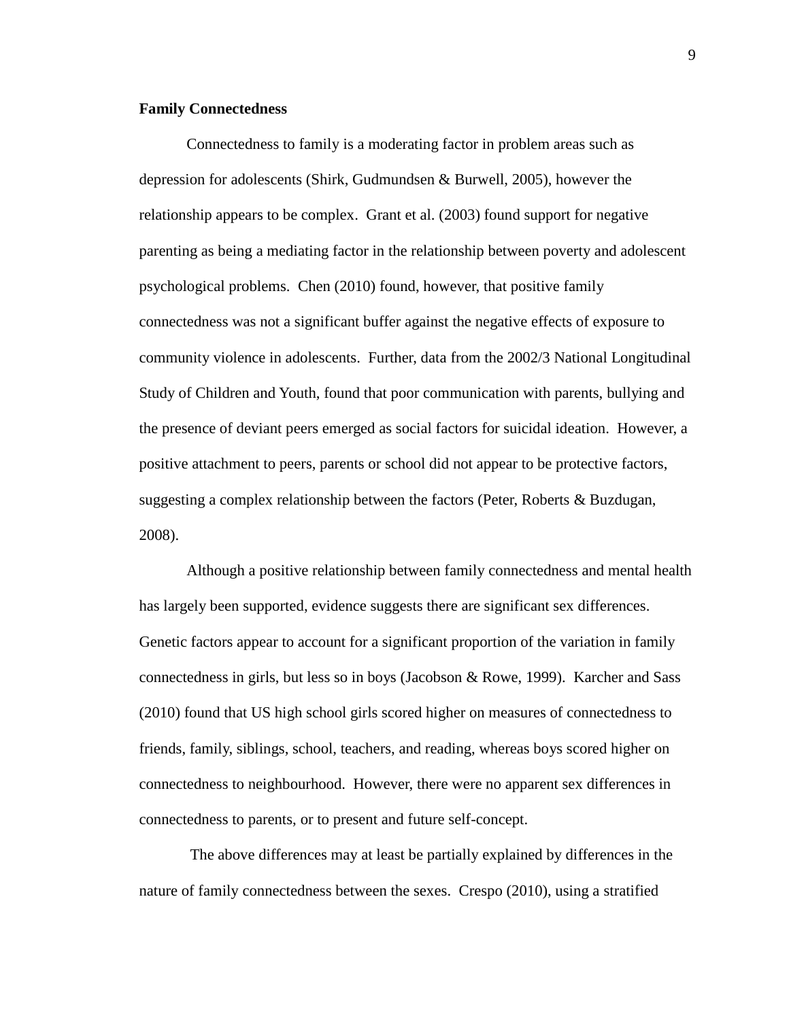#### **Family Connectedness**

Connectedness to family is a moderating factor in problem areas such as depression for adolescents (Shirk, Gudmundsen & Burwell, 2005), however the relationship appears to be complex. Grant et al. (2003) found support for negative parenting as being a mediating factor in the relationship between poverty and adolescent psychological problems. Chen (2010) found, however, that positive family connectedness was not a significant buffer against the negative effects of exposure to community violence in adolescents. Further, data from the 2002/3 National Longitudinal Study of Children and Youth, found that poor communication with parents, bullying and the presence of deviant peers emerged as social factors for suicidal ideation. However, a positive attachment to peers, parents or school did not appear to be protective factors, suggesting a complex relationship between the factors (Peter, Roberts & Buzdugan, 2008).

Although a positive relationship between family connectedness and mental health has largely been supported, evidence suggests there are significant sex differences. Genetic factors appear to account for a significant proportion of the variation in family connectedness in girls, but less so in boys (Jacobson & Rowe, 1999). Karcher and Sass (2010) found that US high school girls scored higher on measures of connectedness to friends, family, siblings, school, teachers, and reading, whereas boys scored higher on connectedness to neighbourhood. However, there were no apparent sex differences in connectedness to parents, or to present and future self-concept.

The above differences may at least be partially explained by differences in the nature of family connectedness between the sexes. Crespo (2010), using a stratified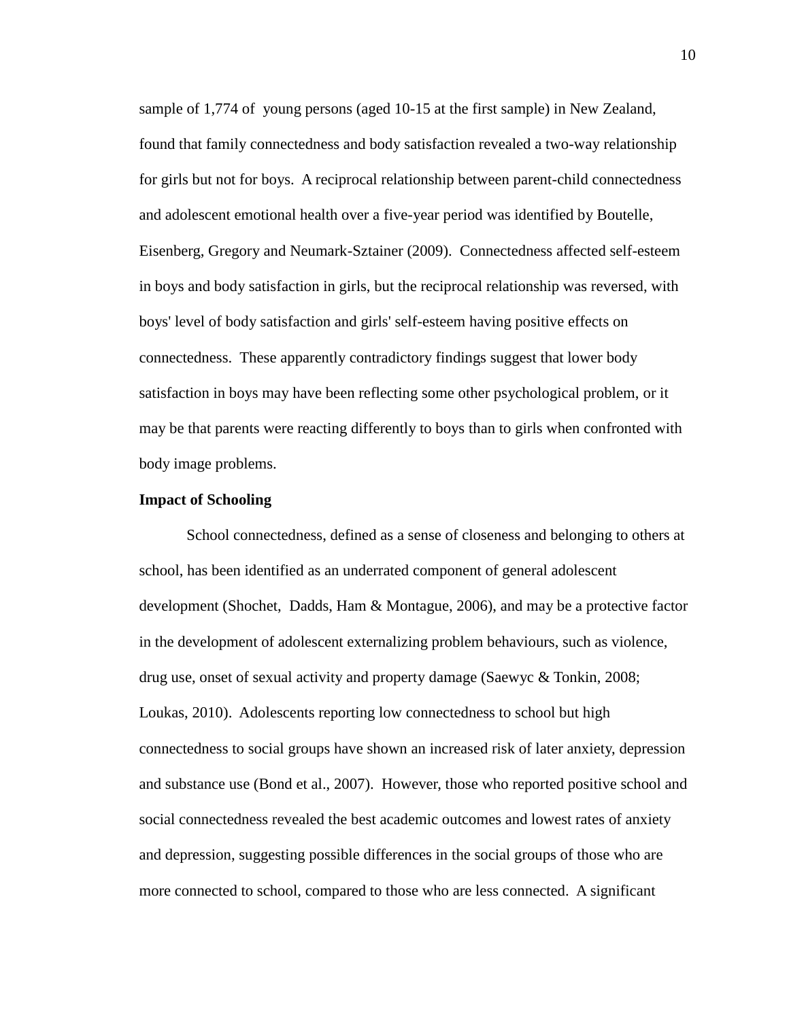sample of 1,774 of young persons (aged 10-15 at the first sample) in New Zealand, found that family connectedness and body satisfaction revealed a two-way relationship for girls but not for boys. A reciprocal relationship between parent-child connectedness and adolescent emotional health over a five-year period was identified by Boutelle, Eisenberg, Gregory and Neumark-Sztainer (2009). Connectedness affected self-esteem in boys and body satisfaction in girls, but the reciprocal relationship was reversed, with boys' level of body satisfaction and girls' self-esteem having positive effects on connectedness. These apparently contradictory findings suggest that lower body satisfaction in boys may have been reflecting some other psychological problem, or it may be that parents were reacting differently to boys than to girls when confronted with body image problems.

#### **Impact of Schooling**

School connectedness, defined as a sense of closeness and belonging to others at school, has been identified as an underrated component of general adolescent development (Shochet, Dadds, Ham & Montague, 2006), and may be a protective factor in the development of adolescent externalizing problem behaviours, such as violence, drug use, onset of sexual activity and property damage (Saewyc & Tonkin, 2008; Loukas, 2010). Adolescents reporting low connectedness to school but high connectedness to social groups have shown an increased risk of later anxiety, depression and substance use (Bond et al., 2007). However, those who reported positive school and social connectedness revealed the best academic outcomes and lowest rates of anxiety and depression, suggesting possible differences in the social groups of those who are more connected to school, compared to those who are less connected. A significant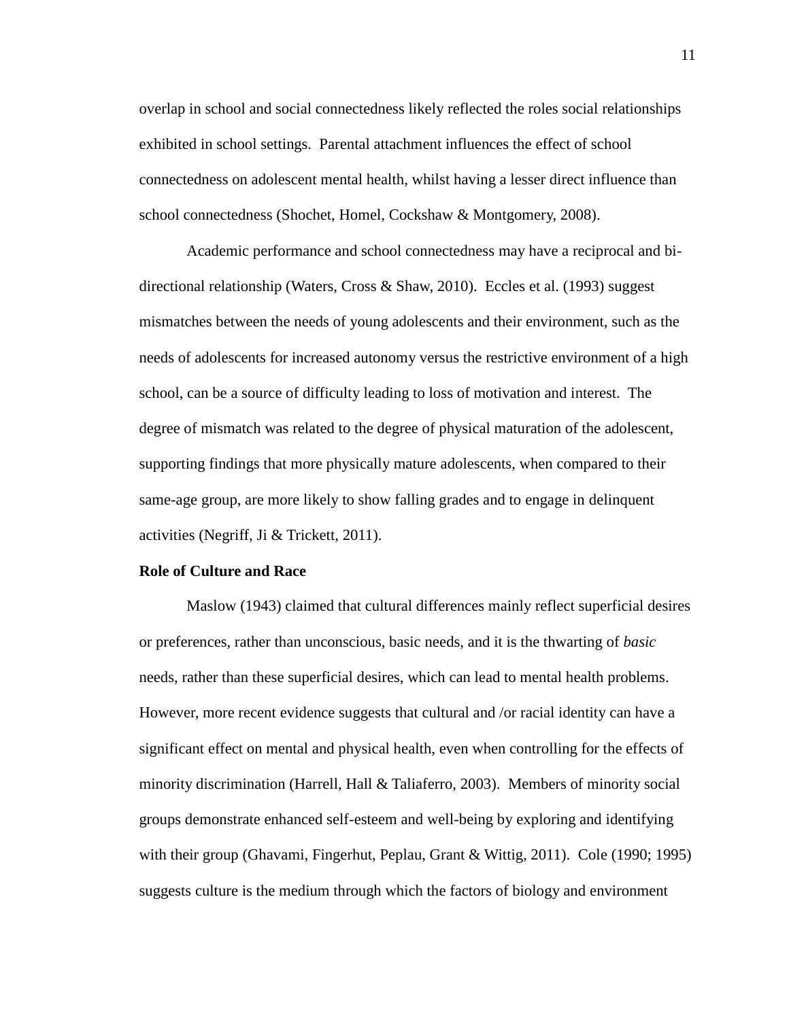overlap in school and social connectedness likely reflected the roles social relationships exhibited in school settings. Parental attachment influences the effect of school connectedness on adolescent mental health, whilst having a lesser direct influence than school connectedness (Shochet, Homel, Cockshaw & Montgomery, 2008).

Academic performance and school connectedness may have a reciprocal and bidirectional relationship (Waters, Cross & Shaw, 2010). Eccles et al. (1993) suggest mismatches between the needs of young adolescents and their environment, such as the needs of adolescents for increased autonomy versus the restrictive environment of a high school, can be a source of difficulty leading to loss of motivation and interest. The degree of mismatch was related to the degree of physical maturation of the adolescent, supporting findings that more physically mature adolescents, when compared to their same-age group, are more likely to show falling grades and to engage in delinquent activities (Negriff, Ji & Trickett, 2011).

#### **Role of Culture and Race**

Maslow (1943) claimed that cultural differences mainly reflect superficial desires or preferences, rather than unconscious, basic needs, and it is the thwarting of *basic* needs, rather than these superficial desires, which can lead to mental health problems. However, more recent evidence suggests that cultural and /or racial identity can have a significant effect on mental and physical health, even when controlling for the effects of minority discrimination (Harrell, Hall & Taliaferro, 2003). Members of minority social groups demonstrate enhanced self-esteem and well-being by exploring and identifying with their group (Ghavami, Fingerhut, Peplau, Grant & Wittig, 2011). Cole (1990; 1995) suggests culture is the medium through which the factors of biology and environment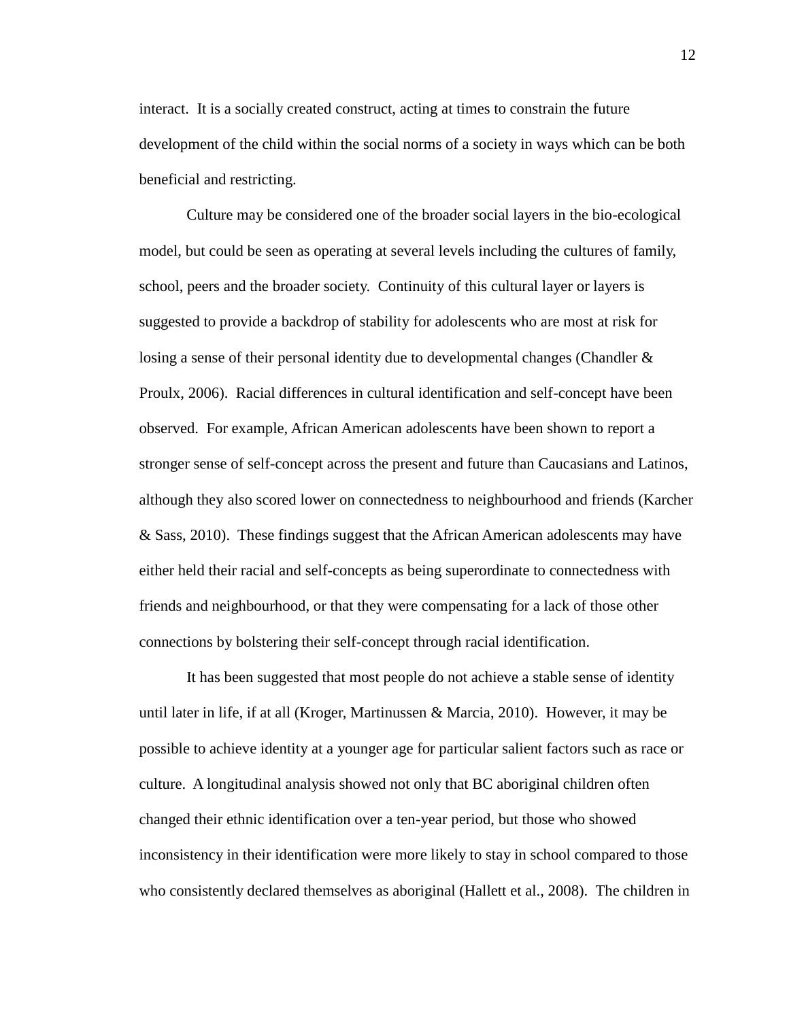interact. It is a socially created construct, acting at times to constrain the future development of the child within the social norms of a society in ways which can be both beneficial and restricting.

Culture may be considered one of the broader social layers in the bio-ecological model, but could be seen as operating at several levels including the cultures of family, school, peers and the broader society. Continuity of this cultural layer or layers is suggested to provide a backdrop of stability for adolescents who are most at risk for losing a sense of their personal identity due to developmental changes (Chandler  $\&$ Proulx, 2006). Racial differences in cultural identification and self-concept have been observed. For example, African American adolescents have been shown to report a stronger sense of self-concept across the present and future than Caucasians and Latinos, although they also scored lower on connectedness to neighbourhood and friends (Karcher & Sass, 2010). These findings suggest that the African American adolescents may have either held their racial and self-concepts as being superordinate to connectedness with friends and neighbourhood, or that they were compensating for a lack of those other connections by bolstering their self-concept through racial identification.

It has been suggested that most people do not achieve a stable sense of identity until later in life, if at all (Kroger, Martinussen & Marcia, 2010). However, it may be possible to achieve identity at a younger age for particular salient factors such as race or culture. A longitudinal analysis showed not only that BC aboriginal children often changed their ethnic identification over a ten-year period, but those who showed inconsistency in their identification were more likely to stay in school compared to those who consistently declared themselves as aboriginal (Hallett et al., 2008). The children in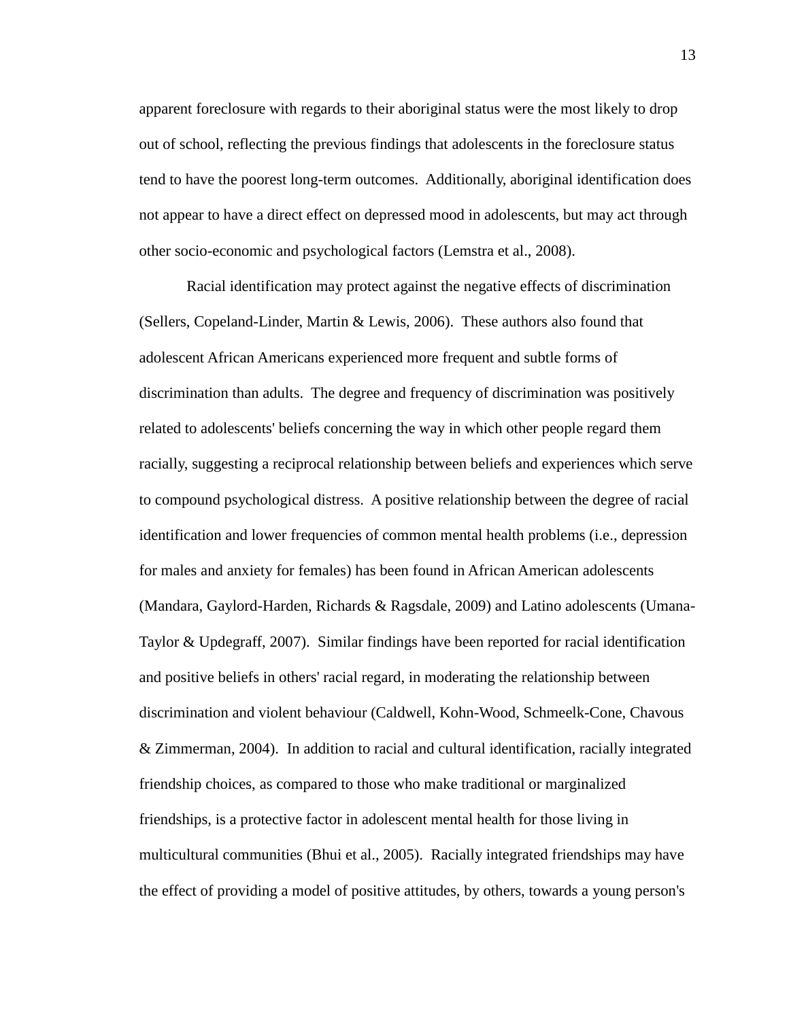apparent foreclosure with regards to their aboriginal status were the most likely to drop out of school, reflecting the previous findings that adolescents in the foreclosure status tend to have the poorest long-term outcomes. Additionally, aboriginal identification does not appear to have a direct effect on depressed mood in adolescents, but may act through other socio-economic and psychological factors (Lemstra et al., 2008).

Racial identification may protect against the negative effects of discrimination (Sellers, Copeland-Linder, Martin & Lewis, 2006). These authors also found that adolescent African Americans experienced more frequent and subtle forms of discrimination than adults. The degree and frequency of discrimination was positively related to adolescents' beliefs concerning the way in which other people regard them racially, suggesting a reciprocal relationship between beliefs and experiences which serve to compound psychological distress. A positive relationship between the degree of racial identification and lower frequencies of common mental health problems (i.e., depression for males and anxiety for females) has been found in African American adolescents (Mandara, Gaylord-Harden, Richards & Ragsdale, 2009) and Latino adolescents (Umana-Taylor & Updegraff, 2007). Similar findings have been reported for racial identification and positive beliefs in others' racial regard, in moderating the relationship between discrimination and violent behaviour (Caldwell, Kohn-Wood, Schmeelk-Cone, Chavous & Zimmerman, 2004). In addition to racial and cultural identification, racially integrated friendship choices, as compared to those who make traditional or marginalized friendships, is a protective factor in adolescent mental health for those living in multicultural communities (Bhui et al., 2005). Racially integrated friendships may have the effect of providing a model of positive attitudes, by others, towards a young person's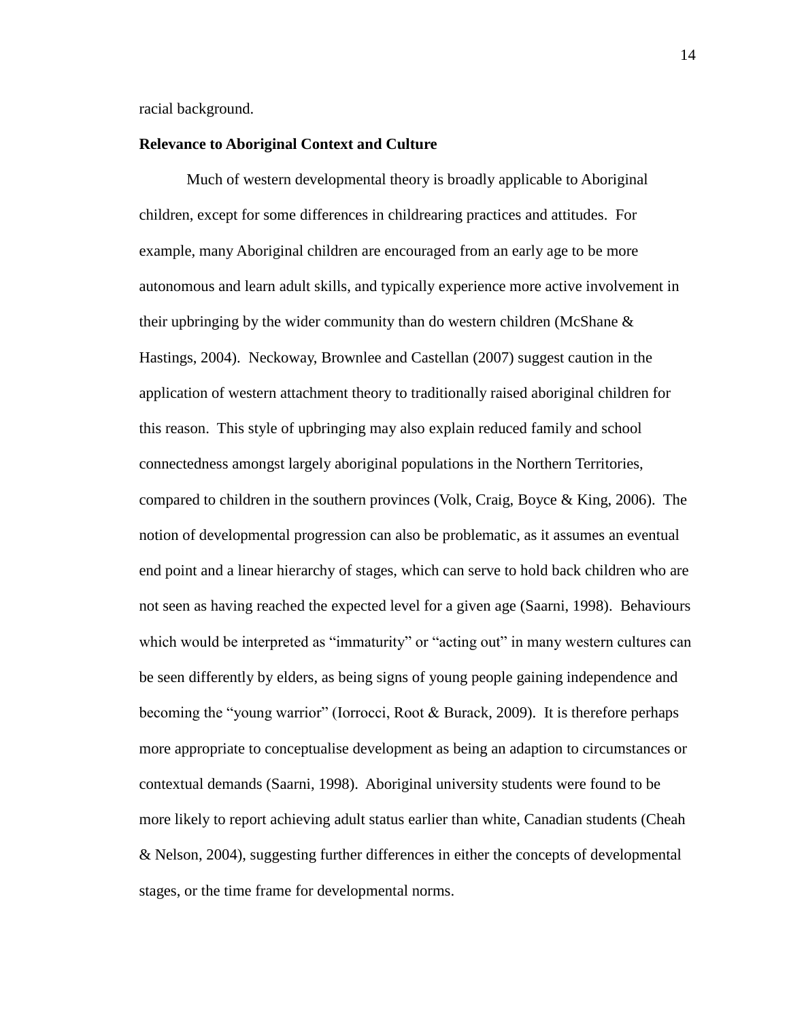racial background.

#### **Relevance to Aboriginal Context and Culture**

Much of western developmental theory is broadly applicable to Aboriginal children, except for some differences in childrearing practices and attitudes. For example, many Aboriginal children are encouraged from an early age to be more autonomous and learn adult skills, and typically experience more active involvement in their upbringing by the wider community than do western children (McShane & Hastings, 2004). Neckoway, Brownlee and Castellan (2007) suggest caution in the application of western attachment theory to traditionally raised aboriginal children for this reason. This style of upbringing may also explain reduced family and school connectedness amongst largely aboriginal populations in the Northern Territories, compared to children in the southern provinces (Volk, Craig, Boyce  $\&$  King, 2006). The notion of developmental progression can also be problematic, as it assumes an eventual end point and a linear hierarchy of stages, which can serve to hold back children who are not seen as having reached the expected level for a given age (Saarni, 1998). Behaviours which would be interpreted as "immaturity" or "acting out" in many western cultures can be seen differently by elders, as being signs of young people gaining independence and becoming the "young warrior" (Iorrocci, Root & Burack, 2009). It is therefore perhaps more appropriate to conceptualise development as being an adaption to circumstances or contextual demands (Saarni, 1998). Aboriginal university students were found to be more likely to report achieving adult status earlier than white, Canadian students (Cheah & Nelson, 2004), suggesting further differences in either the concepts of developmental stages, or the time frame for developmental norms.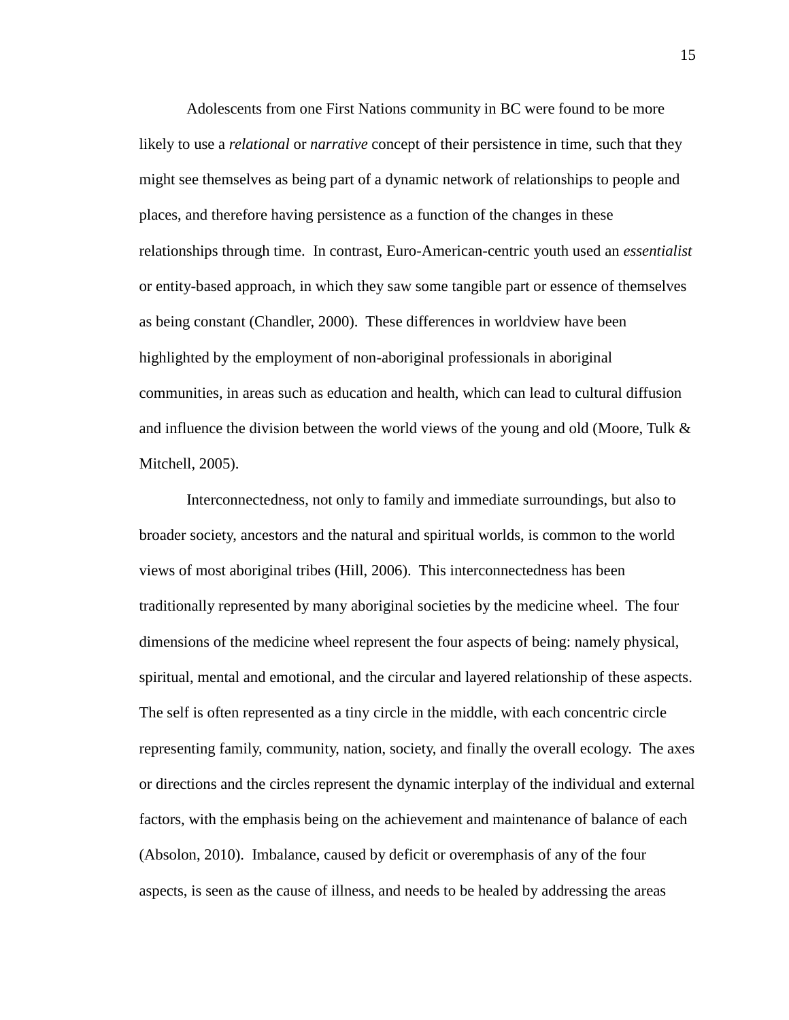Adolescents from one First Nations community in BC were found to be more likely to use a *relational* or *narrative* concept of their persistence in time, such that they might see themselves as being part of a dynamic network of relationships to people and places, and therefore having persistence as a function of the changes in these relationships through time. In contrast, Euro-American-centric youth used an *essentialist* or entity-based approach, in which they saw some tangible part or essence of themselves as being constant (Chandler, 2000). These differences in worldview have been highlighted by the employment of non-aboriginal professionals in aboriginal communities, in areas such as education and health, which can lead to cultural diffusion and influence the division between the world views of the young and old (Moore, Tulk & Mitchell, 2005).

Interconnectedness, not only to family and immediate surroundings, but also to broader society, ancestors and the natural and spiritual worlds, is common to the world views of most aboriginal tribes (Hill, 2006). This interconnectedness has been traditionally represented by many aboriginal societies by the medicine wheel. The four dimensions of the medicine wheel represent the four aspects of being: namely physical, spiritual, mental and emotional, and the circular and layered relationship of these aspects. The self is often represented as a tiny circle in the middle, with each concentric circle representing family, community, nation, society, and finally the overall ecology. The axes or directions and the circles represent the dynamic interplay of the individual and external factors, with the emphasis being on the achievement and maintenance of balance of each (Absolon, 2010). Imbalance, caused by deficit or overemphasis of any of the four aspects, is seen as the cause of illness, and needs to be healed by addressing the areas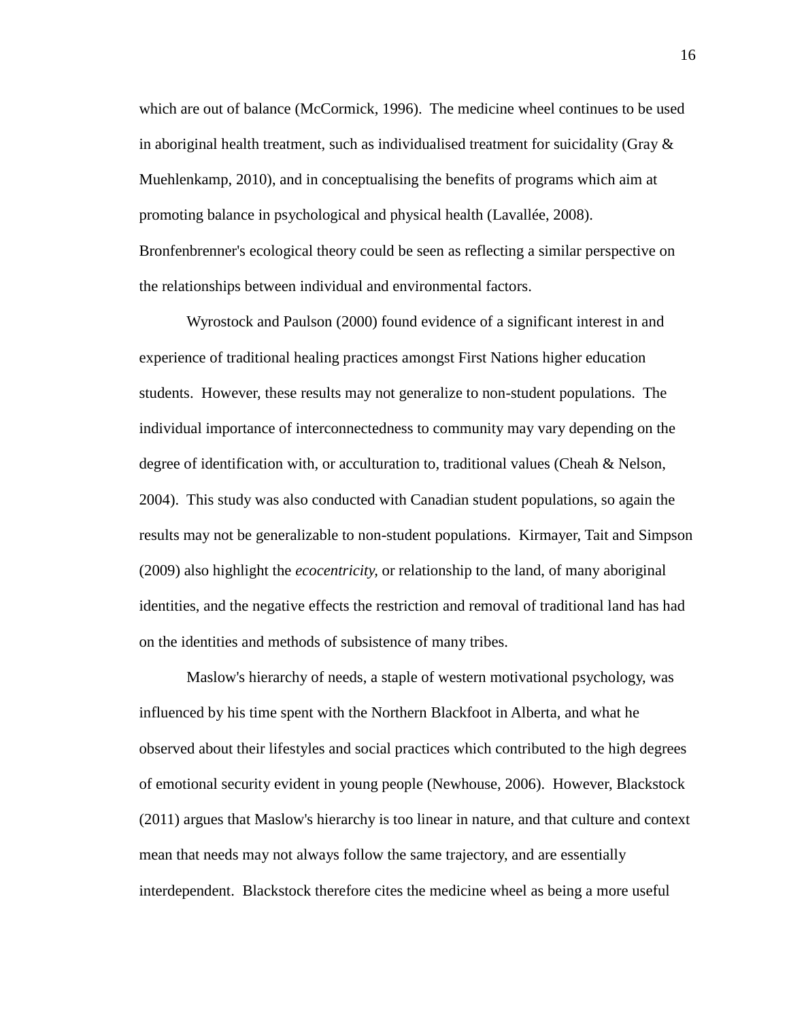which are out of balance (McCormick, 1996). The medicine wheel continues to be used in aboriginal health treatment, such as individualised treatment for suicidality (Gray  $\&$ Muehlenkamp, 2010), and in conceptualising the benefits of programs which aim at promoting balance in psychological and physical health (Lavallée, 2008). Bronfenbrenner's ecological theory could be seen as reflecting a similar perspective on the relationships between individual and environmental factors.

Wyrostock and Paulson (2000) found evidence of a significant interest in and experience of traditional healing practices amongst First Nations higher education students. However, these results may not generalize to non-student populations. The individual importance of interconnectedness to community may vary depending on the degree of identification with, or acculturation to, traditional values (Cheah & Nelson, 2004). This study was also conducted with Canadian student populations, so again the results may not be generalizable to non-student populations. Kirmayer, Tait and Simpson (2009) also highlight the *ecocentricity,* or relationship to the land, of many aboriginal identities, and the negative effects the restriction and removal of traditional land has had on the identities and methods of subsistence of many tribes.

Maslow's hierarchy of needs, a staple of western motivational psychology, was influenced by his time spent with the Northern Blackfoot in Alberta, and what he observed about their lifestyles and social practices which contributed to the high degrees of emotional security evident in young people (Newhouse, 2006). However, Blackstock (2011) argues that Maslow's hierarchy is too linear in nature, and that culture and context mean that needs may not always follow the same trajectory, and are essentially interdependent. Blackstock therefore cites the medicine wheel as being a more useful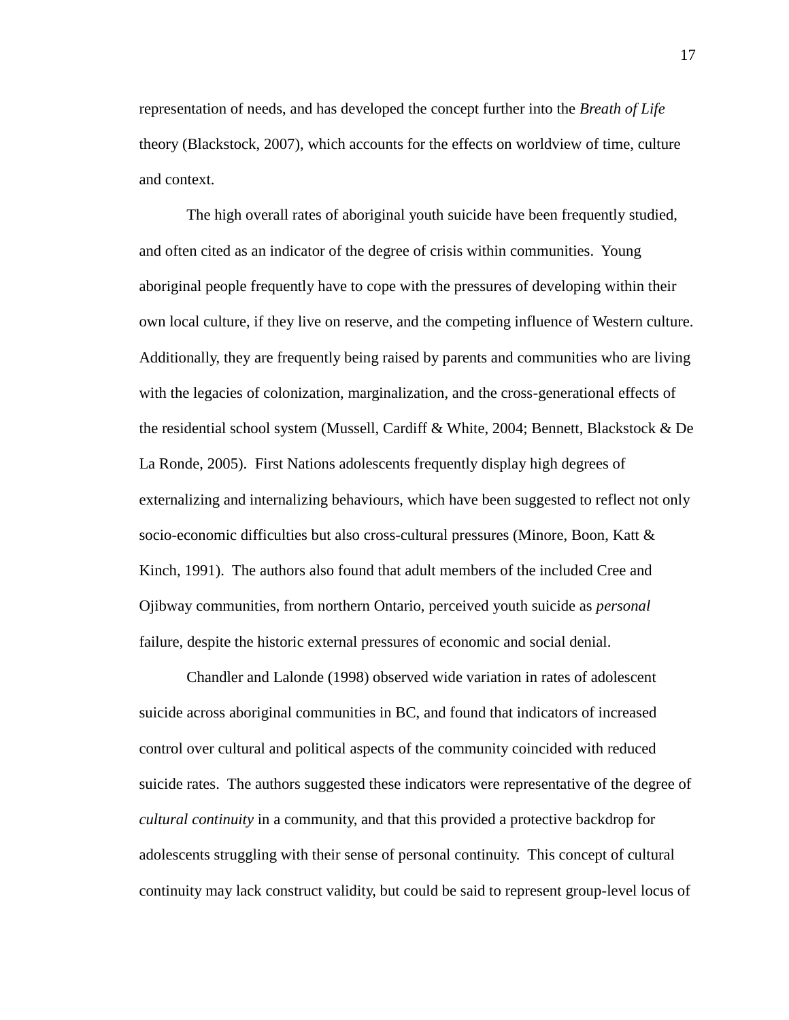representation of needs, and has developed the concept further into the *Breath of Life* theory (Blackstock, 2007), which accounts for the effects on worldview of time, culture and context.

The high overall rates of aboriginal youth suicide have been frequently studied, and often cited as an indicator of the degree of crisis within communities. Young aboriginal people frequently have to cope with the pressures of developing within their own local culture, if they live on reserve, and the competing influence of Western culture. Additionally, they are frequently being raised by parents and communities who are living with the legacies of colonization, marginalization, and the cross-generational effects of the residential school system (Mussell, Cardiff & White, 2004; Bennett, Blackstock & De La Ronde, 2005). First Nations adolescents frequently display high degrees of externalizing and internalizing behaviours, which have been suggested to reflect not only socio-economic difficulties but also cross-cultural pressures (Minore, Boon, Katt & Kinch, 1991). The authors also found that adult members of the included Cree and Ojibway communities, from northern Ontario, perceived youth suicide as *personal* failure, despite the historic external pressures of economic and social denial.

Chandler and Lalonde (1998) observed wide variation in rates of adolescent suicide across aboriginal communities in BC, and found that indicators of increased control over cultural and political aspects of the community coincided with reduced suicide rates. The authors suggested these indicators were representative of the degree of *cultural continuity* in a community, and that this provided a protective backdrop for adolescents struggling with their sense of personal continuity. This concept of cultural continuity may lack construct validity, but could be said to represent group-level locus of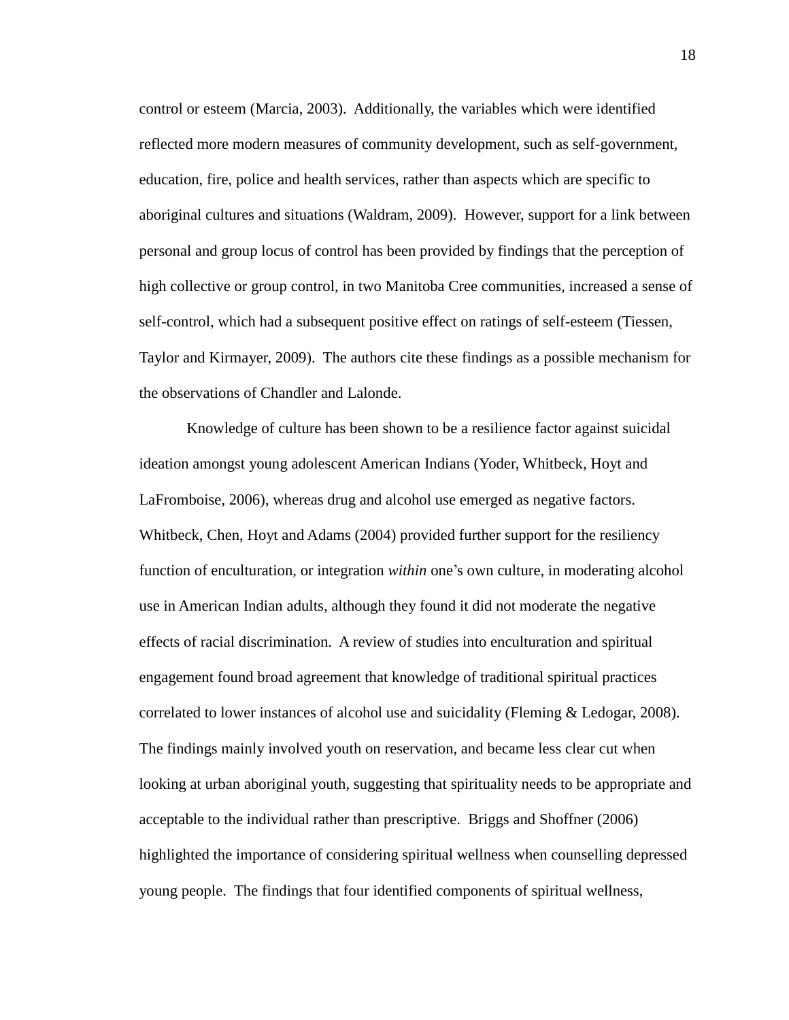control or esteem (Marcia, 2003). Additionally, the variables which were identified reflected more modern measures of community development, such as self-government, education, fire, police and health services, rather than aspects which are specific to aboriginal cultures and situations (Waldram, 2009). However, support for a link between personal and group locus of control has been provided by findings that the perception of high collective or group control, in two Manitoba Cree communities, increased a sense of self-control, which had a subsequent positive effect on ratings of self-esteem (Tiessen, Taylor and Kirmayer, 2009). The authors cite these findings as a possible mechanism for the observations of Chandler and Lalonde.

Knowledge of culture has been shown to be a resilience factor against suicidal ideation amongst young adolescent American Indians (Yoder, Whitbeck, Hoyt and LaFromboise, 2006), whereas drug and alcohol use emerged as negative factors. Whitbeck, Chen, Hoyt and Adams (2004) provided further support for the resiliency function of enculturation, or integration *within* one's own culture, in moderating alcohol use in American Indian adults, although they found it did not moderate the negative effects of racial discrimination. A review of studies into enculturation and spiritual engagement found broad agreement that knowledge of traditional spiritual practices correlated to lower instances of alcohol use and suicidality (Fleming & Ledogar, 2008). The findings mainly involved youth on reservation, and became less clear cut when looking at urban aboriginal youth, suggesting that spirituality needs to be appropriate and acceptable to the individual rather than prescriptive. Briggs and Shoffner (2006) highlighted the importance of considering spiritual wellness when counselling depressed young people. The findings that four identified components of spiritual wellness,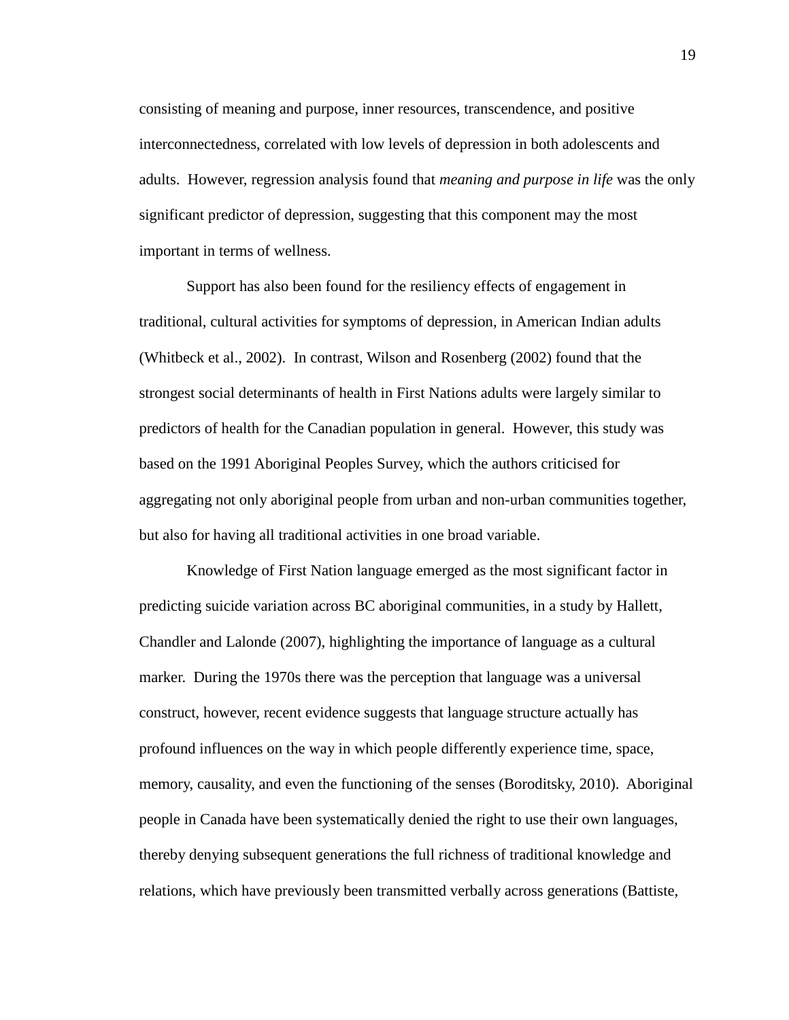consisting of meaning and purpose, inner resources, transcendence, and positive interconnectedness, correlated with low levels of depression in both adolescents and adults. However, regression analysis found that *meaning and purpose in life* was the only significant predictor of depression, suggesting that this component may the most important in terms of wellness.

Support has also been found for the resiliency effects of engagement in traditional, cultural activities for symptoms of depression, in American Indian adults (Whitbeck et al., 2002). In contrast, Wilson and Rosenberg (2002) found that the strongest social determinants of health in First Nations adults were largely similar to predictors of health for the Canadian population in general. However, this study was based on the 1991 Aboriginal Peoples Survey, which the authors criticised for aggregating not only aboriginal people from urban and non-urban communities together, but also for having all traditional activities in one broad variable.

Knowledge of First Nation language emerged as the most significant factor in predicting suicide variation across BC aboriginal communities, in a study by Hallett, Chandler and Lalonde (2007), highlighting the importance of language as a cultural marker. During the 1970s there was the perception that language was a universal construct, however, recent evidence suggests that language structure actually has profound influences on the way in which people differently experience time, space, memory, causality, and even the functioning of the senses (Boroditsky, 2010). Aboriginal people in Canada have been systematically denied the right to use their own languages, thereby denying subsequent generations the full richness of traditional knowledge and relations, which have previously been transmitted verbally across generations (Battiste,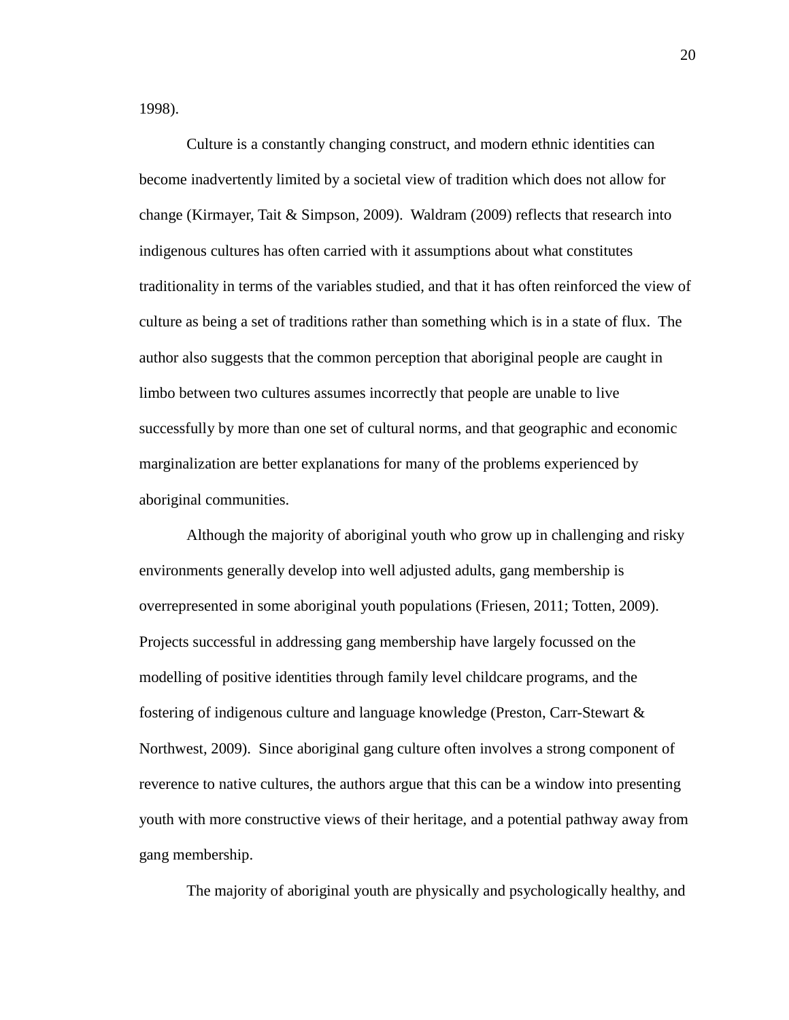1998).

Culture is a constantly changing construct, and modern ethnic identities can become inadvertently limited by a societal view of tradition which does not allow for change (Kirmayer, Tait & Simpson, 2009). Waldram (2009) reflects that research into indigenous cultures has often carried with it assumptions about what constitutes traditionality in terms of the variables studied, and that it has often reinforced the view of culture as being a set of traditions rather than something which is in a state of flux. The author also suggests that the common perception that aboriginal people are caught in limbo between two cultures assumes incorrectly that people are unable to live successfully by more than one set of cultural norms, and that geographic and economic marginalization are better explanations for many of the problems experienced by aboriginal communities.

Although the majority of aboriginal youth who grow up in challenging and risky environments generally develop into well adjusted adults, gang membership is overrepresented in some aboriginal youth populations (Friesen, 2011; Totten, 2009). Projects successful in addressing gang membership have largely focussed on the modelling of positive identities through family level childcare programs, and the fostering of indigenous culture and language knowledge (Preston, Carr-Stewart & Northwest, 2009). Since aboriginal gang culture often involves a strong component of reverence to native cultures, the authors argue that this can be a window into presenting youth with more constructive views of their heritage, and a potential pathway away from gang membership.

The majority of aboriginal youth are physically and psychologically healthy, and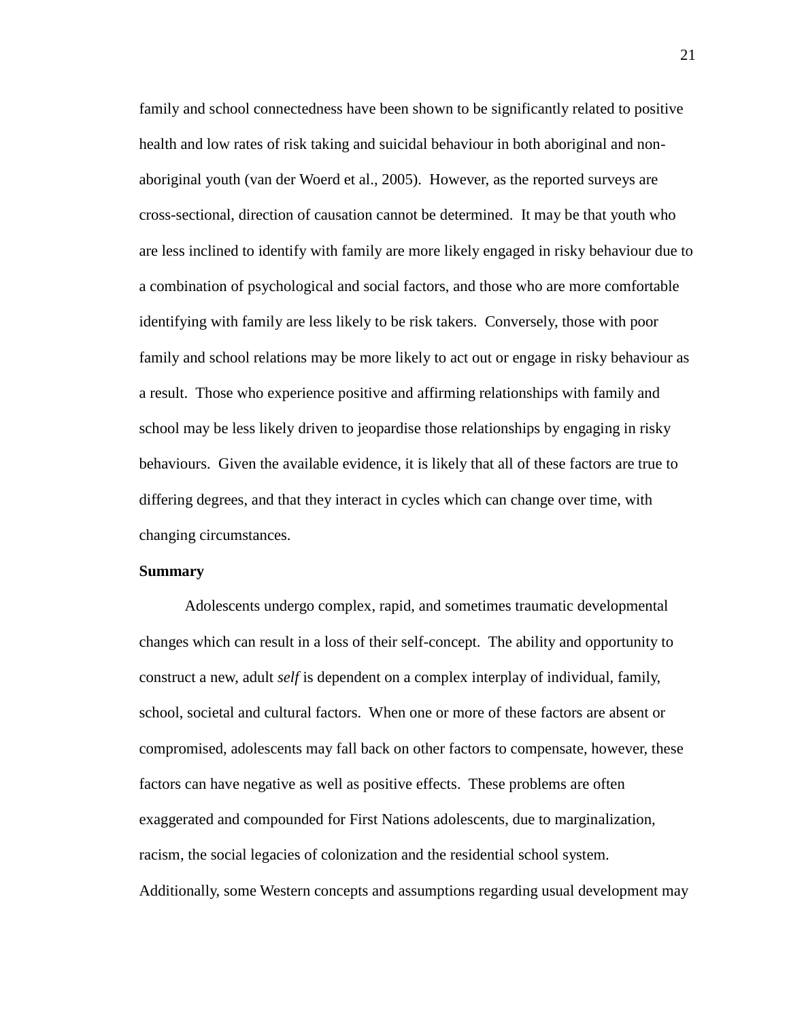family and school connectedness have been shown to be significantly related to positive health and low rates of risk taking and suicidal behaviour in both aboriginal and nonaboriginal youth (van der Woerd et al., 2005). However, as the reported surveys are cross-sectional, direction of causation cannot be determined. It may be that youth who are less inclined to identify with family are more likely engaged in risky behaviour due to a combination of psychological and social factors, and those who are more comfortable identifying with family are less likely to be risk takers. Conversely, those with poor family and school relations may be more likely to act out or engage in risky behaviour as a result. Those who experience positive and affirming relationships with family and school may be less likely driven to jeopardise those relationships by engaging in risky behaviours. Given the available evidence, it is likely that all of these factors are true to differing degrees, and that they interact in cycles which can change over time, with changing circumstances.

#### **Summary**

Adolescents undergo complex, rapid, and sometimes traumatic developmental changes which can result in a loss of their self-concept. The ability and opportunity to construct a new, adult *self* is dependent on a complex interplay of individual, family, school, societal and cultural factors. When one or more of these factors are absent or compromised, adolescents may fall back on other factors to compensate, however, these factors can have negative as well as positive effects. These problems are often exaggerated and compounded for First Nations adolescents, due to marginalization, racism, the social legacies of colonization and the residential school system. Additionally, some Western concepts and assumptions regarding usual development may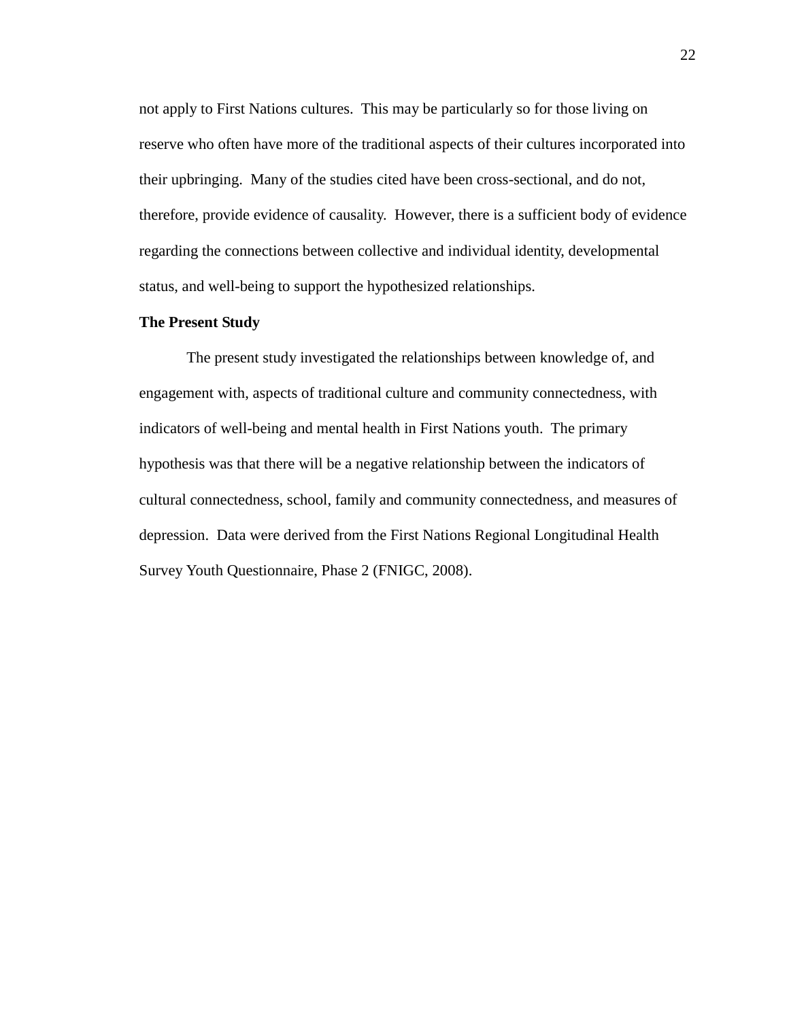not apply to First Nations cultures. This may be particularly so for those living on reserve who often have more of the traditional aspects of their cultures incorporated into their upbringing. Many of the studies cited have been cross-sectional, and do not, therefore, provide evidence of causality. However, there is a sufficient body of evidence regarding the connections between collective and individual identity, developmental status, and well-being to support the hypothesized relationships.

#### **The Present Study**

The present study investigated the relationships between knowledge of, and engagement with, aspects of traditional culture and community connectedness, with indicators of well-being and mental health in First Nations youth. The primary hypothesis was that there will be a negative relationship between the indicators of cultural connectedness, school, family and community connectedness, and measures of depression. Data were derived from the First Nations Regional Longitudinal Health Survey Youth Questionnaire, Phase 2 (FNIGC, 2008).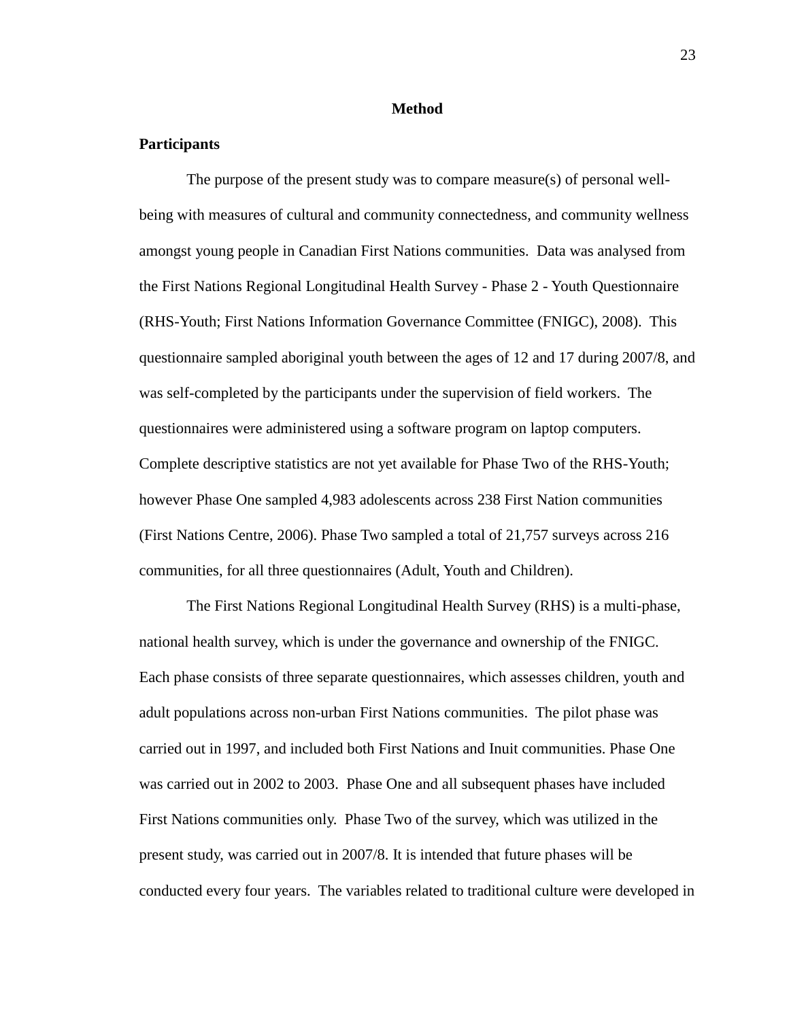#### **Method**

#### **Participants**

The purpose of the present study was to compare measure(s) of personal wellbeing with measures of cultural and community connectedness, and community wellness amongst young people in Canadian First Nations communities. Data was analysed from the First Nations Regional Longitudinal Health Survey - Phase 2 - Youth Questionnaire (RHS-Youth; First Nations Information Governance Committee (FNIGC), 2008). This questionnaire sampled aboriginal youth between the ages of 12 and 17 during 2007/8, and was self-completed by the participants under the supervision of field workers. The questionnaires were administered using a software program on laptop computers. Complete descriptive statistics are not yet available for Phase Two of the RHS-Youth; however Phase One sampled 4,983 adolescents across 238 First Nation communities (First Nations Centre, 2006). Phase Two sampled a total of 21,757 surveys across 216 communities, for all three questionnaires (Adult, Youth and Children).

The First Nations Regional Longitudinal Health Survey (RHS) is a multi-phase, national health survey, which is under the governance and ownership of the FNIGC. Each phase consists of three separate questionnaires, which assesses children, youth and adult populations across non-urban First Nations communities. The pilot phase was carried out in 1997, and included both First Nations and Inuit communities. Phase One was carried out in 2002 to 2003. Phase One and all subsequent phases have included First Nations communities only. Phase Two of the survey, which was utilized in the present study, was carried out in 2007/8. It is intended that future phases will be conducted every four years. The variables related to traditional culture were developed in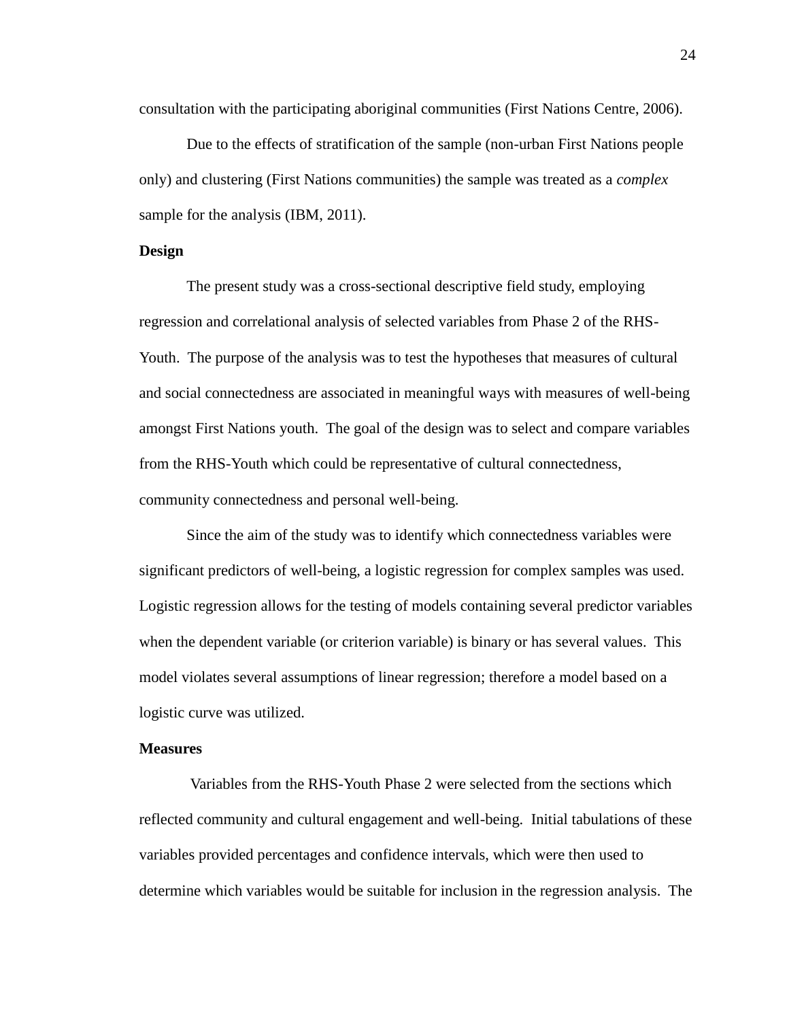consultation with the participating aboriginal communities (First Nations Centre, 2006).

Due to the effects of stratification of the sample (non-urban First Nations people only) and clustering (First Nations communities) the sample was treated as a *complex* sample for the analysis (IBM, 2011).

#### **Design**

The present study was a cross-sectional descriptive field study, employing regression and correlational analysis of selected variables from Phase 2 of the RHS-Youth. The purpose of the analysis was to test the hypotheses that measures of cultural and social connectedness are associated in meaningful ways with measures of well-being amongst First Nations youth. The goal of the design was to select and compare variables from the RHS-Youth which could be representative of cultural connectedness, community connectedness and personal well-being.

Since the aim of the study was to identify which connectedness variables were significant predictors of well-being, a logistic regression for complex samples was used. Logistic regression allows for the testing of models containing several predictor variables when the dependent variable (or criterion variable) is binary or has several values. This model violates several assumptions of linear regression; therefore a model based on a logistic curve was utilized.

#### **Measures**

Variables from the RHS-Youth Phase 2 were selected from the sections which reflected community and cultural engagement and well-being. Initial tabulations of these variables provided percentages and confidence intervals, which were then used to determine which variables would be suitable for inclusion in the regression analysis. The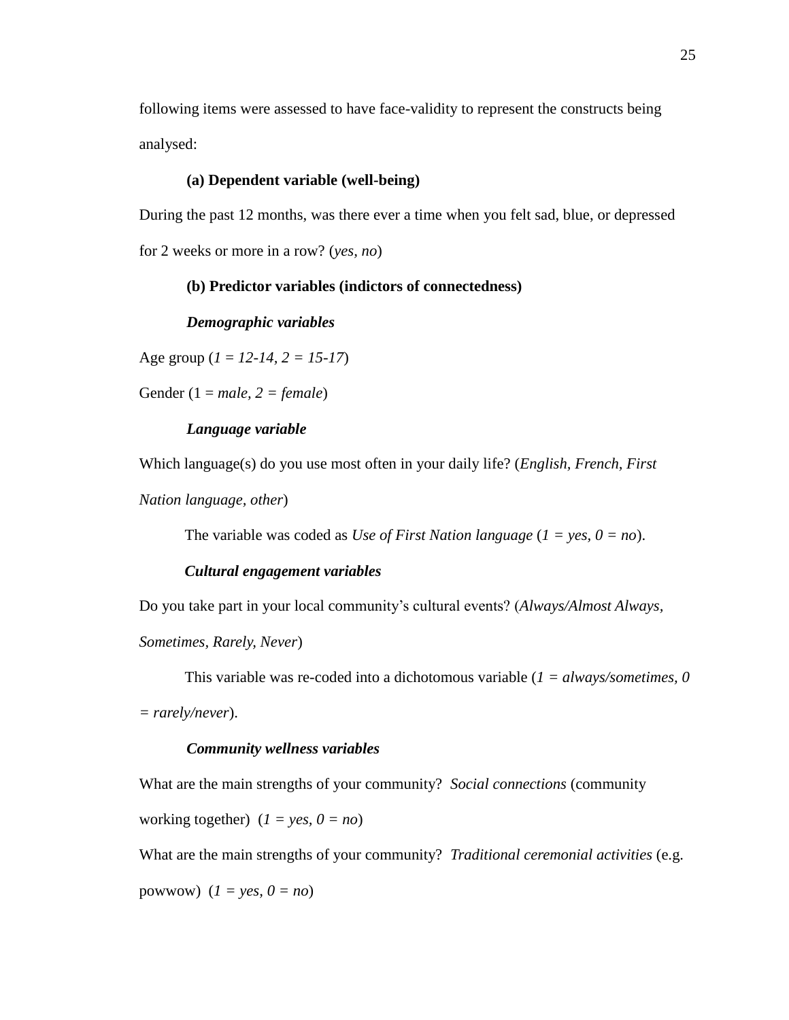following items were assessed to have face-validity to represent the constructs being analysed:

#### **(a) Dependent variable (well-being)**

During the past 12 months, was there ever a time when you felt sad, blue, or depressed for 2 weeks or more in a row? (*yes, no*)

#### **(b) Predictor variables (indictors of connectedness)**

#### *Demographic variables*

Age group (*1* = *12-14, 2 = 15-17*)

Gender (1 = *male, 2 = female*)

#### *Language variable*

Which language(s) do you use most often in your daily life? (*English, French, First* 

*Nation language, other*)

The variable was coded as *Use of First Nation language* (*1 = yes, 0 = no*).

#### *Cultural engagement variables*

Do you take part in your local community's cultural events? (*Always/Almost Always,* 

*Sometimes, Rarely, Never*)

This variable was re-coded into a dichotomous variable (*1 = always/sometimes, 0* 

*= rarely/never*).

#### *Community wellness variables*

What are the main strengths of your community? *Social connections* (community

working together)  $(I = yes, 0 = no)$ 

What are the main strengths of your community? *Traditional ceremonial activities* (e.g. powwow)  $(I = \text{yes}, 0 = \text{no})$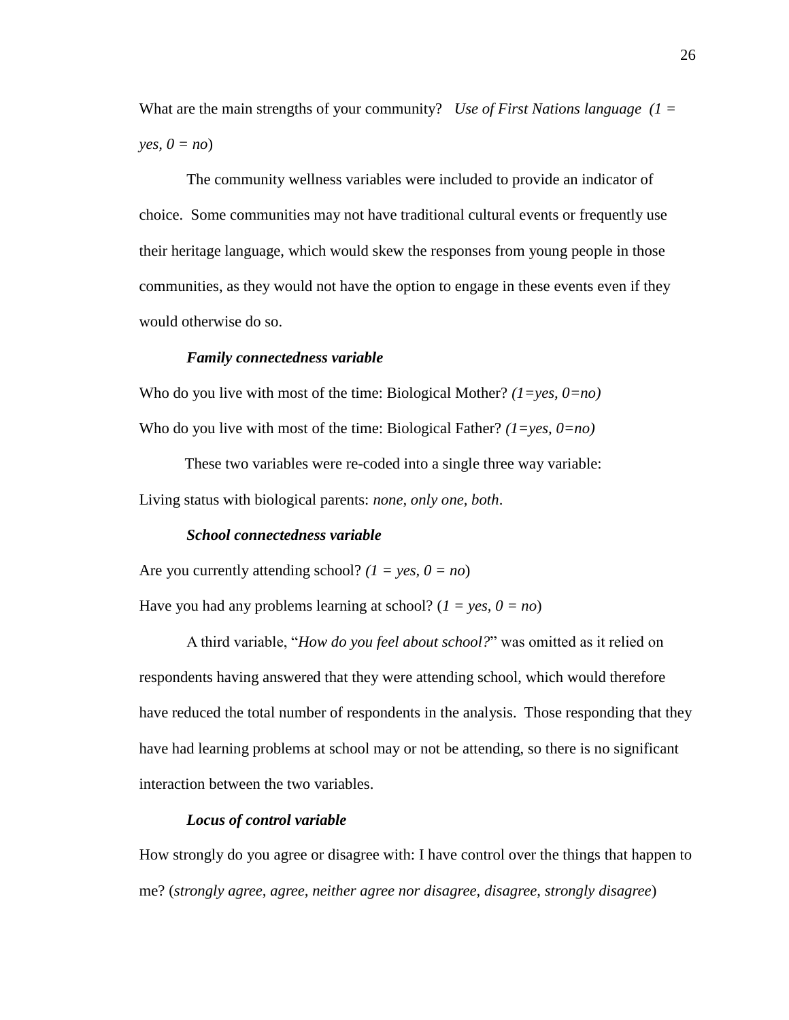What are the main strengths of your community? *Use of First Nations language (1 = yes,*  $0 = no$ 

The community wellness variables were included to provide an indicator of choice. Some communities may not have traditional cultural events or frequently use their heritage language, which would skew the responses from young people in those communities, as they would not have the option to engage in these events even if they would otherwise do so.

#### *Family connectedness variable*

Who do you live with most of the time: Biological Mother? *(1=yes, 0=no)*  Who do you live with most of the time: Biological Father? *(1=yes, 0=no)* 

These two variables were re-coded into a single three way variable: Living status with biological parents: *none, only one, both*.

#### *School connectedness variable*

Are you currently attending school? *(1 = yes, 0 = no*)

Have you had any problems learning at school? (*1 = yes, 0 = no*)

A third variable, "*How do you feel about school?*" was omitted as it relied on respondents having answered that they were attending school, which would therefore have reduced the total number of respondents in the analysis. Those responding that they have had learning problems at school may or not be attending, so there is no significant interaction between the two variables.

#### *Locus of control variable*

How strongly do you agree or disagree with: I have control over the things that happen to me? (*strongly agree, agree, neither agree nor disagree, disagree, strongly disagree*)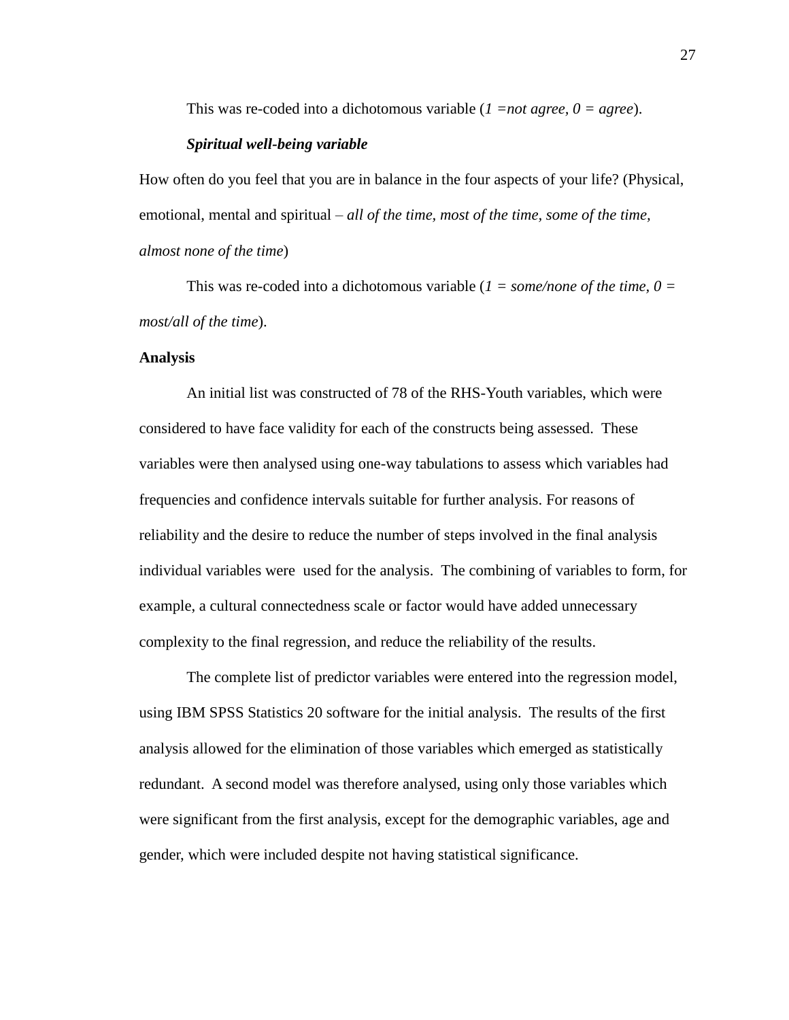This was re-coded into a dichotomous variable (*1 =not agree, 0 = agree*).

#### *Spiritual well-being variable*

How often do you feel that you are in balance in the four aspects of your life? (Physical, emotional, mental and spiritual – *all of the time, most of the time, some of the time, almost none of the time*)

This was re-coded into a dichotomous variable (*1 = some/none of the time, 0 = most/all of the time*).

#### **Analysis**

An initial list was constructed of 78 of the RHS-Youth variables, which were considered to have face validity for each of the constructs being assessed. These variables were then analysed using one-way tabulations to assess which variables had frequencies and confidence intervals suitable for further analysis. For reasons of reliability and the desire to reduce the number of steps involved in the final analysis individual variables were used for the analysis. The combining of variables to form, for example, a cultural connectedness scale or factor would have added unnecessary complexity to the final regression, and reduce the reliability of the results.

The complete list of predictor variables were entered into the regression model, using IBM SPSS Statistics 20 software for the initial analysis. The results of the first analysis allowed for the elimination of those variables which emerged as statistically redundant. A second model was therefore analysed, using only those variables which were significant from the first analysis, except for the demographic variables, age and gender, which were included despite not having statistical significance.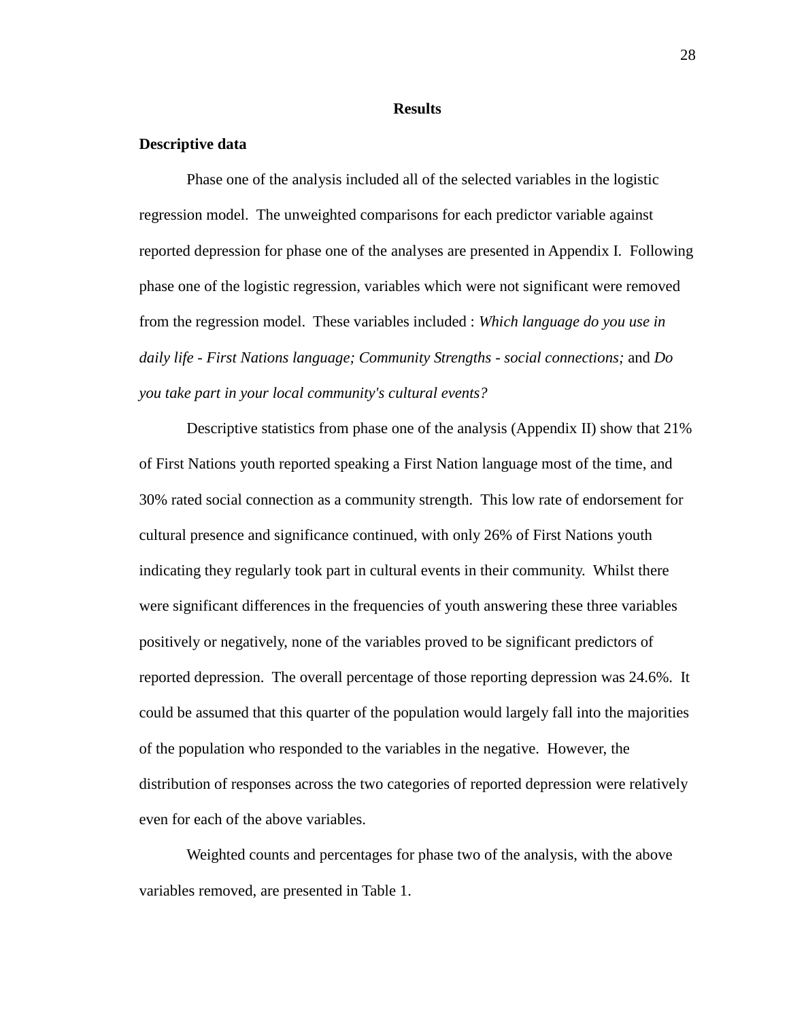#### **Results**

# **Descriptive data**

Phase one of the analysis included all of the selected variables in the logistic regression model. The unweighted comparisons for each predictor variable against reported depression for phase one of the analyses are presented in Appendix I. Following phase one of the logistic regression, variables which were not significant were removed from the regression model. These variables included : *Which language do you use in daily life - First Nations language; Community Strengths - social connections;* and *Do you take part in your local community's cultural events?* 

Descriptive statistics from phase one of the analysis (Appendix II) show that 21% of First Nations youth reported speaking a First Nation language most of the time, and 30% rated social connection as a community strength. This low rate of endorsement for cultural presence and significance continued, with only 26% of First Nations youth indicating they regularly took part in cultural events in their community. Whilst there were significant differences in the frequencies of youth answering these three variables positively or negatively, none of the variables proved to be significant predictors of reported depression. The overall percentage of those reporting depression was 24.6%. It could be assumed that this quarter of the population would largely fall into the majorities of the population who responded to the variables in the negative. However, the distribution of responses across the two categories of reported depression were relatively even for each of the above variables.

Weighted counts and percentages for phase two of the analysis, with the above variables removed, are presented in Table 1.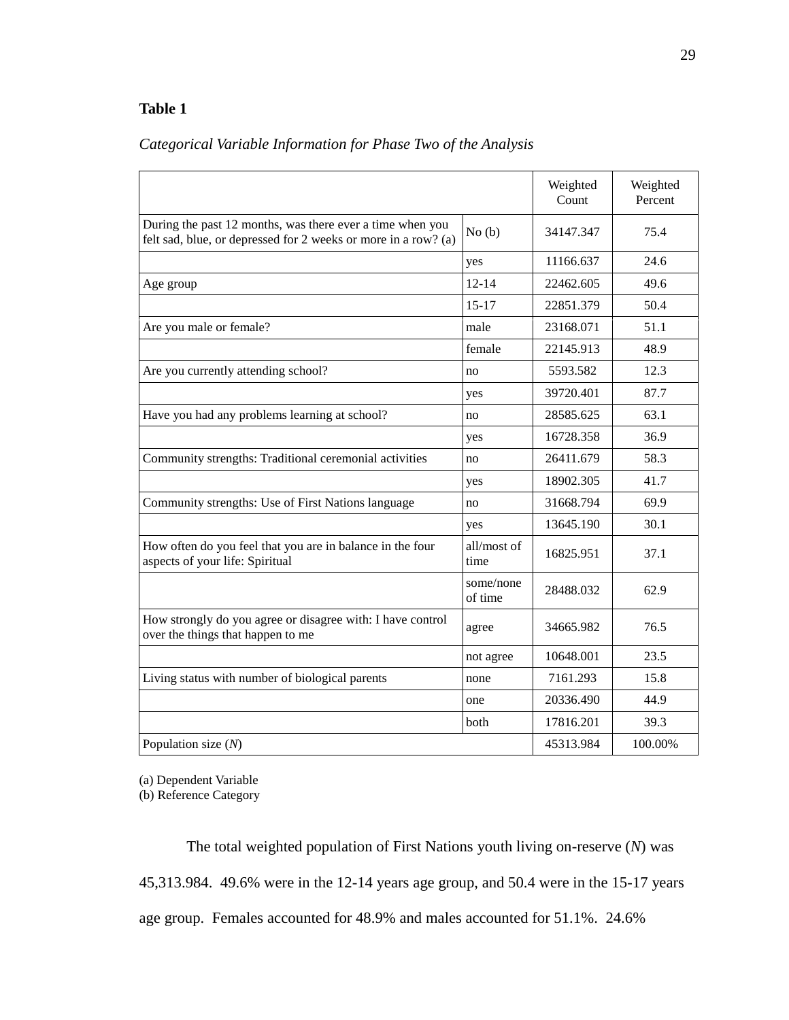# **Table 1**

|  |  |  | Categorical Variable Information for Phase Two of the Analysis |
|--|--|--|----------------------------------------------------------------|
|  |  |  |                                                                |

|                                                                                                                             |                      | Weighted<br>Count | Weighted<br>Percent |
|-----------------------------------------------------------------------------------------------------------------------------|----------------------|-------------------|---------------------|
| During the past 12 months, was there ever a time when you<br>felt sad, blue, or depressed for 2 weeks or more in a row? (a) | No(b)                | 34147.347         | 75.4                |
|                                                                                                                             | yes                  | 11166.637         | 24.6                |
| Age group                                                                                                                   | $12 - 14$            | 22462.605         | 49.6                |
|                                                                                                                             | $15 - 17$            | 22851.379         | 50.4                |
| Are you male or female?                                                                                                     | male                 | 23168.071         | 51.1                |
|                                                                                                                             | female               | 22145.913         | 48.9                |
| Are you currently attending school?                                                                                         | no                   | 5593.582          | 12.3                |
|                                                                                                                             | yes                  | 39720.401         | 87.7                |
| Have you had any problems learning at school?                                                                               | no                   | 28585.625         | 63.1                |
|                                                                                                                             | yes                  | 16728.358         | 36.9                |
| Community strengths: Traditional ceremonial activities                                                                      | no                   | 26411.679         | 58.3                |
|                                                                                                                             | yes                  | 18902.305         | 41.7                |
| Community strengths: Use of First Nations language                                                                          | no                   | 31668.794         | 69.9                |
|                                                                                                                             | yes                  | 13645.190         | 30.1                |
| How often do you feel that you are in balance in the four<br>aspects of your life: Spiritual                                | all/most of<br>time  | 16825.951         | 37.1                |
|                                                                                                                             | some/none<br>of time | 28488.032         | 62.9                |
| How strongly do you agree or disagree with: I have control<br>over the things that happen to me                             | agree                | 34665.982         | 76.5                |
|                                                                                                                             | not agree            | 10648.001         | 23.5                |
| Living status with number of biological parents                                                                             | none                 | 7161.293          | 15.8                |
|                                                                                                                             | one                  | 20336.490         | 44.9                |
|                                                                                                                             | both                 | 17816.201         | 39.3                |
| Population size $(N)$                                                                                                       |                      | 45313.984         | 100.00%             |

(a) Dependent Variable

(b) Reference Category

The total weighted population of First Nations youth living on-reserve (*N*) was 45,313.984. 49.6% were in the 12-14 years age group, and 50.4 were in the 15-17 years age group. Females accounted for 48.9% and males accounted for 51.1%. 24.6%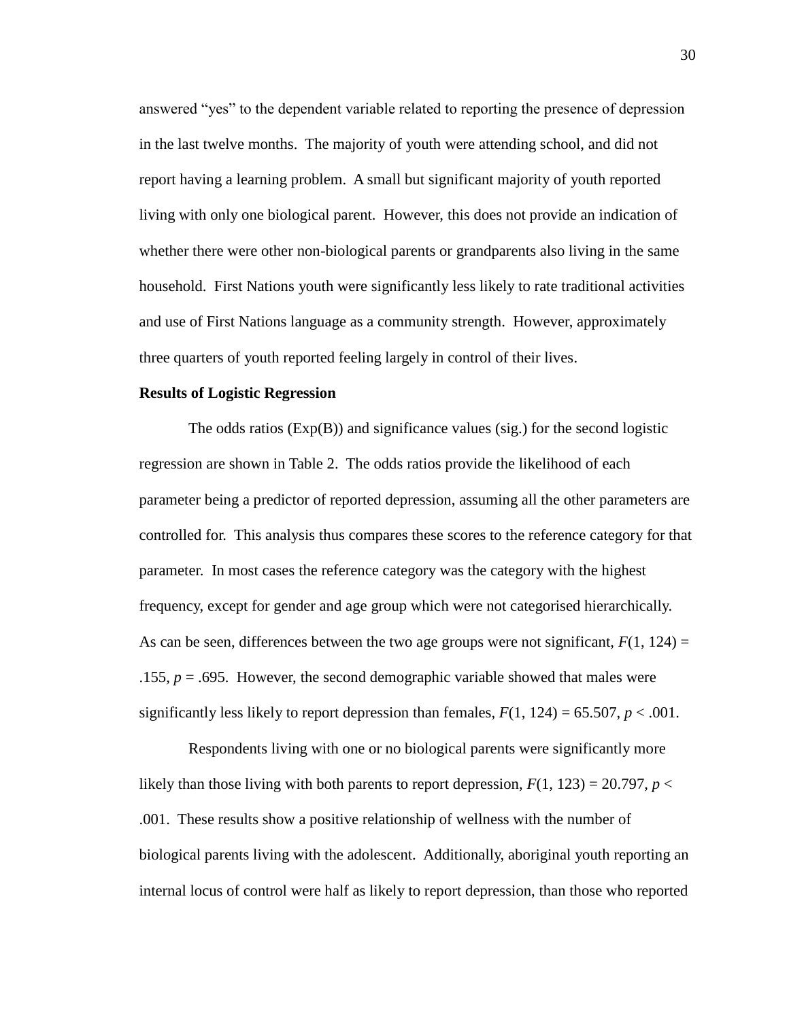answered "yes" to the dependent variable related to reporting the presence of depression in the last twelve months. The majority of youth were attending school, and did not report having a learning problem. A small but significant majority of youth reported living with only one biological parent. However, this does not provide an indication of whether there were other non-biological parents or grandparents also living in the same household. First Nations youth were significantly less likely to rate traditional activities and use of First Nations language as a community strength. However, approximately three quarters of youth reported feeling largely in control of their lives.

# **Results of Logistic Regression**

The odds ratios (Exp(B)) and significance values (sig.) for the second logistic regression are shown in Table 2. The odds ratios provide the likelihood of each parameter being a predictor of reported depression, assuming all the other parameters are controlled for. This analysis thus compares these scores to the reference category for that parameter. In most cases the reference category was the category with the highest frequency, except for gender and age group which were not categorised hierarchically. As can be seen, differences between the two age groups were not significant,  $F(1, 124) =$ .155,  $p = .695$ . However, the second demographic variable showed that males were significantly less likely to report depression than females,  $F(1, 124) = 65.507$ ,  $p < .001$ .

Respondents living with one or no biological parents were significantly more likely than those living with both parents to report depression,  $F(1, 123) = 20.797$ ,  $p <$ .001. These results show a positive relationship of wellness with the number of biological parents living with the adolescent. Additionally, aboriginal youth reporting an internal locus of control were half as likely to report depression, than those who reported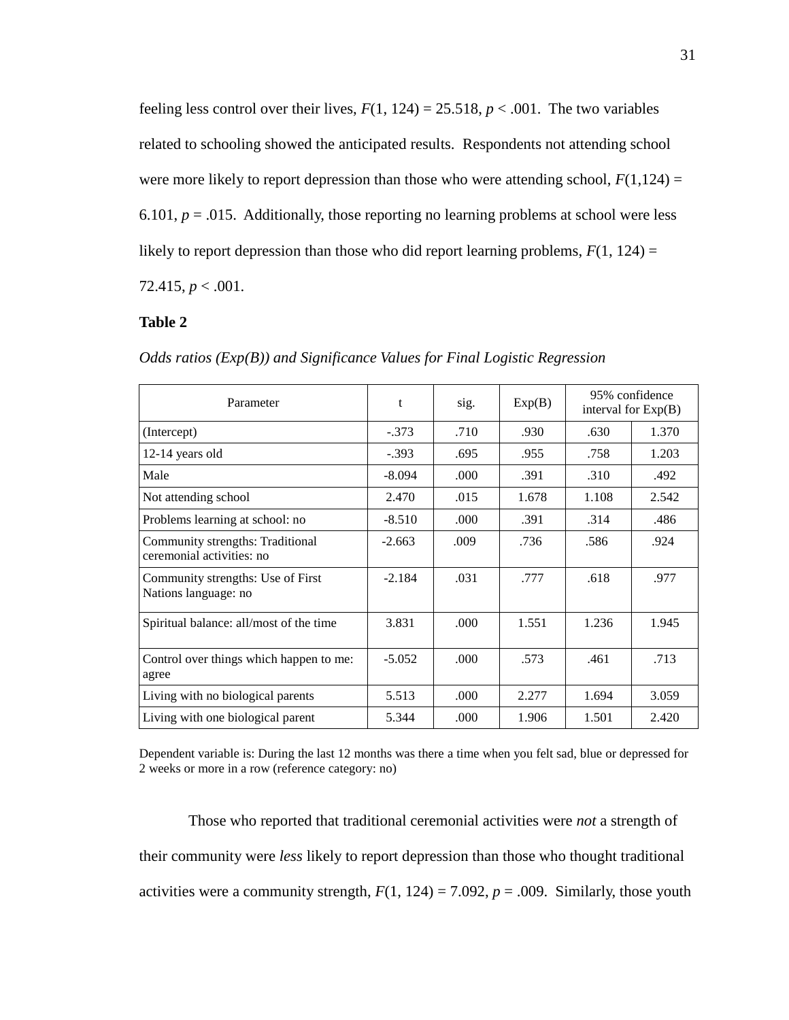feeling less control over their lives,  $F(1, 124) = 25.518$ ,  $p < .001$ . The two variables related to schooling showed the anticipated results. Respondents not attending school were more likely to report depression than those who were attending school,  $F(1,124) =$ 6.101,  $p = .015$ . Additionally, those reporting no learning problems at school were less likely to report depression than those who did report learning problems,  $F(1, 124) =$ 

72.415, *p* < .001.

# **Table 2**

| Parameter                                                     | t        | sig.  | Exp(B) | 95% confidence<br>interval for $Exp(B)$ |       |
|---------------------------------------------------------------|----------|-------|--------|-----------------------------------------|-------|
| (Intercept)                                                   | $-.373$  | .710  | .930   | .630                                    | 1.370 |
| 12-14 years old                                               | $-.393$  | .695  | .955   | .758                                    | 1.203 |
| Male                                                          | $-8.094$ | .000. | .391   | .310                                    | .492  |
| Not attending school                                          | 2.470    | .015  | 1.678  | 1.108                                   | 2.542 |
| Problems learning at school: no                               | $-8.510$ | .000  | .391   | .314                                    | .486  |
| Community strengths: Traditional<br>ceremonial activities: no | $-2.663$ | .009  | .736   | .586                                    | .924  |
| Community strengths: Use of First<br>Nations language: no     | $-2.184$ | .031  | .777   | .618                                    | .977  |
| Spiritual balance: all/most of the time                       | 3.831    | .000  | 1.551  | 1.236                                   | 1.945 |
| Control over things which happen to me:<br>agree              | $-5.052$ | .000  | .573   | .461                                    | .713  |
| Living with no biological parents                             | 5.513    | .000  | 2.277  | 1.694                                   | 3.059 |
| Living with one biological parent                             | 5.344    | .000  | 1.906  | 1.501                                   | 2.420 |

*Odds ratios (Exp(B)) and Significance Values for Final Logistic Regression*

Dependent variable is: During the last 12 months was there a time when you felt sad, blue or depressed for 2 weeks or more in a row (reference category: no)

Those who reported that traditional ceremonial activities were *not* a strength of their community were *less* likely to report depression than those who thought traditional activities were a community strength,  $F(1, 124) = 7.092$ ,  $p = .009$ . Similarly, those youth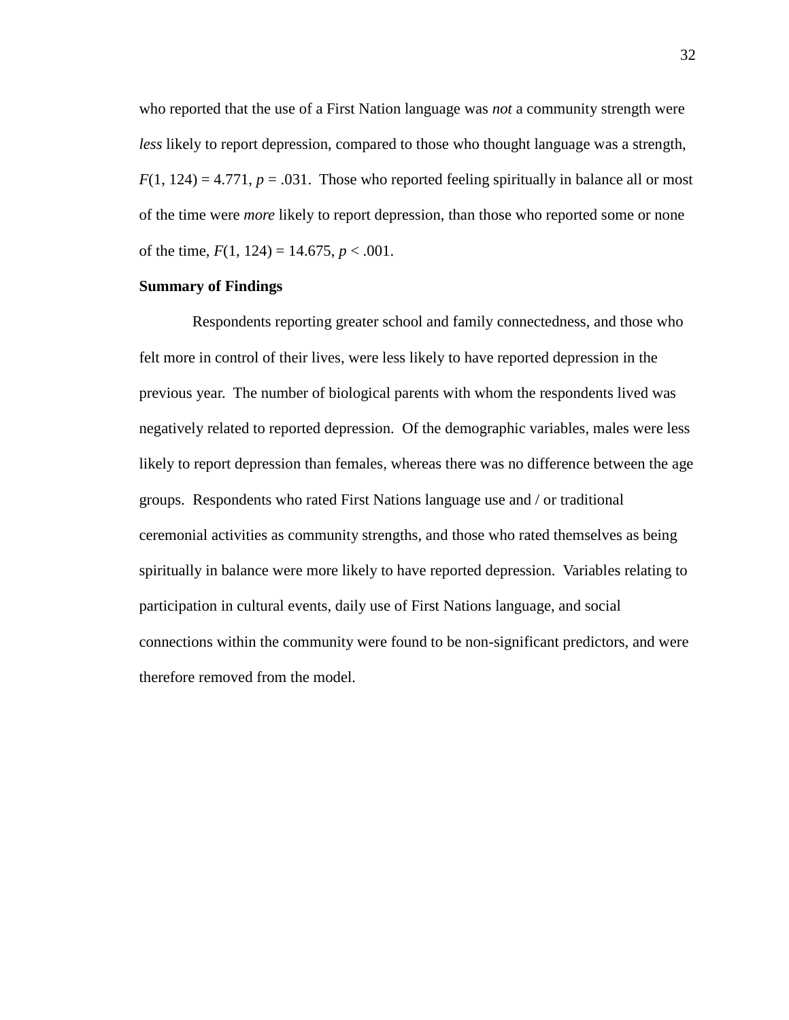who reported that the use of a First Nation language was *not* a community strength were *less* likely to report depression, compared to those who thought language was a strength,  $F(1, 124) = 4.771$ ,  $p = .031$ . Those who reported feeling spiritually in balance all or most of the time were *more* likely to report depression, than those who reported some or none of the time,  $F(1, 124) = 14.675$ ,  $p < .001$ .

# **Summary of Findings**

Respondents reporting greater school and family connectedness, and those who felt more in control of their lives, were less likely to have reported depression in the previous year. The number of biological parents with whom the respondents lived was negatively related to reported depression. Of the demographic variables, males were less likely to report depression than females, whereas there was no difference between the age groups. Respondents who rated First Nations language use and / or traditional ceremonial activities as community strengths, and those who rated themselves as being spiritually in balance were more likely to have reported depression. Variables relating to participation in cultural events, daily use of First Nations language, and social connections within the community were found to be non-significant predictors, and were therefore removed from the model.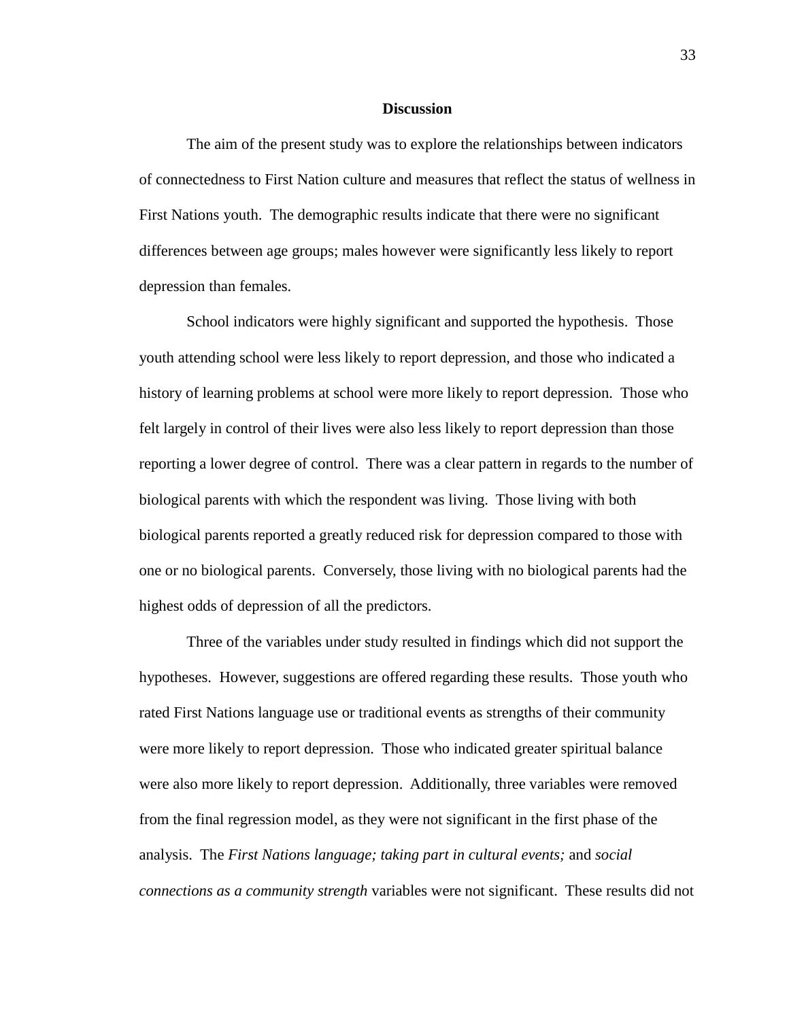#### **Discussion**

The aim of the present study was to explore the relationships between indicators of connectedness to First Nation culture and measures that reflect the status of wellness in First Nations youth. The demographic results indicate that there were no significant differences between age groups; males however were significantly less likely to report depression than females.

School indicators were highly significant and supported the hypothesis. Those youth attending school were less likely to report depression, and those who indicated a history of learning problems at school were more likely to report depression. Those who felt largely in control of their lives were also less likely to report depression than those reporting a lower degree of control. There was a clear pattern in regards to the number of biological parents with which the respondent was living. Those living with both biological parents reported a greatly reduced risk for depression compared to those with one or no biological parents. Conversely, those living with no biological parents had the highest odds of depression of all the predictors.

Three of the variables under study resulted in findings which did not support the hypotheses. However, suggestions are offered regarding these results. Those youth who rated First Nations language use or traditional events as strengths of their community were more likely to report depression. Those who indicated greater spiritual balance were also more likely to report depression. Additionally, three variables were removed from the final regression model, as they were not significant in the first phase of the analysis. The *First Nations language; taking part in cultural events;* and *social connections as a community strength* variables were not significant. These results did not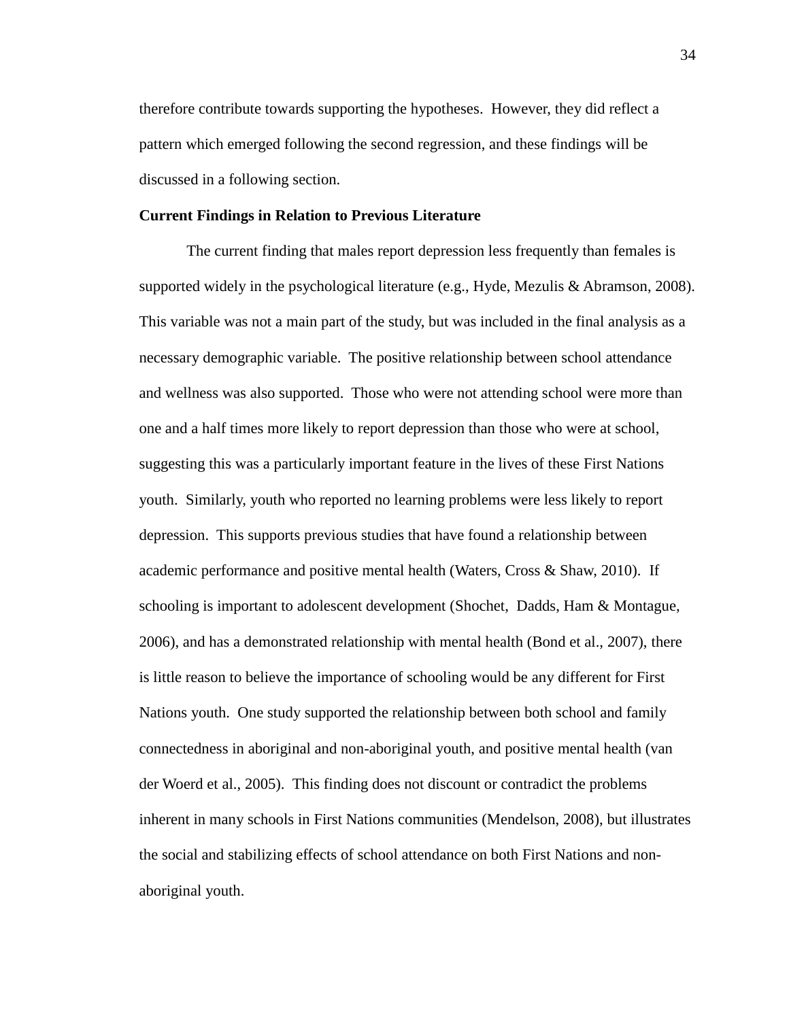therefore contribute towards supporting the hypotheses. However, they did reflect a pattern which emerged following the second regression, and these findings will be discussed in a following section.

# **Current Findings in Relation to Previous Literature**

The current finding that males report depression less frequently than females is supported widely in the psychological literature (e.g., Hyde, Mezulis & Abramson, 2008). This variable was not a main part of the study, but was included in the final analysis as a necessary demographic variable. The positive relationship between school attendance and wellness was also supported. Those who were not attending school were more than one and a half times more likely to report depression than those who were at school, suggesting this was a particularly important feature in the lives of these First Nations youth. Similarly, youth who reported no learning problems were less likely to report depression. This supports previous studies that have found a relationship between academic performance and positive mental health (Waters, Cross & Shaw, 2010). If schooling is important to adolescent development (Shochet, Dadds, Ham & Montague, 2006), and has a demonstrated relationship with mental health (Bond et al., 2007), there is little reason to believe the importance of schooling would be any different for First Nations youth. One study supported the relationship between both school and family connectedness in aboriginal and non-aboriginal youth, and positive mental health (van der Woerd et al., 2005). This finding does not discount or contradict the problems inherent in many schools in First Nations communities (Mendelson, 2008), but illustrates the social and stabilizing effects of school attendance on both First Nations and nonaboriginal youth.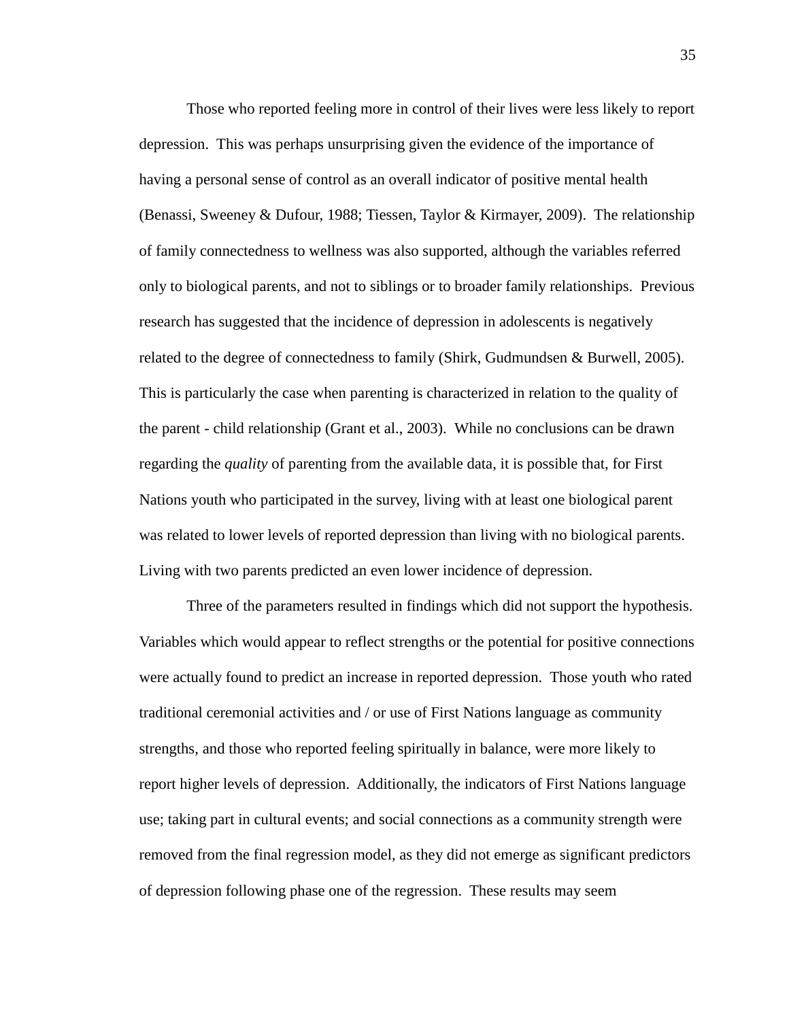Those who reported feeling more in control of their lives were less likely to report depression. This was perhaps unsurprising given the evidence of the importance of having a personal sense of control as an overall indicator of positive mental health (Benassi, Sweeney & Dufour, 1988; Tiessen, Taylor & Kirmayer, 2009). The relationship of family connectedness to wellness was also supported, although the variables referred only to biological parents, and not to siblings or to broader family relationships. Previous research has suggested that the incidence of depression in adolescents is negatively related to the degree of connectedness to family (Shirk, Gudmundsen & Burwell, 2005). This is particularly the case when parenting is characterized in relation to the quality of the parent - child relationship (Grant et al., 2003). While no conclusions can be drawn regarding the *quality* of parenting from the available data, it is possible that, for First Nations youth who participated in the survey, living with at least one biological parent was related to lower levels of reported depression than living with no biological parents. Living with two parents predicted an even lower incidence of depression.

Three of the parameters resulted in findings which did not support the hypothesis. Variables which would appear to reflect strengths or the potential for positive connections were actually found to predict an increase in reported depression. Those youth who rated traditional ceremonial activities and / or use of First Nations language as community strengths, and those who reported feeling spiritually in balance, were more likely to report higher levels of depression. Additionally, the indicators of First Nations language use; taking part in cultural events; and social connections as a community strength were removed from the final regression model, as they did not emerge as significant predictors of depression following phase one of the regression. These results may seem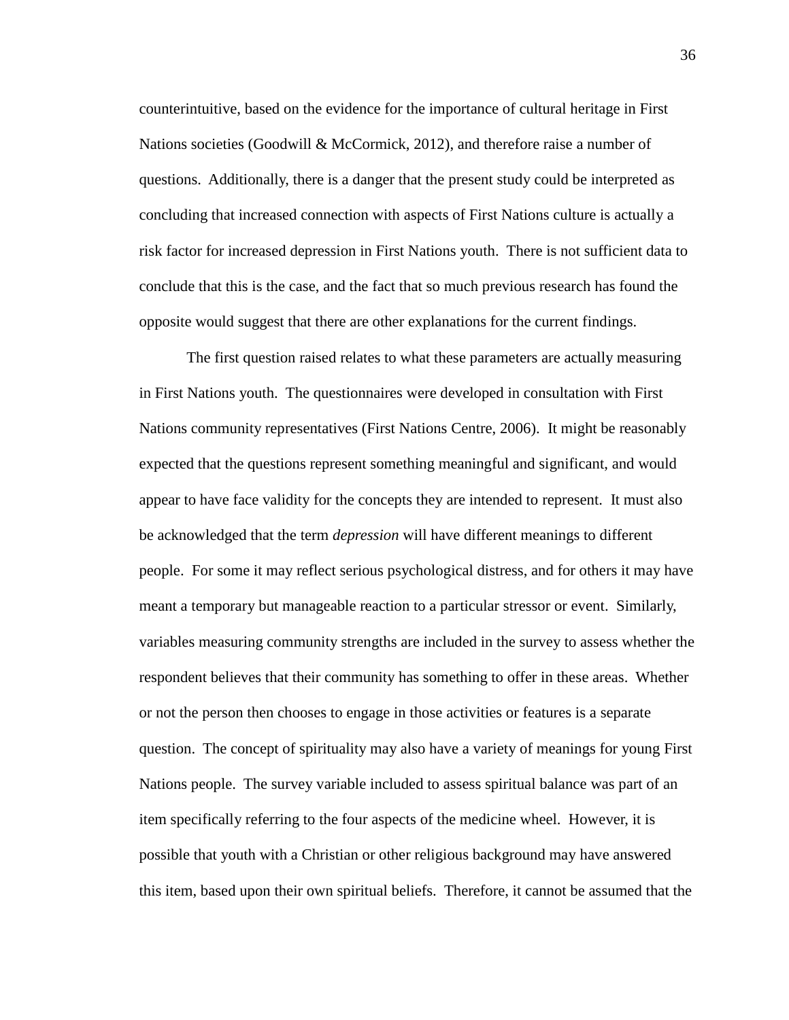counterintuitive, based on the evidence for the importance of cultural heritage in First Nations societies (Goodwill & McCormick, 2012), and therefore raise a number of questions. Additionally, there is a danger that the present study could be interpreted as concluding that increased connection with aspects of First Nations culture is actually a risk factor for increased depression in First Nations youth. There is not sufficient data to conclude that this is the case, and the fact that so much previous research has found the opposite would suggest that there are other explanations for the current findings.

The first question raised relates to what these parameters are actually measuring in First Nations youth. The questionnaires were developed in consultation with First Nations community representatives (First Nations Centre, 2006). It might be reasonably expected that the questions represent something meaningful and significant, and would appear to have face validity for the concepts they are intended to represent. It must also be acknowledged that the term *depression* will have different meanings to different people. For some it may reflect serious psychological distress, and for others it may have meant a temporary but manageable reaction to a particular stressor or event. Similarly, variables measuring community strengths are included in the survey to assess whether the respondent believes that their community has something to offer in these areas. Whether or not the person then chooses to engage in those activities or features is a separate question. The concept of spirituality may also have a variety of meanings for young First Nations people. The survey variable included to assess spiritual balance was part of an item specifically referring to the four aspects of the medicine wheel. However, it is possible that youth with a Christian or other religious background may have answered this item, based upon their own spiritual beliefs. Therefore, it cannot be assumed that the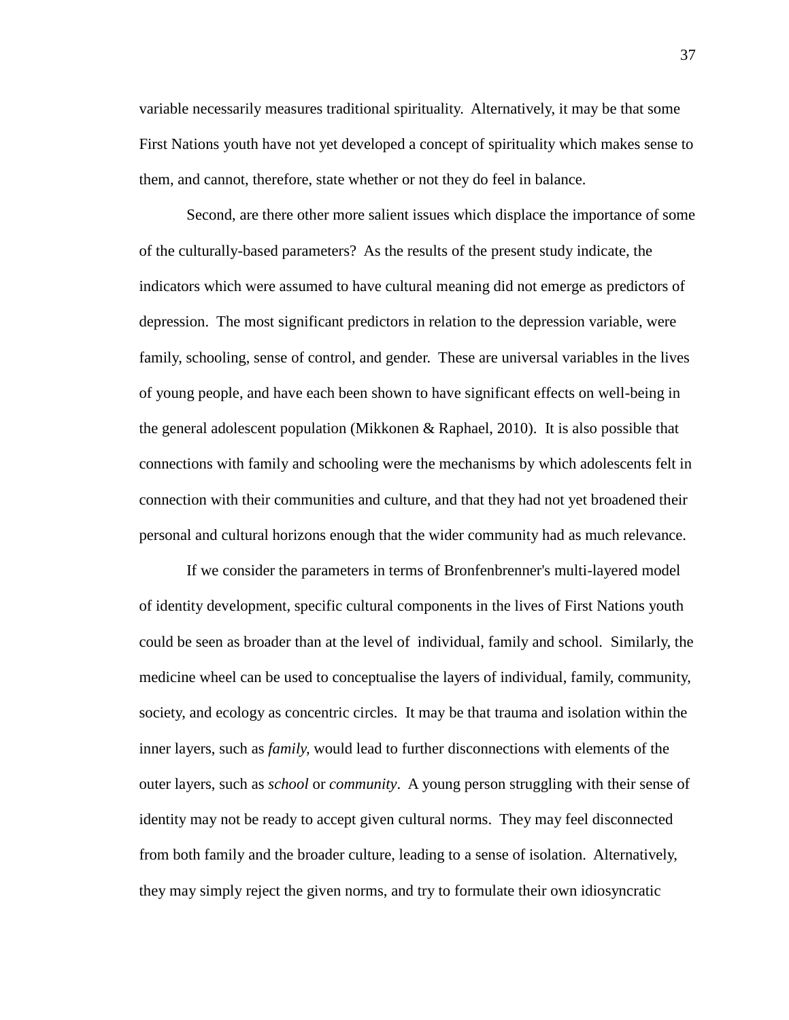variable necessarily measures traditional spirituality. Alternatively, it may be that some First Nations youth have not yet developed a concept of spirituality which makes sense to them, and cannot, therefore, state whether or not they do feel in balance.

Second, are there other more salient issues which displace the importance of some of the culturally-based parameters? As the results of the present study indicate, the indicators which were assumed to have cultural meaning did not emerge as predictors of depression. The most significant predictors in relation to the depression variable, were family, schooling, sense of control, and gender. These are universal variables in the lives of young people, and have each been shown to have significant effects on well-being in the general adolescent population (Mikkonen & Raphael, 2010). It is also possible that connections with family and schooling were the mechanisms by which adolescents felt in connection with their communities and culture, and that they had not yet broadened their personal and cultural horizons enough that the wider community had as much relevance.

If we consider the parameters in terms of Bronfenbrenner's multi-layered model of identity development, specific cultural components in the lives of First Nations youth could be seen as broader than at the level of individual, family and school. Similarly, the medicine wheel can be used to conceptualise the layers of individual, family, community, society, and ecology as concentric circles. It may be that trauma and isolation within the inner layers, such as *family,* would lead to further disconnections with elements of the outer layers, such as *school* or *community*. A young person struggling with their sense of identity may not be ready to accept given cultural norms. They may feel disconnected from both family and the broader culture, leading to a sense of isolation. Alternatively, they may simply reject the given norms, and try to formulate their own idiosyncratic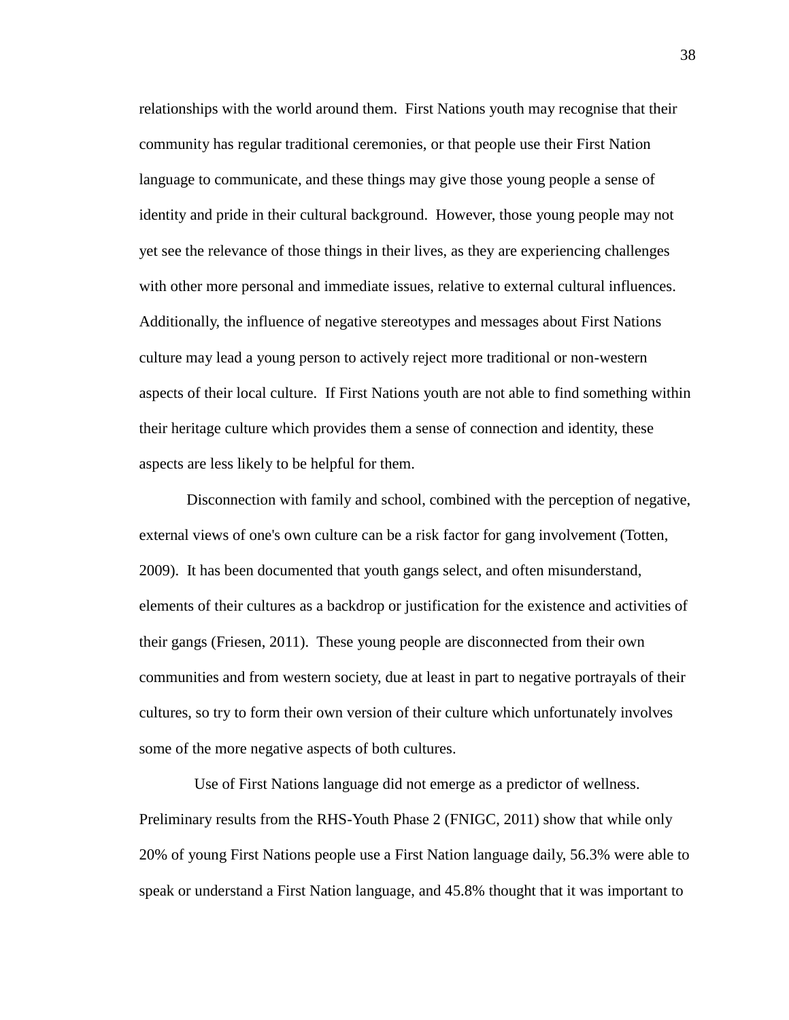relationships with the world around them. First Nations youth may recognise that their community has regular traditional ceremonies, or that people use their First Nation language to communicate, and these things may give those young people a sense of identity and pride in their cultural background. However, those young people may not yet see the relevance of those things in their lives, as they are experiencing challenges with other more personal and immediate issues, relative to external cultural influences. Additionally, the influence of negative stereotypes and messages about First Nations culture may lead a young person to actively reject more traditional or non-western aspects of their local culture. If First Nations youth are not able to find something within their heritage culture which provides them a sense of connection and identity, these aspects are less likely to be helpful for them.

Disconnection with family and school, combined with the perception of negative, external views of one's own culture can be a risk factor for gang involvement (Totten, 2009). It has been documented that youth gangs select, and often misunderstand, elements of their cultures as a backdrop or justification for the existence and activities of their gangs (Friesen, 2011). These young people are disconnected from their own communities and from western society, due at least in part to negative portrayals of their cultures, so try to form their own version of their culture which unfortunately involves some of the more negative aspects of both cultures.

 Use of First Nations language did not emerge as a predictor of wellness. Preliminary results from the RHS-Youth Phase 2 (FNIGC, 2011) show that while only 20% of young First Nations people use a First Nation language daily, 56.3% were able to speak or understand a First Nation language, and 45.8% thought that it was important to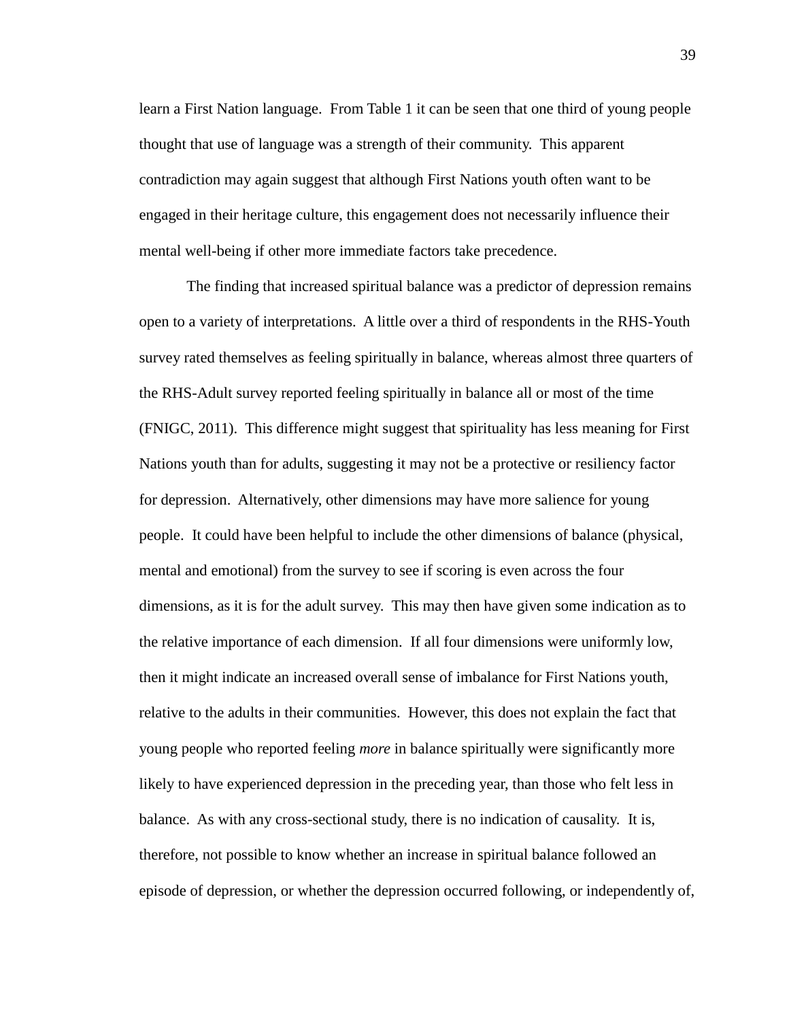learn a First Nation language. From Table 1 it can be seen that one third of young people thought that use of language was a strength of their community. This apparent contradiction may again suggest that although First Nations youth often want to be engaged in their heritage culture, this engagement does not necessarily influence their mental well-being if other more immediate factors take precedence.

The finding that increased spiritual balance was a predictor of depression remains open to a variety of interpretations. A little over a third of respondents in the RHS-Youth survey rated themselves as feeling spiritually in balance, whereas almost three quarters of the RHS-Adult survey reported feeling spiritually in balance all or most of the time (FNIGC, 2011). This difference might suggest that spirituality has less meaning for First Nations youth than for adults, suggesting it may not be a protective or resiliency factor for depression. Alternatively, other dimensions may have more salience for young people. It could have been helpful to include the other dimensions of balance (physical, mental and emotional) from the survey to see if scoring is even across the four dimensions, as it is for the adult survey. This may then have given some indication as to the relative importance of each dimension. If all four dimensions were uniformly low, then it might indicate an increased overall sense of imbalance for First Nations youth, relative to the adults in their communities. However, this does not explain the fact that young people who reported feeling *more* in balance spiritually were significantly more likely to have experienced depression in the preceding year, than those who felt less in balance. As with any cross-sectional study, there is no indication of causality. It is, therefore, not possible to know whether an increase in spiritual balance followed an episode of depression, or whether the depression occurred following, or independently of,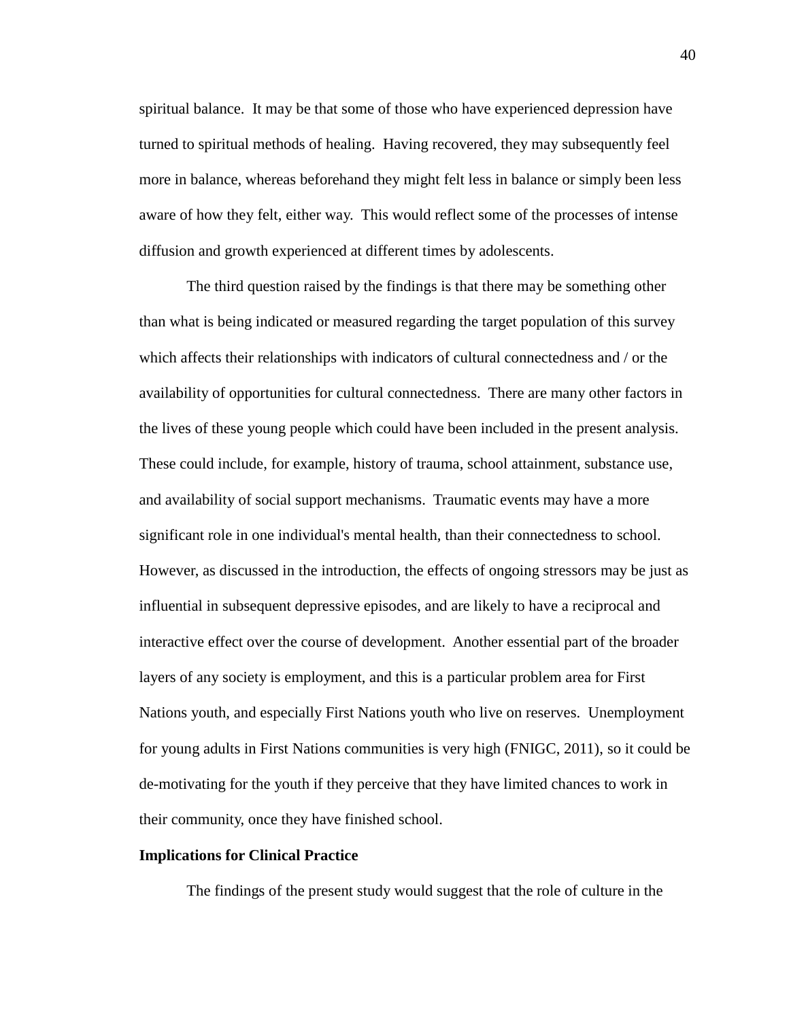spiritual balance. It may be that some of those who have experienced depression have turned to spiritual methods of healing. Having recovered, they may subsequently feel more in balance, whereas beforehand they might felt less in balance or simply been less aware of how they felt, either way. This would reflect some of the processes of intense diffusion and growth experienced at different times by adolescents.

The third question raised by the findings is that there may be something other than what is being indicated or measured regarding the target population of this survey which affects their relationships with indicators of cultural connectedness and / or the availability of opportunities for cultural connectedness. There are many other factors in the lives of these young people which could have been included in the present analysis. These could include, for example, history of trauma, school attainment, substance use, and availability of social support mechanisms. Traumatic events may have a more significant role in one individual's mental health, than their connectedness to school. However, as discussed in the introduction, the effects of ongoing stressors may be just as influential in subsequent depressive episodes, and are likely to have a reciprocal and interactive effect over the course of development. Another essential part of the broader layers of any society is employment, and this is a particular problem area for First Nations youth, and especially First Nations youth who live on reserves. Unemployment for young adults in First Nations communities is very high (FNIGC, 2011), so it could be de-motivating for the youth if they perceive that they have limited chances to work in their community, once they have finished school.

# **Implications for Clinical Practice**

The findings of the present study would suggest that the role of culture in the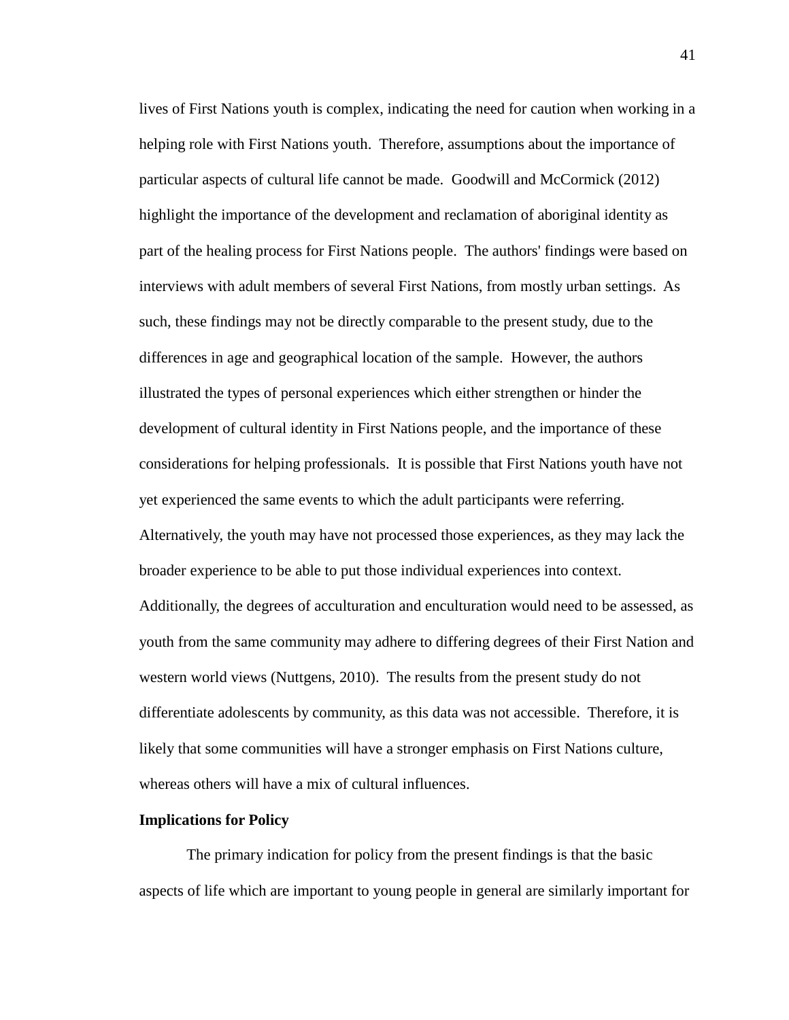lives of First Nations youth is complex, indicating the need for caution when working in a helping role with First Nations youth. Therefore, assumptions about the importance of particular aspects of cultural life cannot be made. Goodwill and McCormick (2012) highlight the importance of the development and reclamation of aboriginal identity as part of the healing process for First Nations people. The authors' findings were based on interviews with adult members of several First Nations, from mostly urban settings. As such, these findings may not be directly comparable to the present study, due to the differences in age and geographical location of the sample. However, the authors illustrated the types of personal experiences which either strengthen or hinder the development of cultural identity in First Nations people, and the importance of these considerations for helping professionals. It is possible that First Nations youth have not yet experienced the same events to which the adult participants were referring. Alternatively, the youth may have not processed those experiences, as they may lack the broader experience to be able to put those individual experiences into context. Additionally, the degrees of acculturation and enculturation would need to be assessed, as youth from the same community may adhere to differing degrees of their First Nation and western world views (Nuttgens, 2010). The results from the present study do not differentiate adolescents by community, as this data was not accessible. Therefore, it is likely that some communities will have a stronger emphasis on First Nations culture, whereas others will have a mix of cultural influences.

#### **Implications for Policy**

The primary indication for policy from the present findings is that the basic aspects of life which are important to young people in general are similarly important for

41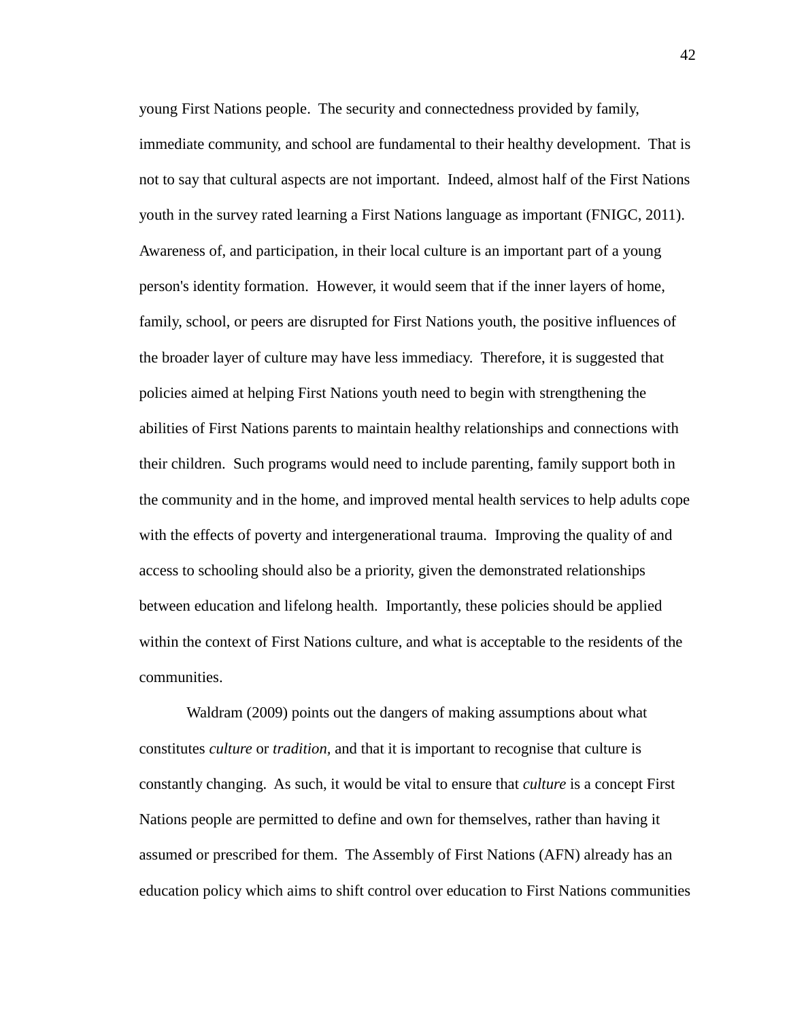young First Nations people. The security and connectedness provided by family, immediate community, and school are fundamental to their healthy development. That is not to say that cultural aspects are not important. Indeed, almost half of the First Nations youth in the survey rated learning a First Nations language as important (FNIGC, 2011). Awareness of, and participation, in their local culture is an important part of a young person's identity formation. However, it would seem that if the inner layers of home, family, school, or peers are disrupted for First Nations youth, the positive influences of the broader layer of culture may have less immediacy. Therefore, it is suggested that policies aimed at helping First Nations youth need to begin with strengthening the abilities of First Nations parents to maintain healthy relationships and connections with their children. Such programs would need to include parenting, family support both in the community and in the home, and improved mental health services to help adults cope with the effects of poverty and intergenerational trauma. Improving the quality of and access to schooling should also be a priority, given the demonstrated relationships between education and lifelong health. Importantly, these policies should be applied within the context of First Nations culture, and what is acceptable to the residents of the communities.

Waldram (2009) points out the dangers of making assumptions about what constitutes *culture* or *tradition,* and that it is important to recognise that culture is constantly changing. As such, it would be vital to ensure that *culture* is a concept First Nations people are permitted to define and own for themselves, rather than having it assumed or prescribed for them. The Assembly of First Nations (AFN) already has an education policy which aims to shift control over education to First Nations communities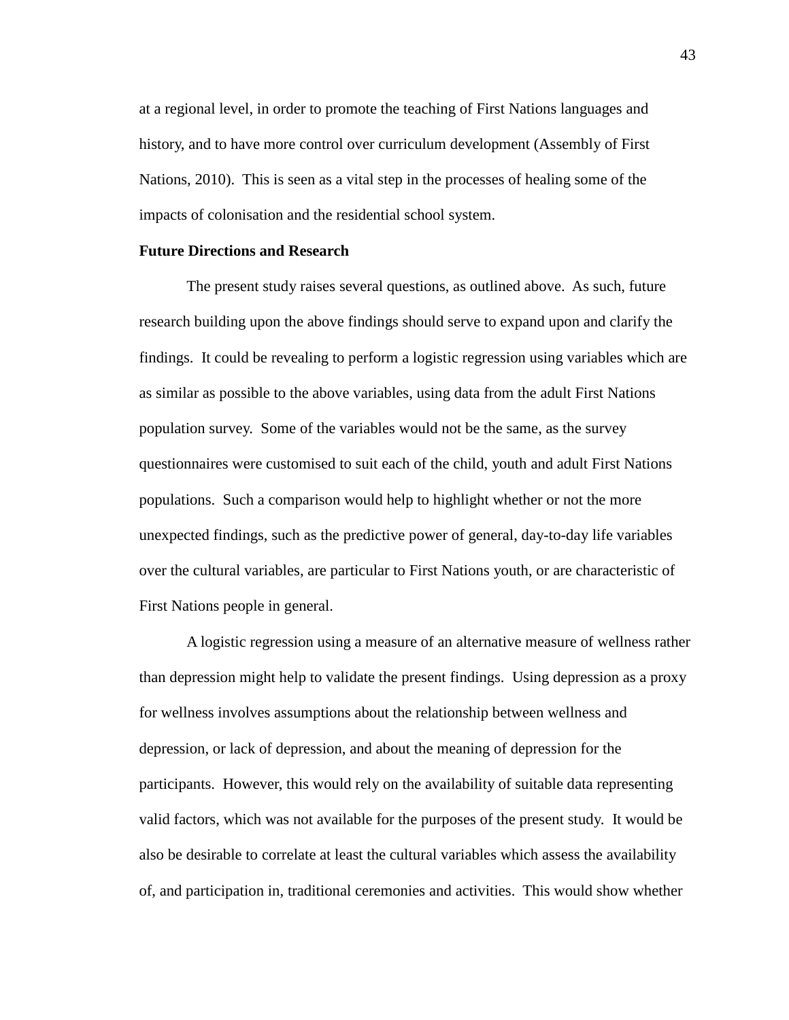at a regional level, in order to promote the teaching of First Nations languages and history, and to have more control over curriculum development (Assembly of First Nations, 2010). This is seen as a vital step in the processes of healing some of the impacts of colonisation and the residential school system.

# **Future Directions and Research**

The present study raises several questions, as outlined above. As such, future research building upon the above findings should serve to expand upon and clarify the findings. It could be revealing to perform a logistic regression using variables which are as similar as possible to the above variables, using data from the adult First Nations population survey. Some of the variables would not be the same, as the survey questionnaires were customised to suit each of the child, youth and adult First Nations populations. Such a comparison would help to highlight whether or not the more unexpected findings, such as the predictive power of general, day-to-day life variables over the cultural variables, are particular to First Nations youth, or are characteristic of First Nations people in general.

A logistic regression using a measure of an alternative measure of wellness rather than depression might help to validate the present findings. Using depression as a proxy for wellness involves assumptions about the relationship between wellness and depression, or lack of depression, and about the meaning of depression for the participants. However, this would rely on the availability of suitable data representing valid factors, which was not available for the purposes of the present study. It would be also be desirable to correlate at least the cultural variables which assess the availability of, and participation in, traditional ceremonies and activities. This would show whether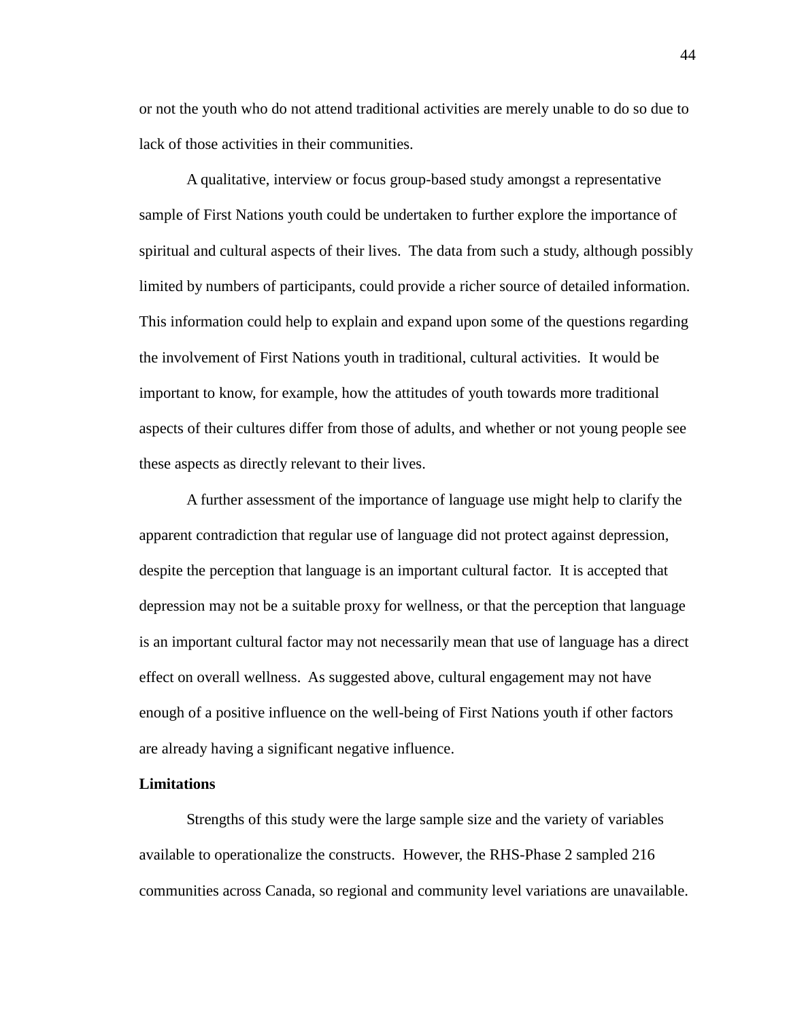or not the youth who do not attend traditional activities are merely unable to do so due to lack of those activities in their communities.

A qualitative, interview or focus group-based study amongst a representative sample of First Nations youth could be undertaken to further explore the importance of spiritual and cultural aspects of their lives. The data from such a study, although possibly limited by numbers of participants, could provide a richer source of detailed information. This information could help to explain and expand upon some of the questions regarding the involvement of First Nations youth in traditional, cultural activities. It would be important to know, for example, how the attitudes of youth towards more traditional aspects of their cultures differ from those of adults, and whether or not young people see these aspects as directly relevant to their lives.

A further assessment of the importance of language use might help to clarify the apparent contradiction that regular use of language did not protect against depression, despite the perception that language is an important cultural factor. It is accepted that depression may not be a suitable proxy for wellness, or that the perception that language is an important cultural factor may not necessarily mean that use of language has a direct effect on overall wellness. As suggested above, cultural engagement may not have enough of a positive influence on the well-being of First Nations youth if other factors are already having a significant negative influence.

### **Limitations**

Strengths of this study were the large sample size and the variety of variables available to operationalize the constructs. However, the RHS-Phase 2 sampled 216 communities across Canada, so regional and community level variations are unavailable.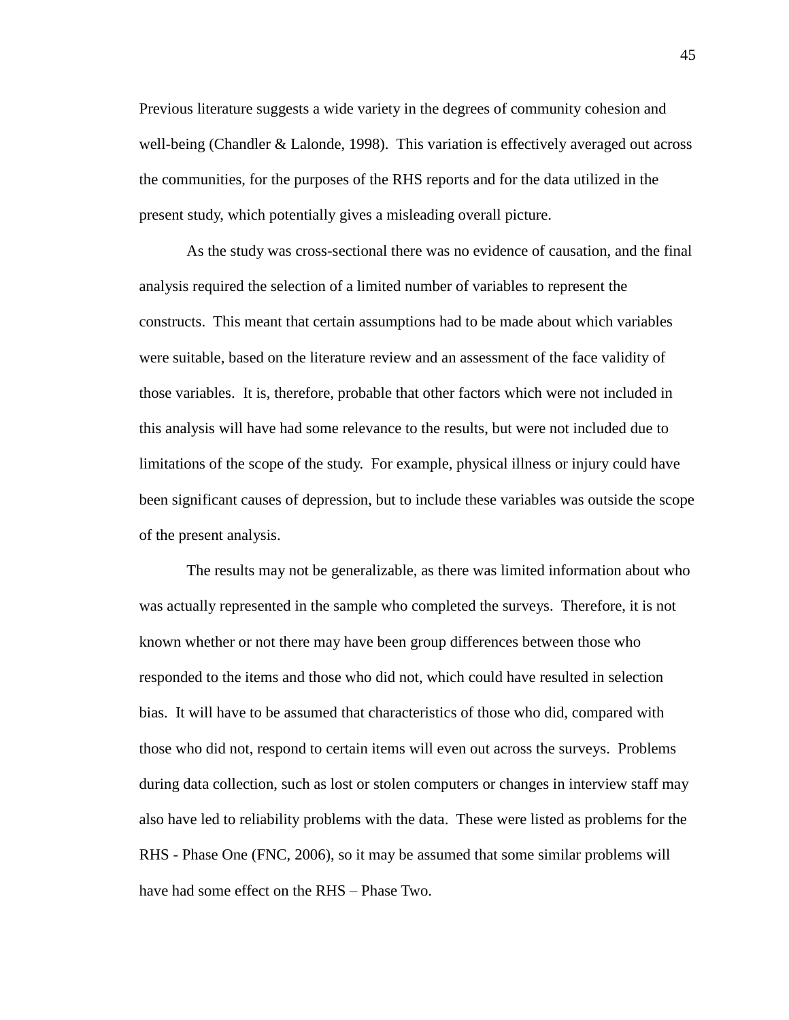Previous literature suggests a wide variety in the degrees of community cohesion and well-being (Chandler & Lalonde, 1998). This variation is effectively averaged out across the communities, for the purposes of the RHS reports and for the data utilized in the present study, which potentially gives a misleading overall picture.

As the study was cross-sectional there was no evidence of causation, and the final analysis required the selection of a limited number of variables to represent the constructs. This meant that certain assumptions had to be made about which variables were suitable, based on the literature review and an assessment of the face validity of those variables. It is, therefore, probable that other factors which were not included in this analysis will have had some relevance to the results, but were not included due to limitations of the scope of the study. For example, physical illness or injury could have been significant causes of depression, but to include these variables was outside the scope of the present analysis.

The results may not be generalizable, as there was limited information about who was actually represented in the sample who completed the surveys. Therefore, it is not known whether or not there may have been group differences between those who responded to the items and those who did not, which could have resulted in selection bias. It will have to be assumed that characteristics of those who did, compared with those who did not, respond to certain items will even out across the surveys. Problems during data collection, such as lost or stolen computers or changes in interview staff may also have led to reliability problems with the data. These were listed as problems for the RHS - Phase One (FNC, 2006), so it may be assumed that some similar problems will have had some effect on the RHS – Phase Two.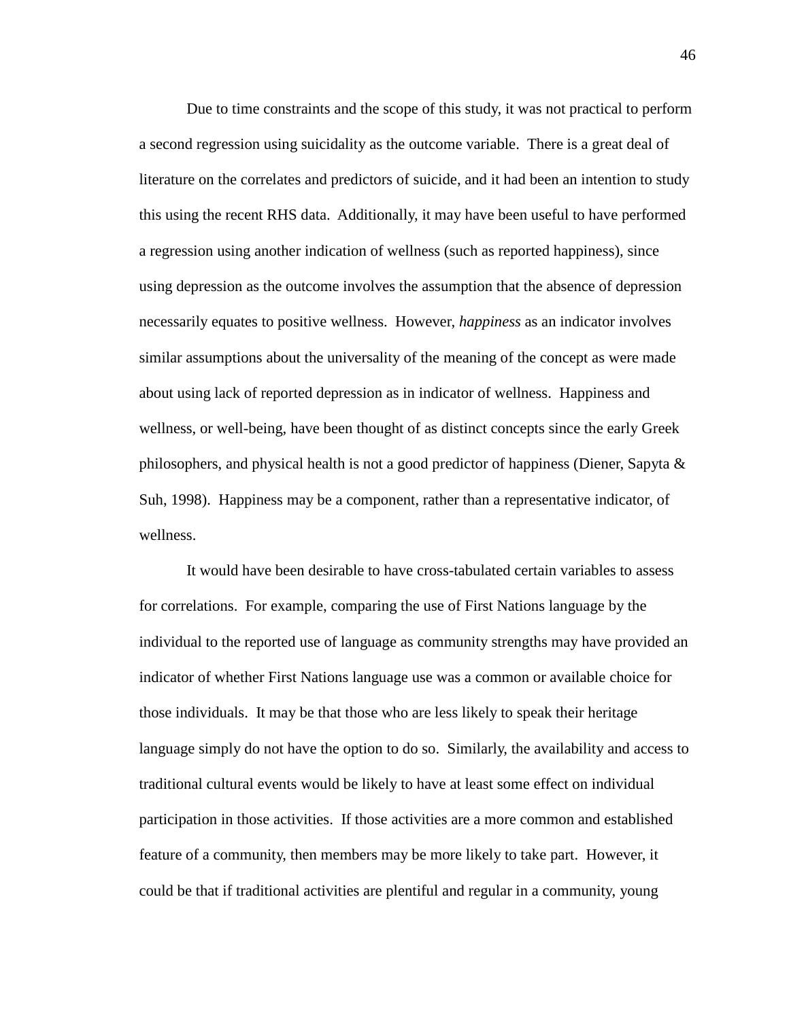Due to time constraints and the scope of this study, it was not practical to perform a second regression using suicidality as the outcome variable. There is a great deal of literature on the correlates and predictors of suicide, and it had been an intention to study this using the recent RHS data. Additionally, it may have been useful to have performed a regression using another indication of wellness (such as reported happiness), since using depression as the outcome involves the assumption that the absence of depression necessarily equates to positive wellness. However, *happiness* as an indicator involves similar assumptions about the universality of the meaning of the concept as were made about using lack of reported depression as in indicator of wellness. Happiness and wellness, or well-being, have been thought of as distinct concepts since the early Greek philosophers, and physical health is not a good predictor of happiness (Diener, Sapyta & Suh, 1998). Happiness may be a component, rather than a representative indicator, of wellness.

It would have been desirable to have cross-tabulated certain variables to assess for correlations. For example, comparing the use of First Nations language by the individual to the reported use of language as community strengths may have provided an indicator of whether First Nations language use was a common or available choice for those individuals. It may be that those who are less likely to speak their heritage language simply do not have the option to do so. Similarly, the availability and access to traditional cultural events would be likely to have at least some effect on individual participation in those activities. If those activities are a more common and established feature of a community, then members may be more likely to take part. However, it could be that if traditional activities are plentiful and regular in a community, young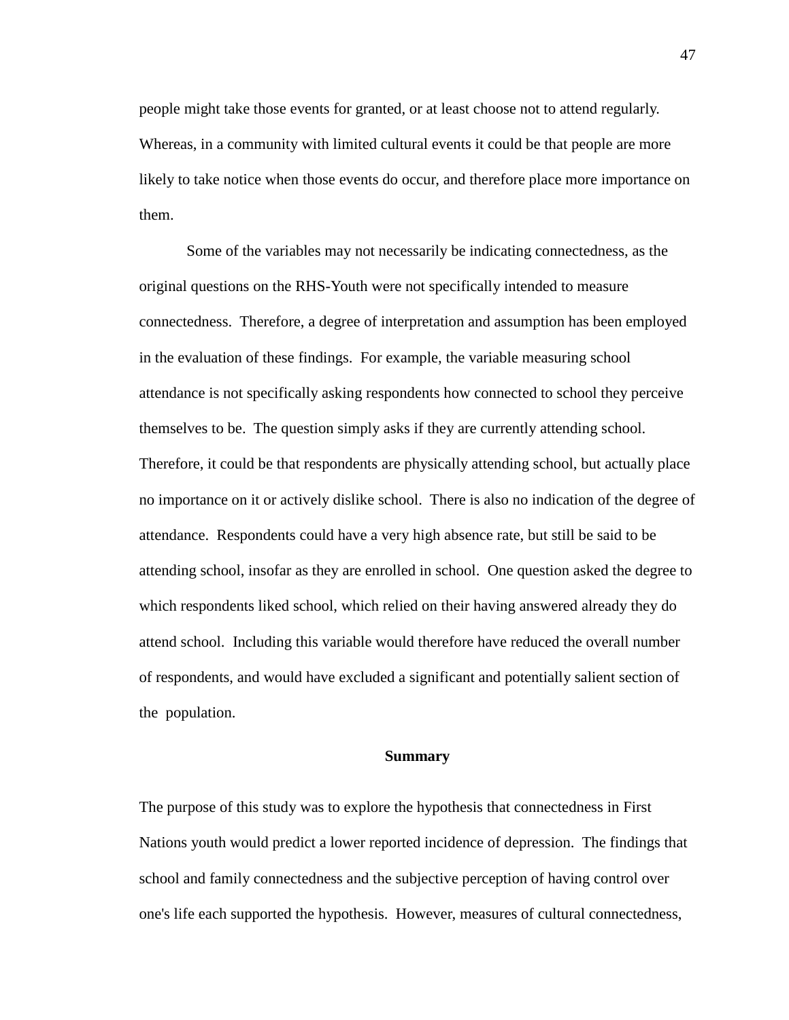people might take those events for granted, or at least choose not to attend regularly. Whereas, in a community with limited cultural events it could be that people are more likely to take notice when those events do occur, and therefore place more importance on them.

Some of the variables may not necessarily be indicating connectedness, as the original questions on the RHS-Youth were not specifically intended to measure connectedness. Therefore, a degree of interpretation and assumption has been employed in the evaluation of these findings. For example, the variable measuring school attendance is not specifically asking respondents how connected to school they perceive themselves to be. The question simply asks if they are currently attending school. Therefore, it could be that respondents are physically attending school, but actually place no importance on it or actively dislike school. There is also no indication of the degree of attendance. Respondents could have a very high absence rate, but still be said to be attending school, insofar as they are enrolled in school. One question asked the degree to which respondents liked school, which relied on their having answered already they do attend school. Including this variable would therefore have reduced the overall number of respondents, and would have excluded a significant and potentially salient section of the population.

#### **Summary**

The purpose of this study was to explore the hypothesis that connectedness in First Nations youth would predict a lower reported incidence of depression. The findings that school and family connectedness and the subjective perception of having control over one's life each supported the hypothesis. However, measures of cultural connectedness,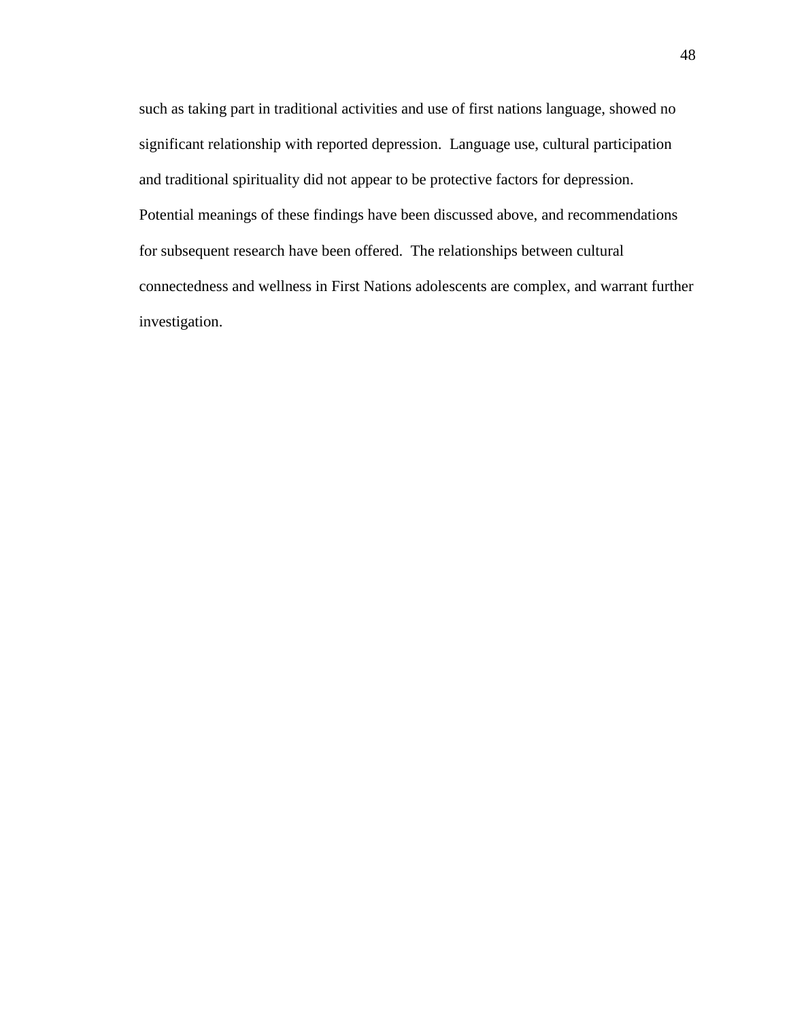such as taking part in traditional activities and use of first nations language, showed no significant relationship with reported depression. Language use, cultural participation and traditional spirituality did not appear to be protective factors for depression. Potential meanings of these findings have been discussed above, and recommendations for subsequent research have been offered. The relationships between cultural connectedness and wellness in First Nations adolescents are complex, and warrant further investigation.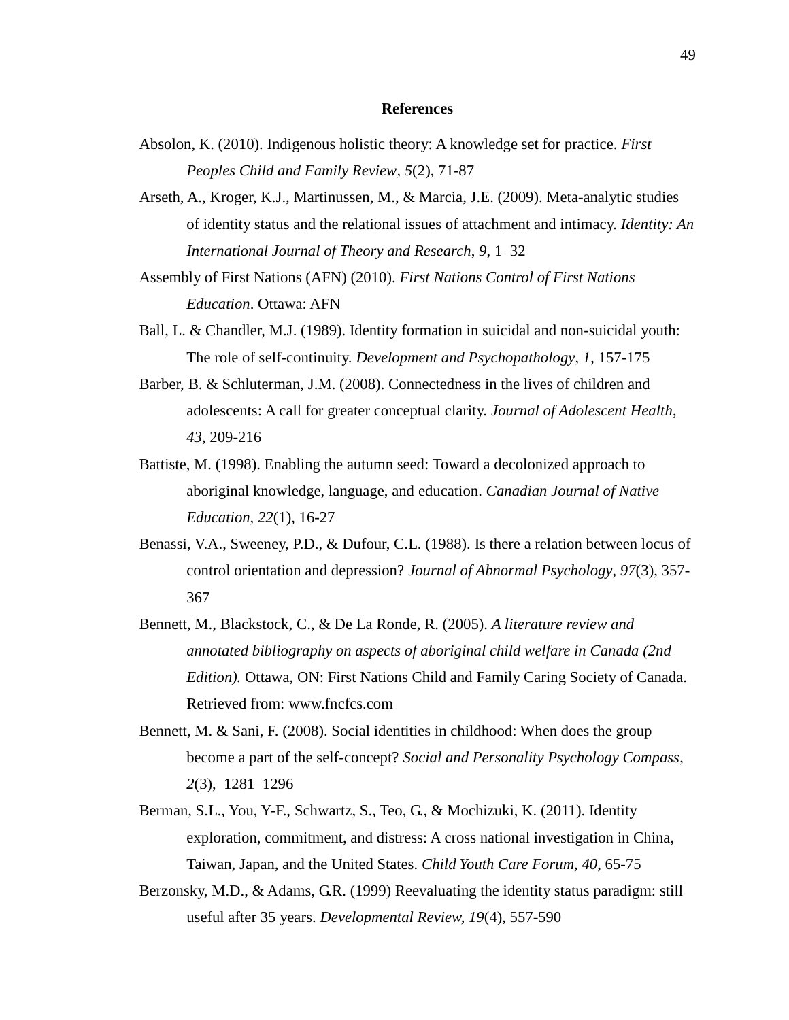#### **References**

- Absolon, K. (2010). Indigenous holistic theory: A knowledge set for practice. *First Peoples Child and Family Review, 5*(2), 71-87
- Arseth, A., Kroger, K.J., Martinussen, M., & Marcia, J.E. (2009). Meta-analytic studies of identity status and the relational issues of attachment and intimacy. *Identity: An International Journal of Theory and Research*, *9*, 1–32
- Assembly of First Nations (AFN) (2010). *First Nations Control of First Nations Education*. Ottawa: AFN
- Ball, L. & Chandler, M.J. (1989). Identity formation in suicidal and non-suicidal youth: The role of self-continuity. *Development and Psychopathology*, *1*, 157-175
- Barber, B. & Schluterman, J.M. (2008). Connectedness in the lives of children and adolescents: A call for greater conceptual clarity. *Journal of Adolescent Health*, *43*, 209-216
- Battiste, M. (1998). Enabling the autumn seed: Toward a decolonized approach to aboriginal knowledge, language, and education. *Canadian Journal of Native Education, 22*(1), 16-27
- Benassi, V.A., Sweeney, P.D., & Dufour, C.L. (1988). Is there a relation between locus of control orientation and depression? *Journal of Abnormal Psychology*, *97*(3), 357- 367
- Bennett, M., Blackstock, C., & De La Ronde, R. (2005). *A literature review and annotated bibliography on aspects of aboriginal child welfare in Canada (2nd Edition).* Ottawa, ON: First Nations Child and Family Caring Society of Canada. Retrieved from: www.fncfcs.com
- Bennett, M. & Sani, F. (2008). Social identities in childhood: When does the group become a part of the self-concept? *Social and Personality Psychology Compass*, *2*(3), 1281–1296
- Berman, S.L., You, Y-F., Schwartz, S., Teo, G., & Mochizuki, K. (2011). Identity exploration, commitment, and distress: A cross national investigation in China, Taiwan, Japan, and the United States. *Child Youth Care Forum, 40*, 65-75
- Berzonsky, M.D., & Adams, G.R. (1999) Reevaluating the identity status paradigm: still useful after 35 years. *Developmental Review, 19*(4), 557-590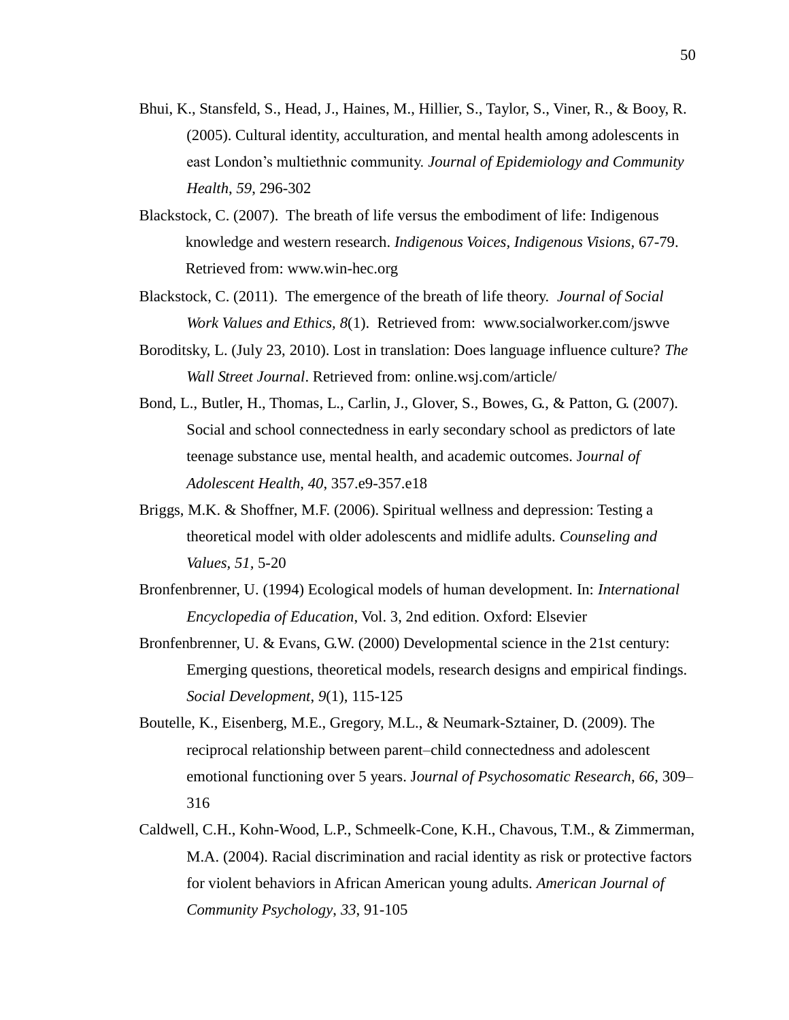- Bhui, K., Stansfeld, S., Head, J., Haines, M., Hillier, S., Taylor, S., Viner, R., & Booy, R. (2005). Cultural identity, acculturation, and mental health among adolescents in east London's multiethnic community. *Journal of Epidemiology and Community Health*, *59*, 296-302
- Blackstock, C. (2007). The breath of life versus the embodiment of life: Indigenous knowledge and western research. *Indigenous Voices, Indigenous Visions,* 67-79. Retrieved from: www.win-hec.org
- Blackstock, C. (2011). The emergence of the breath of life theory. *Journal of Social Work Values and Ethics, 8*(1). Retrieved from: www.socialworker.com/jswve
- Boroditsky, L. (July 23, 2010). Lost in translation: Does language influence culture? *The Wall Street Journal*. Retrieved from: online.wsj.com/article/
- Bond, L., Butler, H., Thomas, L., Carlin, J., Glover, S., Bowes, G., & Patton, G. (2007). Social and school connectedness in early secondary school as predictors of late teenage substance use, mental health, and academic outcomes. J*ournal of Adolescent Health*, *40*, 357.e9-357.e18
- Briggs, M.K. & Shoffner, M.F. (2006). Spiritual wellness and depression: Testing a theoretical model with older adolescents and midlife adults. *Counseling and Values, 51,* 5-20
- Bronfenbrenner, U. (1994) Ecological models of human development. In: *International Encyclopedia of Education*, Vol. 3, 2nd edition. Oxford: Elsevier
- Bronfenbrenner, U. & Evans, G.W. (2000) Developmental science in the 21st century: Emerging questions, theoretical models, research designs and empirical findings. *Social Development*, *9*(1), 115-125
- Boutelle, K., Eisenberg, M.E., Gregory, M.L., & Neumark-Sztainer, D. (2009). The reciprocal relationship between parent–child connectedness and adolescent emotional functioning over 5 years. J*ournal of Psychosomatic Research*, *66*, 309– 316
- Caldwell, C.H., Kohn-Wood, L.P., Schmeelk-Cone, K.H., Chavous, T.M., & Zimmerman, M.A. (2004). Racial discrimination and racial identity as risk or protective factors for violent behaviors in African American young adults. *American Journal of Community Psychology*, *33*, 91-105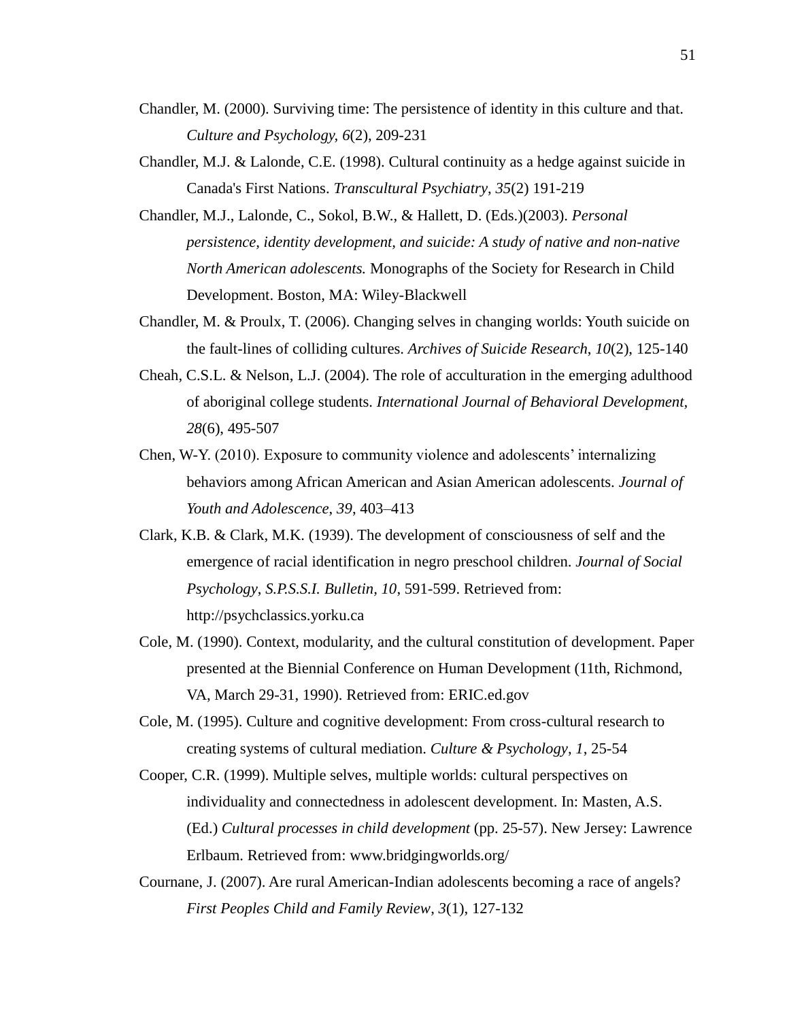- Chandler, M. (2000). Surviving time: The persistence of identity in this culture and that. *Culture and Psychology, 6*(2), 209-231
- Chandler, M.J. & Lalonde, C.E. (1998). Cultural continuity as a hedge against suicide in Canada's First Nations. *Transcultural Psychiatry*, *35*(2) 191-219
- Chandler, M.J., Lalonde, C., Sokol, B.W., & Hallett, D. (Eds.)(2003). *Personal persistence, identity development, and suicide: A study of native and non-native North American adolescents.* Monographs of the Society for Research in Child Development. Boston, MA: Wiley-Blackwell
- Chandler, M. & Proulx, T. (2006). Changing selves in changing worlds: Youth suicide on the fault-lines of colliding cultures. *Archives of Suicide Research*, *10*(2), 125-140
- Cheah, C.S.L. & Nelson, L.J. (2004). The role of acculturation in the emerging adulthood of aboriginal college students. *International Journal of Behavioral Development, 28*(6), 495-507
- Chen, W-Y. (2010). Exposure to community violence and adolescents' internalizing behaviors among African American and Asian American adolescents. *Journal of Youth and Adolescence*, *39*, 403–413
- Clark, K.B. & Clark, M.K. (1939). The development of consciousness of self and the emergence of racial identification in negro preschool children. *Journal of Social Psychology*, *S.P.S.S.I. Bulletin, 10*, 591-599. Retrieved from: http://psychclassics.yorku.ca
- Cole, M. (1990). Context, modularity, and the cultural constitution of development. Paper presented at the Biennial Conference on Human Development (11th, Richmond, VA, March 29-31, 1990). Retrieved from: ERIC.ed.gov
- Cole, M. (1995). Culture and cognitive development: From cross-cultural research to creating systems of cultural mediation. *Culture & Psychology*, *1*, 25-54
- Cooper, C.R. (1999). Multiple selves, multiple worlds: cultural perspectives on individuality and connectedness in adolescent development. In: Masten, A.S. (Ed.) *Cultural processes in child development* (pp. 25-57). New Jersey: Lawrence Erlbaum. Retrieved from: www.bridgingworlds.org/
- Cournane, J. (2007). Are rural American-Indian adolescents becoming a race of angels? *First Peoples Child and Family Review*, *3*(1), 127-132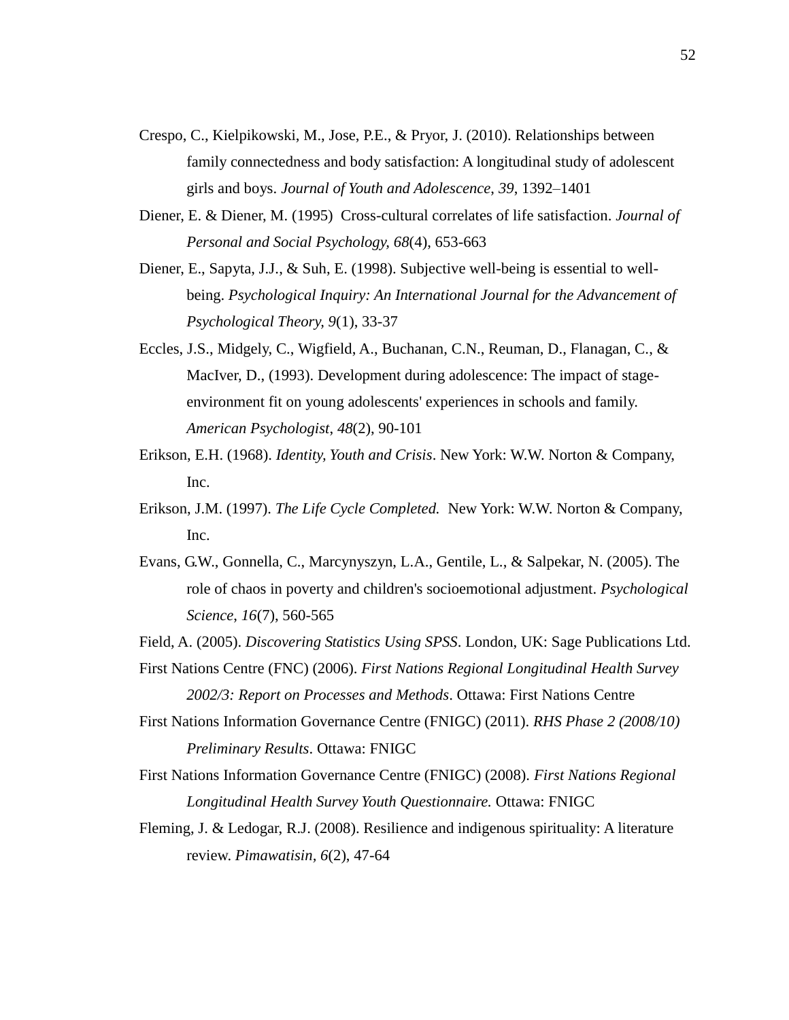- Crespo, C., Kielpikowski, M., Jose, P.E., & Pryor, J. (2010). Relationships between family connectedness and body satisfaction: A longitudinal study of adolescent girls and boys. *Journal of Youth and Adolescence*, *39*, 1392–1401
- Diener, E. & Diener, M. (1995) Cross-cultural correlates of life satisfaction. *Journal of Personal and Social Psychology, 68*(4), 653-663
- Diener, E., Sapyta, J.J., & Suh, E. (1998). Subjective well-being is essential to wellbeing. *Psychological Inquiry: An International Journal for the Advancement of Psychological Theory, 9*(1), 33-37
- Eccles, J.S., Midgely, C., Wigfield, A., Buchanan, C.N., Reuman, D., Flanagan, C., & MacIver, D., (1993). Development during adolescence: The impact of stageenvironment fit on young adolescents' experiences in schools and family. *American Psychologist*, *48*(2), 90-101
- Erikson, E.H. (1968). *Identity, Youth and Crisis*. New York: W.W. Norton & Company, Inc.
- Erikson, J.M. (1997). *The Life Cycle Completed.* New York: W.W. Norton & Company, Inc.
- Evans, G.W., Gonnella, C., Marcynyszyn, L.A., Gentile, L., & Salpekar, N. (2005). The role of chaos in poverty and children's socioemotional adjustment. *Psychological Science*, *16*(7), 560-565
- Field, A. (2005). *Discovering Statistics Using SPSS*. London, UK: Sage Publications Ltd.
- First Nations Centre (FNC) (2006). *First Nations Regional Longitudinal Health Survey 2002/3: Report on Processes and Methods*. Ottawa: First Nations Centre
- First Nations Information Governance Centre (FNIGC) (2011). *RHS Phase 2 (2008/10) Preliminary Results*. Ottawa: FNIGC
- First Nations Information Governance Centre (FNIGC) (2008). *First Nations Regional Longitudinal Health Survey Youth Questionnaire.* Ottawa: FNIGC
- Fleming, J. & Ledogar, R.J. (2008). Resilience and indigenous spirituality: A literature review. *Pimawatisin, 6*(2), 47-64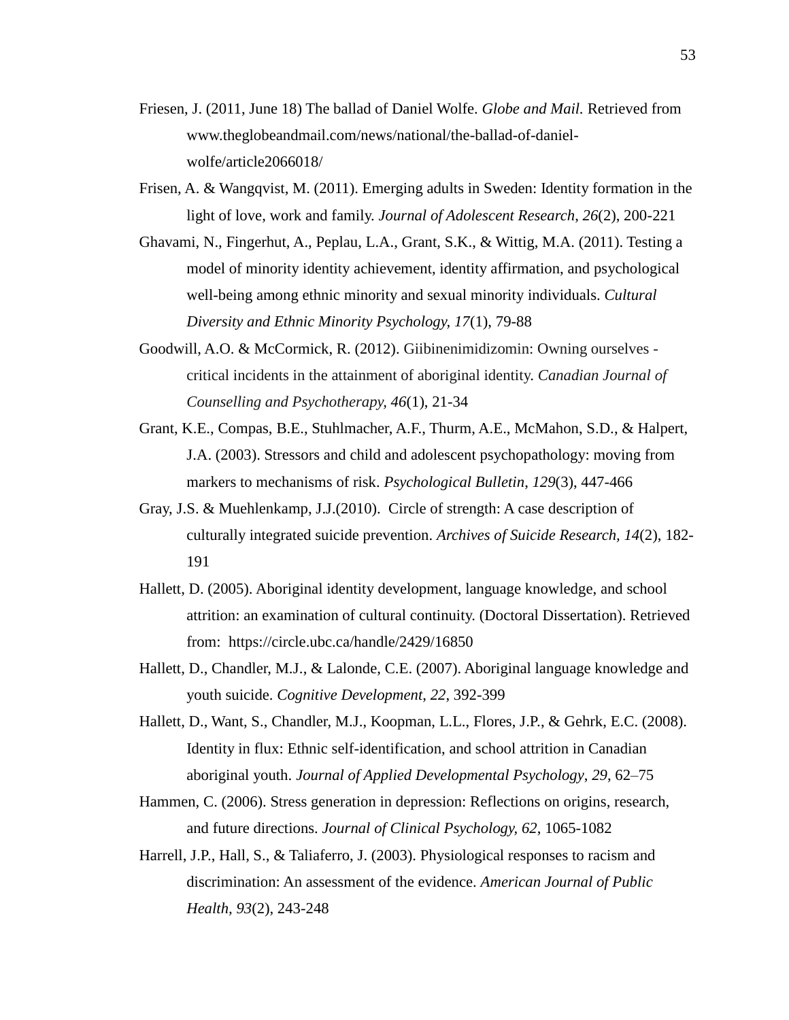- Friesen, J. (2011, June 18) The ballad of Daniel Wolfe. *Globe and Mail.* Retrieved from www.theglobeandmail.com/news/national/the-ballad-of-danielwolfe/article2066018/
- Frisen, A. & Wangqvist, M. (2011). Emerging adults in Sweden: Identity formation in the light of love, work and family. *Journal of Adolescent Research*, *26*(2), 200-221
- Ghavami, N., Fingerhut, A., Peplau, L.A., Grant, S.K., & Wittig, M.A. (2011). Testing a model of minority identity achievement, identity affirmation, and psychological well-being among ethnic minority and sexual minority individuals. *Cultural Diversity and Ethnic Minority Psychology, 17*(1), 79-88
- Goodwill, A.O. & McCormick, R. (2012). Giibinenimidizomin: Owning ourselves critical incidents in the attainment of aboriginal identity. *Canadian Journal of Counselling and Psychotherapy, 46*(1), 21-34
- Grant, K.E., Compas, B.E., Stuhlmacher, A.F., Thurm, A.E., McMahon, S.D., & Halpert, J.A. (2003). Stressors and child and adolescent psychopathology: moving from markers to mechanisms of risk. *Psychological Bulletin*, *129*(3), 447-466
- Gray, J.S. & Muehlenkamp, J.J.(2010). Circle of strength: A case description of culturally integrated suicide prevention. *Archives of Suicide Research, 14*(2), 182- 191
- Hallett, D. (2005). Aboriginal identity development, language knowledge, and school attrition: an examination of cultural continuity. (Doctoral Dissertation). Retrieved from: https://circle.ubc.ca/handle/2429/16850
- Hallett, D., Chandler, M.J., & Lalonde, C.E. (2007). Aboriginal language knowledge and youth suicide. *Cognitive Development*, *22*, 392-399
- Hallett, D., Want, S., Chandler, M.J., Koopman, L.L., Flores, J.P., & Gehrk, E.C. (2008). Identity in flux: Ethnic self-identification, and school attrition in Canadian aboriginal youth. *Journal of Applied Developmental Psychology*, *29*, 62–75
- Hammen, C. (2006). Stress generation in depression: Reflections on origins, research, and future directions. *Journal of Clinical Psychology, 62*, 1065-1082
- Harrell, J.P., Hall, S., & Taliaferro, J. (2003). Physiological responses to racism and discrimination: An assessment of the evidence. *American Journal of Public Health, 93*(2), 243-248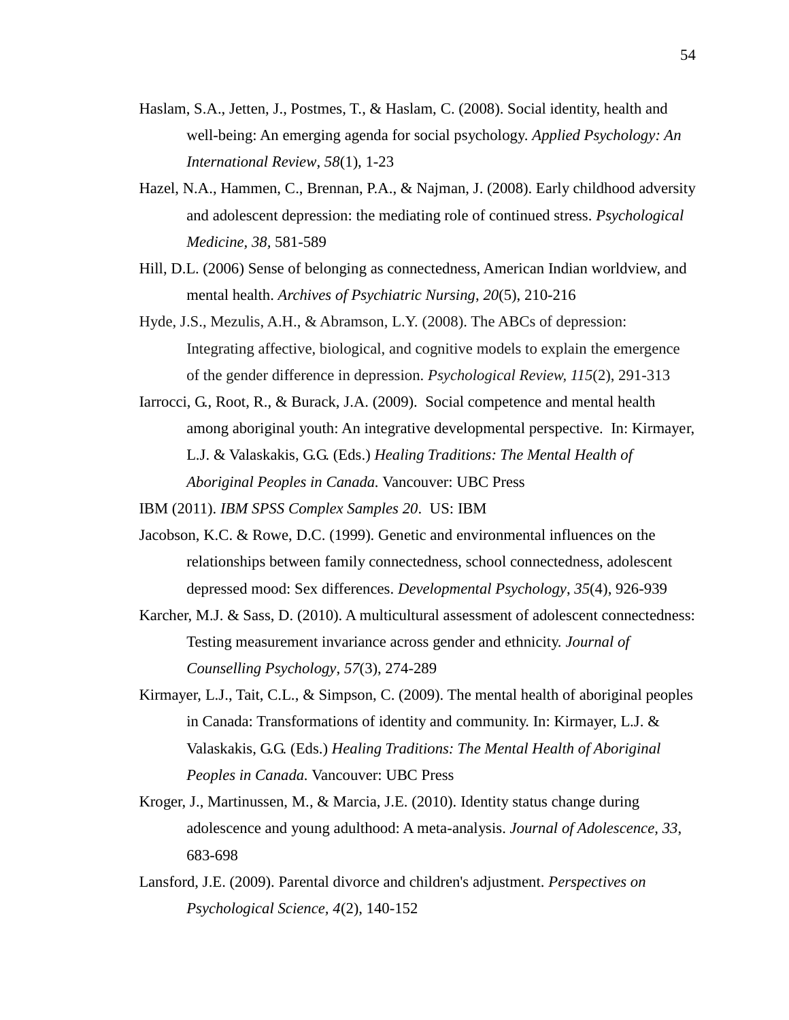- Haslam, S.A., Jetten, J., Postmes, T., & Haslam, C. (2008). Social identity, health and well-being: An emerging agenda for social psychology. *Applied Psychology: An International Review*, *58*(1), 1-23
- Hazel, N.A., Hammen, C., Brennan, P.A., & Najman, J. (2008). Early childhood adversity and adolescent depression: the mediating role of continued stress. *Psychological Medicine, 38,* 581-589
- Hill, D.L. (2006) Sense of belonging as connectedness, American Indian worldview, and mental health. *Archives of Psychiatric Nursing*, *20*(5), 210-216
- Hyde, J.S., Mezulis, A.H., & Abramson, L.Y. (2008). The ABCs of depression: Integrating affective, biological, and cognitive models to explain the emergence of the gender difference in depression. *Psychological Review, 115*(2), 291-313
- Iarrocci, G., Root, R., & Burack, J.A. (2009). Social competence and mental health among aboriginal youth: An integrative developmental perspective. In: Kirmayer, L.J. & Valaskakis, G.G. (Eds.) *Healing Traditions: The Mental Health of Aboriginal Peoples in Canada.* Vancouver: UBC Press

IBM (2011). *IBM SPSS Complex Samples 20*. US: IBM

- Jacobson, K.C. & Rowe, D.C. (1999). Genetic and environmental influences on the relationships between family connectedness, school connectedness, adolescent depressed mood: Sex differences. *Developmental Psychology*, *35*(4), 926-939
- Karcher, M.J. & Sass, D. (2010). A multicultural assessment of adolescent connectedness: Testing measurement invariance across gender and ethnicity. *Journal of Counselling Psychology*, *57*(3), 274-289
- Kirmayer, L.J., Tait, C.L., & Simpson, C. (2009). The mental health of aboriginal peoples in Canada: Transformations of identity and community. In: Kirmayer, L.J. & Valaskakis, G.G. (Eds.) *Healing Traditions: The Mental Health of Aboriginal Peoples in Canada.* Vancouver: UBC Press
- Kroger, J., Martinussen, M., & Marcia, J.E. (2010). Identity status change during adolescence and young adulthood: A meta-analysis. *Journal of Adolescence, 33*, 683-698
- Lansford, J.E. (2009). Parental divorce and children's adjustment. *Perspectives on Psychological Science, 4*(2), 140-152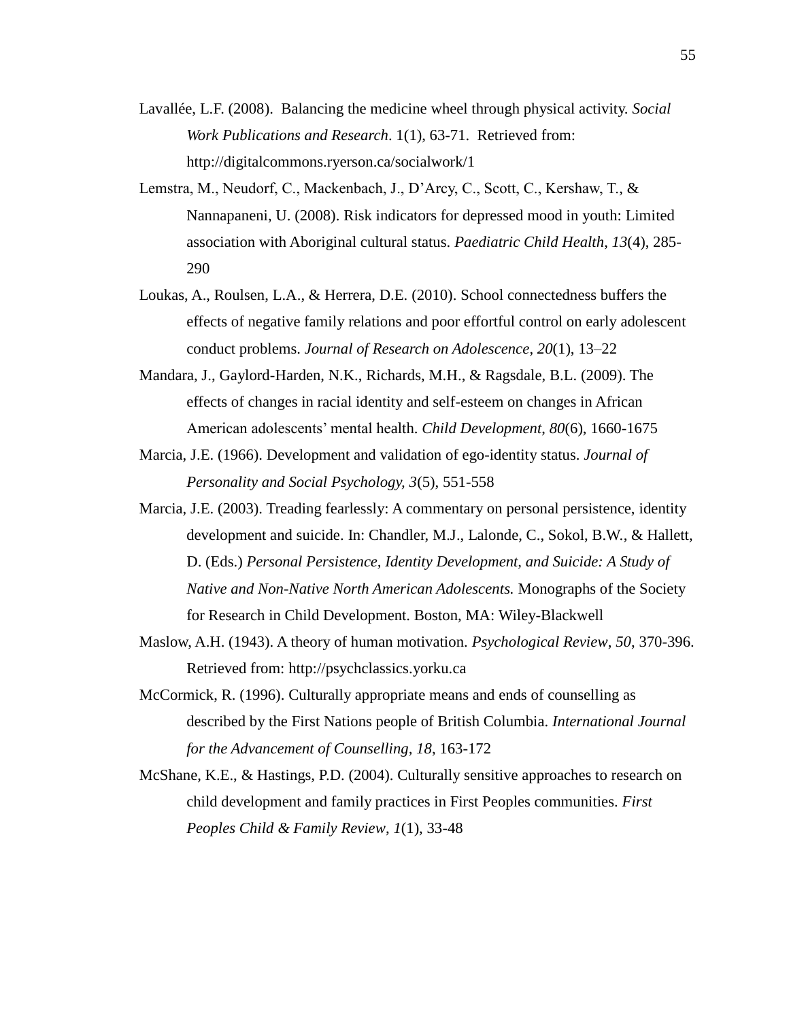- Lavallée, L.F. (2008). Balancing the medicine wheel through physical activity. *Social Work Publications and Research*. 1(1), 63-71. Retrieved from: http://digitalcommons.ryerson.ca/socialwork/1
- Lemstra, M., Neudorf, C., Mackenbach, J., D'Arcy, C., Scott, C., Kershaw, T., & Nannapaneni, U. (2008). Risk indicators for depressed mood in youth: Limited association with Aboriginal cultural status. *Paediatric Child Health*, *13*(4), 285- 290
- Loukas, A., Roulsen, L.A., & Herrera, D.E. (2010). School connectedness buffers the effects of negative family relations and poor effortful control on early adolescent conduct problems. *Journal of Research on Adolescence*, *20*(1), 13–22
- Mandara, J., Gaylord-Harden, N.K., Richards, M.H., & Ragsdale, B.L. (2009). The effects of changes in racial identity and self-esteem on changes in African American adolescents' mental health. *Child Development*, *80*(6), 1660-1675
- Marcia, J.E. (1966). Development and validation of ego-identity status. *Journal of Personality and Social Psychology, 3*(5), 551-558
- Marcia, J.E. (2003). Treading fearlessly: A commentary on personal persistence, identity development and suicide. In: Chandler, M.J., Lalonde, C., Sokol, B.W., & Hallett, D. (Eds.) *Personal Persistence, Identity Development, and Suicide: A Study of Native and Non-Native North American Adolescents.* Monographs of the Society for Research in Child Development. Boston, MA: Wiley-Blackwell
- Maslow, A.H. (1943). A theory of human motivation. *Psychological Review*, *50*, 370-396. Retrieved from: http://psychclassics.yorku.ca
- McCormick, R. (1996). Culturally appropriate means and ends of counselling as described by the First Nations people of British Columbia. *International Journal for the Advancement of Counselling, 18*, 163-172
- McShane, K.E., & Hastings, P.D. (2004). Culturally sensitive approaches to research on child development and family practices in First Peoples communities. *First Peoples Child & Family Review*, *1*(1), 33-48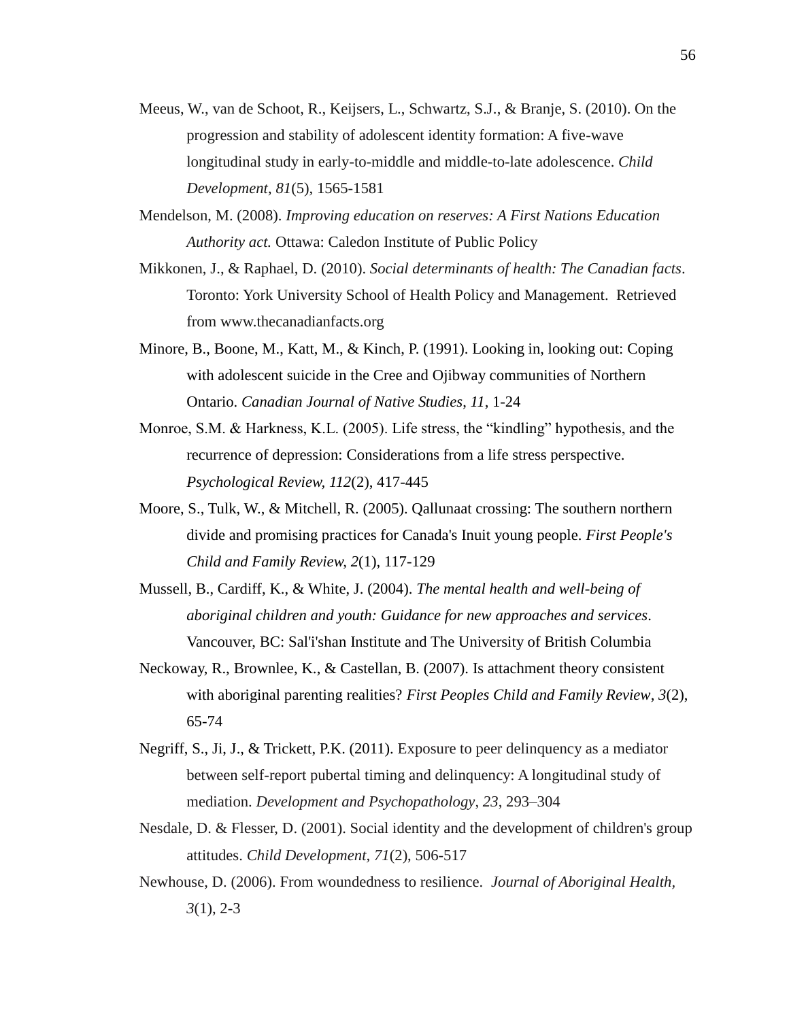- Meeus, W., van de Schoot, R., Keijsers, L., Schwartz, S.J., & Branje, S. (2010). On the progression and stability of adolescent identity formation: A five-wave longitudinal study in early-to-middle and middle-to-late adolescence. *Child Development*, *81*(5), 1565-1581
- Mendelson, M. (2008). *Improving education on reserves: A First Nations Education Authority act.* Ottawa: Caledon Institute of Public Policy
- Mikkonen, J., & Raphael, D. (2010). *Social determinants of health: The Canadian facts*. Toronto: York University School of Health Policy and Management. Retrieved from www.thecanadianfacts.org
- Minore, B., Boone, M., Katt, M., & Kinch, P. (1991). Looking in, looking out: Coping with adolescent suicide in the Cree and Ojibway communities of Northern Ontario. *Canadian Journal of Native Studies*, *11*, 1-24
- Monroe, S.M. & Harkness, K.L. (2005). Life stress, the "kindling" hypothesis, and the recurrence of depression: Considerations from a life stress perspective. *Psychological Review, 112*(2), 417-445
- Moore, S., Tulk, W., & Mitchell, R. (2005). Qallunaat crossing: The southern northern divide and promising practices for Canada's Inuit young people. *First People's Child and Family Review, 2*(1), 117-129
- Mussell, B., Cardiff, K., & White, J. (2004). *The mental health and well-being of aboriginal children and youth: Guidance for new approaches and services*. Vancouver, BC: Sal'i'shan Institute and The University of British Columbia
- Neckoway, R., Brownlee, K., & Castellan, B. (2007). Is attachment theory consistent with aboriginal parenting realities? *First Peoples Child and Family Review*, *3*(2), 65-74
- Negriff, S., Ji, J., & Trickett, P.K. (2011). Exposure to peer delinquency as a mediator between self-report pubertal timing and delinquency: A longitudinal study of mediation. *Development and Psychopathology*, *23*, 293–304
- Nesdale, D. & Flesser, D. (2001). Social identity and the development of children's group attitudes. *Child Development, 71*(2), 506-517
- Newhouse, D. (2006). From woundedness to resilience. *Journal of Aboriginal Health, 3*(1), 2-3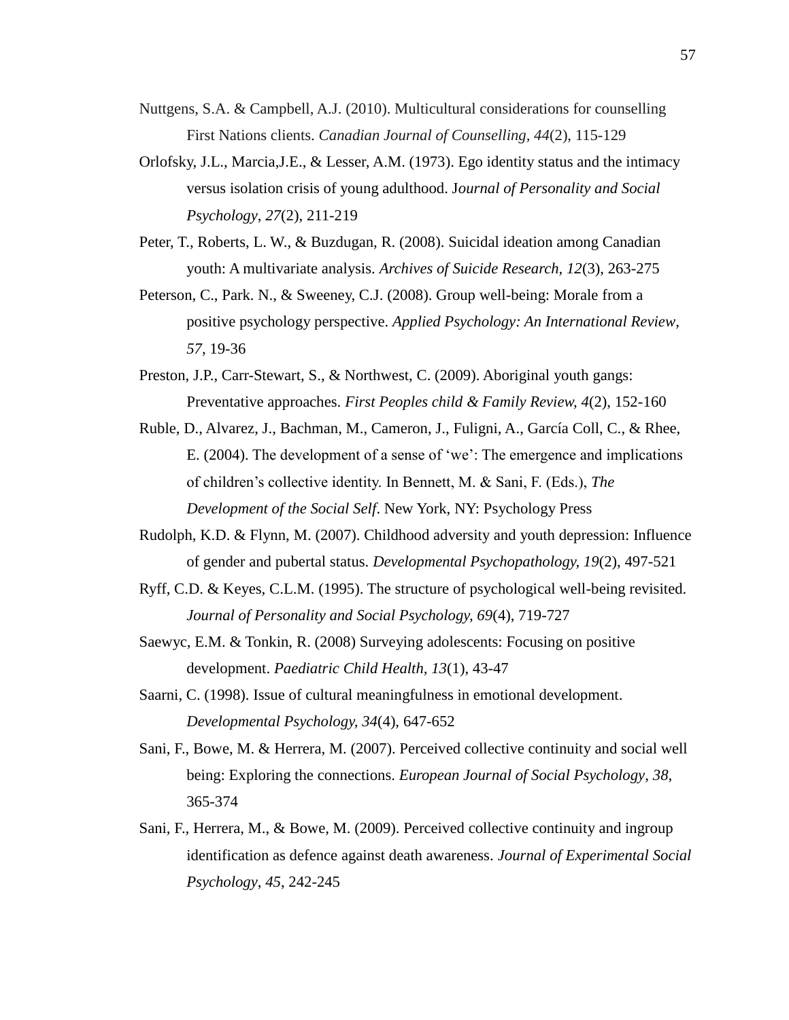- Nuttgens, S.A. & Campbell, A.J. (2010). Multicultural considerations for counselling First Nations clients. *Canadian Journal of Counselling, 44*(2), 115-129
- Orlofsky, J.L., Marcia,J.E., & Lesser, A.M. (1973). Ego identity status and the intimacy versus isolation crisis of young adulthood. J*ournal of Personality and Social Psychology*, *27*(2), 211-219
- Peter, T., Roberts, L. W., & Buzdugan, R. (2008). Suicidal ideation among Canadian youth: A multivariate analysis. *Archives of Suicide Research*, *12*(3), 263-275
- Peterson, C., Park. N., & Sweeney, C.J. (2008). Group well-being: Morale from a positive psychology perspective. *Applied Psychology: An International Review*, *57*, 19-36
- Preston, J.P., Carr-Stewart, S., & Northwest, C. (2009). Aboriginal youth gangs: Preventative approaches. *First Peoples child & Family Review, 4*(2), 152-160
- Ruble, D., Alvarez, J., Bachman, M., Cameron, J., Fuligni, A., García Coll, C., & Rhee, E. (2004). The development of a sense of 'we': The emergence and implications of children's collective identity. In Bennett, M. & Sani, F. (Eds.), *The Development of the Social Self*. New York, NY: Psychology Press
- Rudolph, K.D. & Flynn, M. (2007). Childhood adversity and youth depression: Influence of gender and pubertal status. *Developmental Psychopathology, 19*(2), 497-521
- Ryff, C.D. & Keyes, C.L.M. (1995). The structure of psychological well-being revisited. *Journal of Personality and Social Psychology, 69*(4), 719-727
- Saewyc, E.M. & Tonkin, R. (2008) Surveying adolescents: Focusing on positive development. *Paediatric Child Health, 13*(1), 43-47
- Saarni, C. (1998). Issue of cultural meaningfulness in emotional development. *Developmental Psychology, 34*(4), 647-652
- Sani, F., Bowe, M. & Herrera, M. (2007). Perceived collective continuity and social well being: Exploring the connections. *European Journal of Social Psychology*, *38*, 365-374
- Sani, F., Herrera, M., & Bowe, M. (2009). Perceived collective continuity and ingroup identification as defence against death awareness. *Journal of Experimental Social Psychology*, *45*, 242-245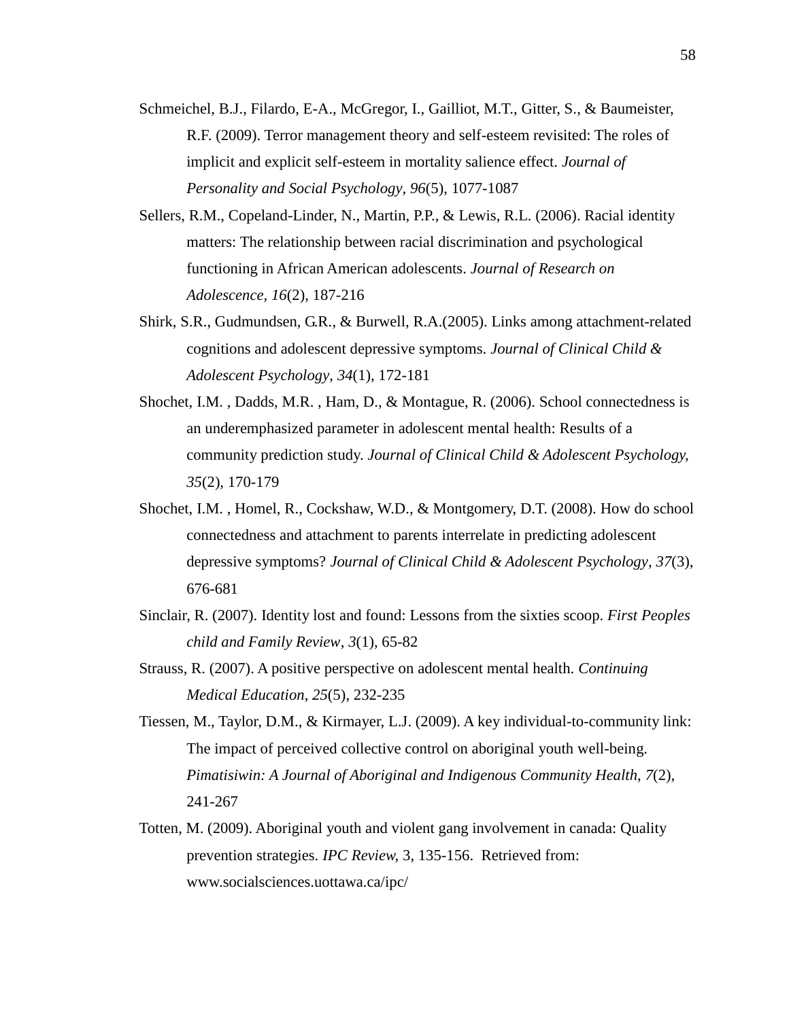- Schmeichel, B.J., Filardo, E-A., McGregor, I., Gailliot, M.T., Gitter, S., & Baumeister, R.F. (2009). Terror management theory and self-esteem revisited: The roles of implicit and explicit self-esteem in mortality salience effect. *Journal of Personality and Social Psychology*, *96*(5), 1077-1087
- Sellers, R.M., Copeland-Linder, N., Martin, P.P., & Lewis, R.L. (2006). Racial identity matters: The relationship between racial discrimination and psychological functioning in African American adolescents. *Journal of Research on Adolescence, 16*(2), 187-216
- Shirk, S.R., Gudmundsen, G.R., & Burwell, R.A.(2005). Links among attachment-related cognitions and adolescent depressive symptoms. *Journal of Clinical Child & Adolescent Psychology*, *34*(1), 172-181
- Shochet, I.M. , Dadds, M.R. , Ham, D., & Montague, R. (2006). School connectedness is an underemphasized parameter in adolescent mental health: Results of a community prediction study. *Journal of Clinical Child & Adolescent Psychology, 35*(2), 170-179
- Shochet, I.M. , Homel, R., Cockshaw, W.D., & Montgomery, D.T. (2008). How do school connectedness and attachment to parents interrelate in predicting adolescent depressive symptoms? *Journal of Clinical Child & Adolescent Psychology*, *37*(3), 676-681
- Sinclair, R. (2007). Identity lost and found: Lessons from the sixties scoop. *First Peoples child and Family Review*, *3*(1), 65-82
- Strauss, R. (2007). A positive perspective on adolescent mental health. *Continuing Medical Education*, *25*(5), 232-235
- Tiessen, M., Taylor, D.M., & Kirmayer, L.J. (2009). A key individual-to-community link: The impact of perceived collective control on aboriginal youth well-being. *Pimatisiwin: A Journal of Aboriginal and Indigenous Community Health, 7*(2), 241-267
- Totten, M. (2009). Aboriginal youth and violent gang involvement in canada: Quality prevention strategies. *IPC Review,* 3, 135-156. Retrieved from: www.socialsciences.uottawa.ca/ipc/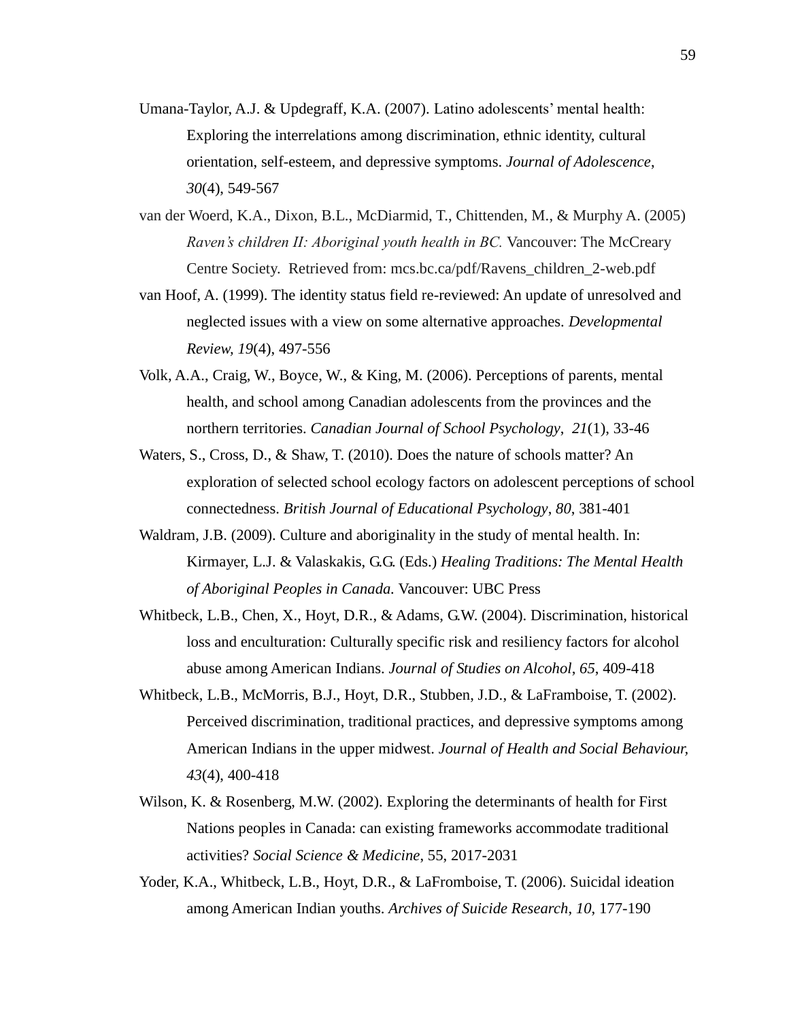- Umana-Taylor, A.J. & Updegraff, K.A. (2007). Latino adolescents' mental health: Exploring the interrelations among discrimination, ethnic identity, cultural orientation, self-esteem, and depressive symptoms. *Journal of Adolescence*, *30*(4), 549-567
- van der Woerd, K.A., Dixon, B.L., McDiarmid, T., Chittenden, M., & Murphy A. (2005) *Raven's children II: Aboriginal youth health in BC.* Vancouver: The McCreary Centre Society. Retrieved from: mcs.bc.ca/pdf/Ravens\_children\_2-web.pdf
- van Hoof, A. (1999). The identity status field re-reviewed: An update of unresolved and neglected issues with a view on some alternative approaches. *Developmental Review, 19*(4), 497-556
- Volk, A.A., Craig, W., Boyce, W., & King, M. (2006). Perceptions of parents, mental health, and school among Canadian adolescents from the provinces and the northern territories. *Canadian Journal of School Psychology*, *21*(1), 33-46
- Waters, S., Cross, D., & Shaw, T. (2010). Does the nature of schools matter? An exploration of selected school ecology factors on adolescent perceptions of school connectedness. *British Journal of Educational Psychology*, *80*, 381-401
- Waldram, J.B. (2009). Culture and aboriginality in the study of mental health. In: Kirmayer, L.J. & Valaskakis, G.G. (Eds.) *Healing Traditions: The Mental Health of Aboriginal Peoples in Canada.* Vancouver: UBC Press
- Whitbeck, L.B., Chen, X., Hoyt, D.R., & Adams, G.W. (2004). Discrimination, historical loss and enculturation: Culturally specific risk and resiliency factors for alcohol abuse among American Indians. *Journal of Studies on Alcohol*, *65*, 409-418
- Whitbeck, L.B., McMorris, B.J., Hoyt, D.R., Stubben, J.D., & LaFramboise, T. (2002). Perceived discrimination, traditional practices, and depressive symptoms among American Indians in the upper midwest. *Journal of Health and Social Behaviour, 43*(4), 400-418
- Wilson, K. & Rosenberg, M.W. (2002). Exploring the determinants of health for First Nations peoples in Canada: can existing frameworks accommodate traditional activities? *Social Science & Medicine*, 55, 2017-2031
- Yoder, K.A., Whitbeck, L.B., Hoyt, D.R., & LaFromboise, T. (2006). Suicidal ideation among American Indian youths. *Archives of Suicide Research*, *10*, 177-190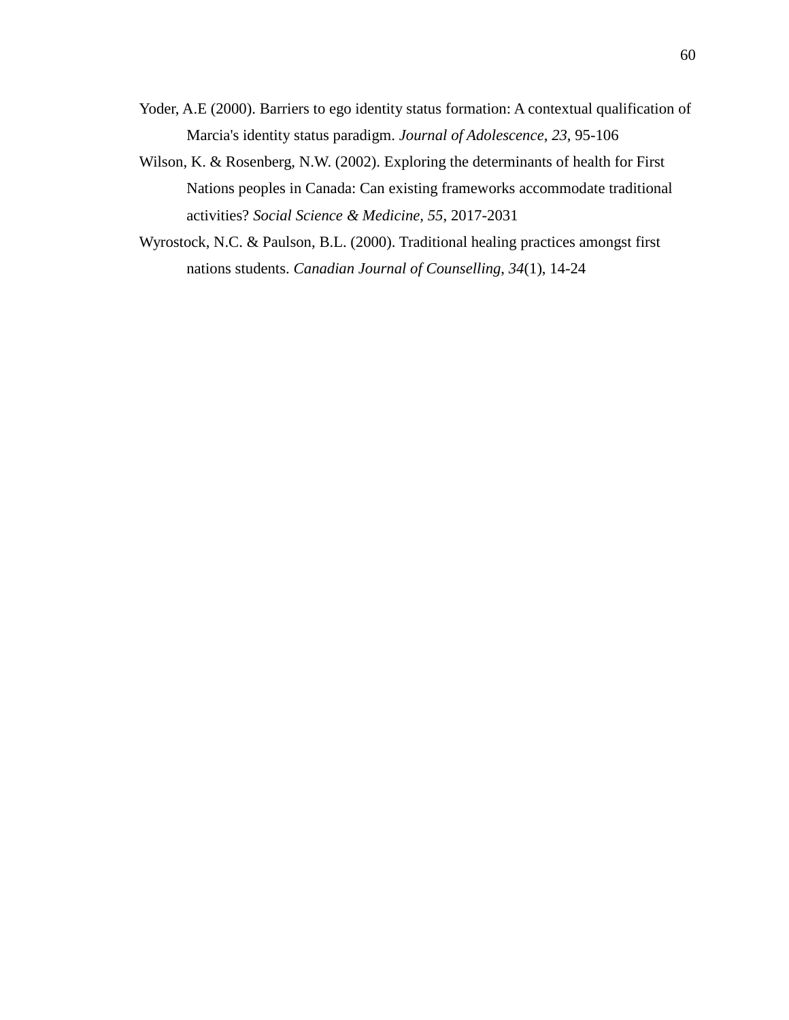- Yoder, A.E (2000). Barriers to ego identity status formation: A contextual qualification of Marcia's identity status paradigm. *Journal of Adolescence*, *23*, 95-106
- Wilson, K. & Rosenberg, N.W. (2002). Exploring the determinants of health for First Nations peoples in Canada: Can existing frameworks accommodate traditional activities? *Social Science & Medicine, 55*, 2017-2031
- Wyrostock, N.C. & Paulson, B.L. (2000). Traditional healing practices amongst first nations students. *Canadian Journal of Counselling*, *34*(1), 14-24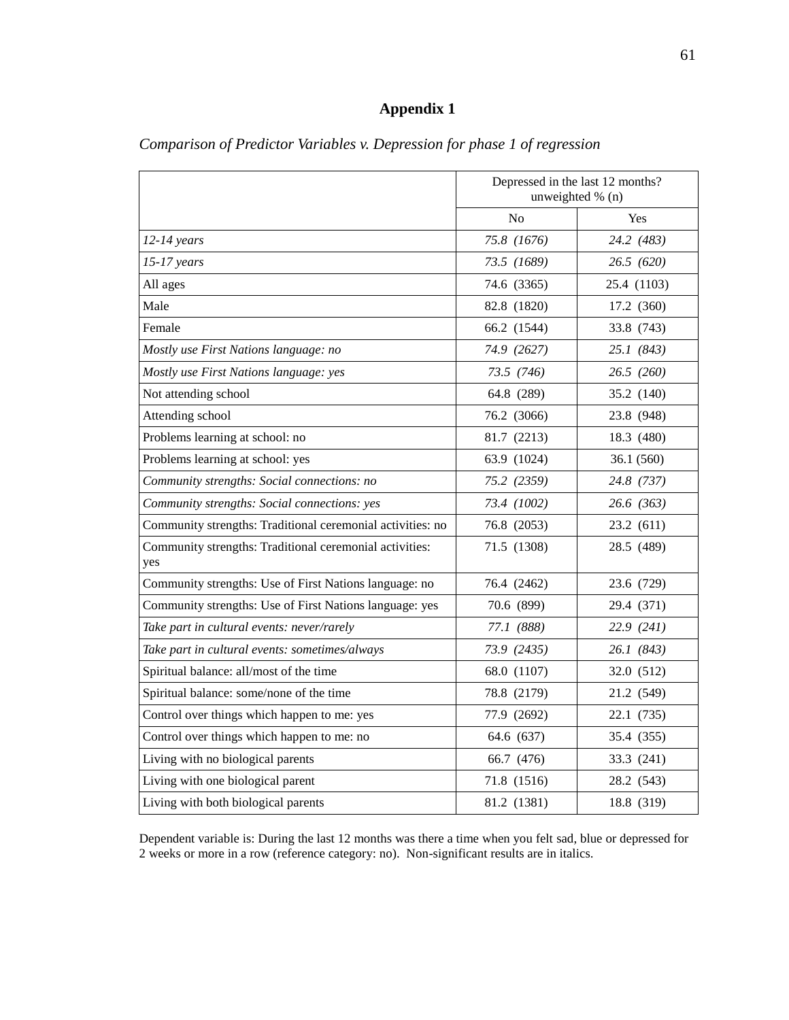# **Appendix 1**

|                                                                | Depressed in the last 12 months?<br>unweighted % (n) |             |  |
|----------------------------------------------------------------|------------------------------------------------------|-------------|--|
|                                                                | N <sub>o</sub>                                       | Yes         |  |
| $12-14$ years                                                  | 75.8 (1676)                                          | 24.2 (483)  |  |
| $15-17$ years                                                  | 73.5 (1689)                                          | 26.5 (620)  |  |
| All ages                                                       | 74.6 (3365)                                          | 25.4 (1103) |  |
| Male                                                           | 82.8 (1820)                                          | 17.2 (360)  |  |
| Female                                                         | 66.2 (1544)                                          | 33.8 (743)  |  |
| Mostly use First Nations language: no                          | 74.9 (2627)                                          | 25.1(843)   |  |
| Mostly use First Nations language: yes                         | 73.5 (746)                                           | 26.5(260)   |  |
| Not attending school                                           | 64.8 (289)                                           | 35.2 (140)  |  |
| Attending school                                               | 76.2 (3066)                                          | 23.8 (948)  |  |
| Problems learning at school: no                                | 81.7 (2213)                                          | 18.3 (480)  |  |
| Problems learning at school: yes                               | 63.9 (1024)                                          | 36.1(560)   |  |
| Community strengths: Social connections: no                    | 75.2 (2359)                                          | 24.8 (737)  |  |
| Community strengths: Social connections: yes                   | 73.4 (1002)                                          | 26.6 (363)  |  |
| Community strengths: Traditional ceremonial activities: no     | 76.8 (2053)                                          | 23.2 (611)  |  |
| Community strengths: Traditional ceremonial activities:<br>yes | 71.5 (1308)                                          | 28.5 (489)  |  |
| Community strengths: Use of First Nations language: no         | 76.4 (2462)                                          | 23.6 (729)  |  |
| Community strengths: Use of First Nations language: yes        | 70.6 (899)                                           | 29.4 (371)  |  |
| Take part in cultural events: never/rarely                     | 77.1 (888)                                           | 22.9(241)   |  |
| Take part in cultural events: sometimes/always                 | 73.9 (2435)                                          | 26.1 (843)  |  |
| Spiritual balance: all/most of the time                        | 68.0 (1107)                                          | 32.0 (512)  |  |
| Spiritual balance: some/none of the time                       | 78.8 (2179)                                          | 21.2 (549)  |  |
| Control over things which happen to me: yes                    | 77.9 (2692)                                          | 22.1 (735)  |  |
| Control over things which happen to me: no                     | 64.6 (637)                                           | 35.4 (355)  |  |
| Living with no biological parents                              | 66.7 (476)                                           | 33.3 (241)  |  |
| Living with one biological parent                              | 71.8 (1516)                                          | 28.2 (543)  |  |
| Living with both biological parents                            | 81.2 (1381)                                          | 18.8 (319)  |  |

*Comparison of Predictor Variables v. Depression for phase 1 of regression* 

Dependent variable is: During the last 12 months was there a time when you felt sad, blue or depressed for 2 weeks or more in a row (reference category: no). Non-significant results are in italics.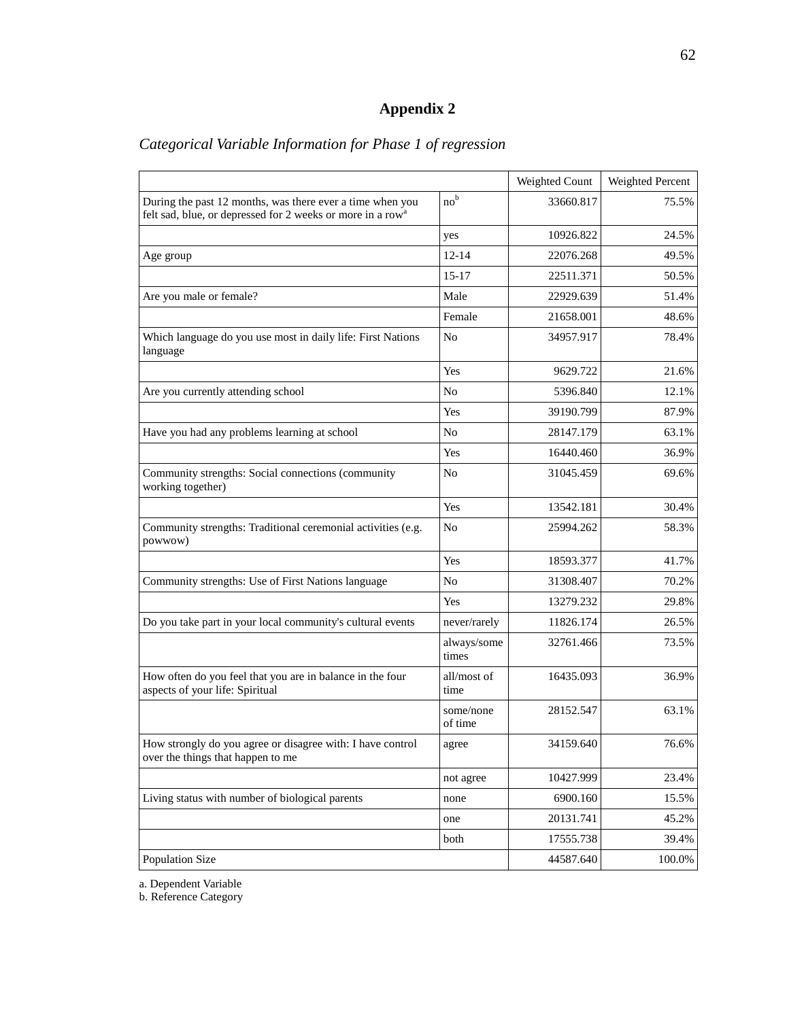# **Appendix 2**

|                                                                                                                                     |                      | Weighted Count | Weighted Percent |
|-------------------------------------------------------------------------------------------------------------------------------------|----------------------|----------------|------------------|
| During the past 12 months, was there ever a time when you<br>felt sad, blue, or depressed for 2 weeks or more in a row <sup>a</sup> | no <sup>b</sup>      | 33660.817      | 75.5%            |
|                                                                                                                                     | yes                  | 10926.822      | 24.5%            |
| Age group                                                                                                                           | $12 - 14$            | 22076.268      | 49.5%            |
|                                                                                                                                     | $15-17$              | 22511.371      | 50.5%            |
| Are you male or female?                                                                                                             | Male                 | 22929.639      | 51.4%            |
|                                                                                                                                     | Female               | 21658.001      | 48.6%            |
| Which language do you use most in daily life: First Nations<br>language                                                             | No                   | 34957.917      | 78.4%            |
|                                                                                                                                     | Yes                  | 9629.722       | 21.6%            |
| Are you currently attending school                                                                                                  | No                   | 5396.840       | 12.1%            |
|                                                                                                                                     | Yes                  | 39190.799      | 87.9%            |
| Have you had any problems learning at school                                                                                        | No                   | 28147.179      | 63.1%            |
|                                                                                                                                     | Yes                  | 16440.460      | 36.9%            |
| Community strengths: Social connections (community<br>working together)                                                             | N <sub>o</sub>       | 31045.459      | 69.6%            |
|                                                                                                                                     | Yes                  | 13542.181      | 30.4%            |
| Community strengths: Traditional ceremonial activities (e.g.<br>powwow)                                                             | N <sub>o</sub>       | 25994.262      | 58.3%            |
|                                                                                                                                     | Yes                  | 18593.377      | 41.7%            |
| Community strengths: Use of First Nations language                                                                                  | N <sub>o</sub>       | 31308.407      | 70.2%            |
|                                                                                                                                     | Yes                  | 13279.232      | 29.8%            |
| Do you take part in your local community's cultural events                                                                          | never/rarely         | 11826.174      | 26.5%            |
|                                                                                                                                     | always/some<br>times | 32761.466      | 73.5%            |
| How often do you feel that you are in balance in the four<br>aspects of your life: Spiritual                                        | all/most of<br>time  | 16435.093      | 36.9%            |
|                                                                                                                                     | some/none<br>of time | 28152.547      | 63.1%            |
| How strongly do you agree or disagree with: I have control<br>over the things that happen to me                                     | agree                | 34159.640      | 76.6%            |
|                                                                                                                                     | not agree            | 10427.999      | 23.4%            |
| Living status with number of biological parents                                                                                     | none                 | 6900.160       | 15.5%            |
|                                                                                                                                     | one                  | 20131.741      | 45.2%            |
|                                                                                                                                     | both                 | 17555.738      | 39.4%            |
| Population Size                                                                                                                     |                      | 44587.640      | 100.0%           |

# *Categorical Variable Information for Phase 1 of regression*

a. Dependent Variable

b. Reference Category